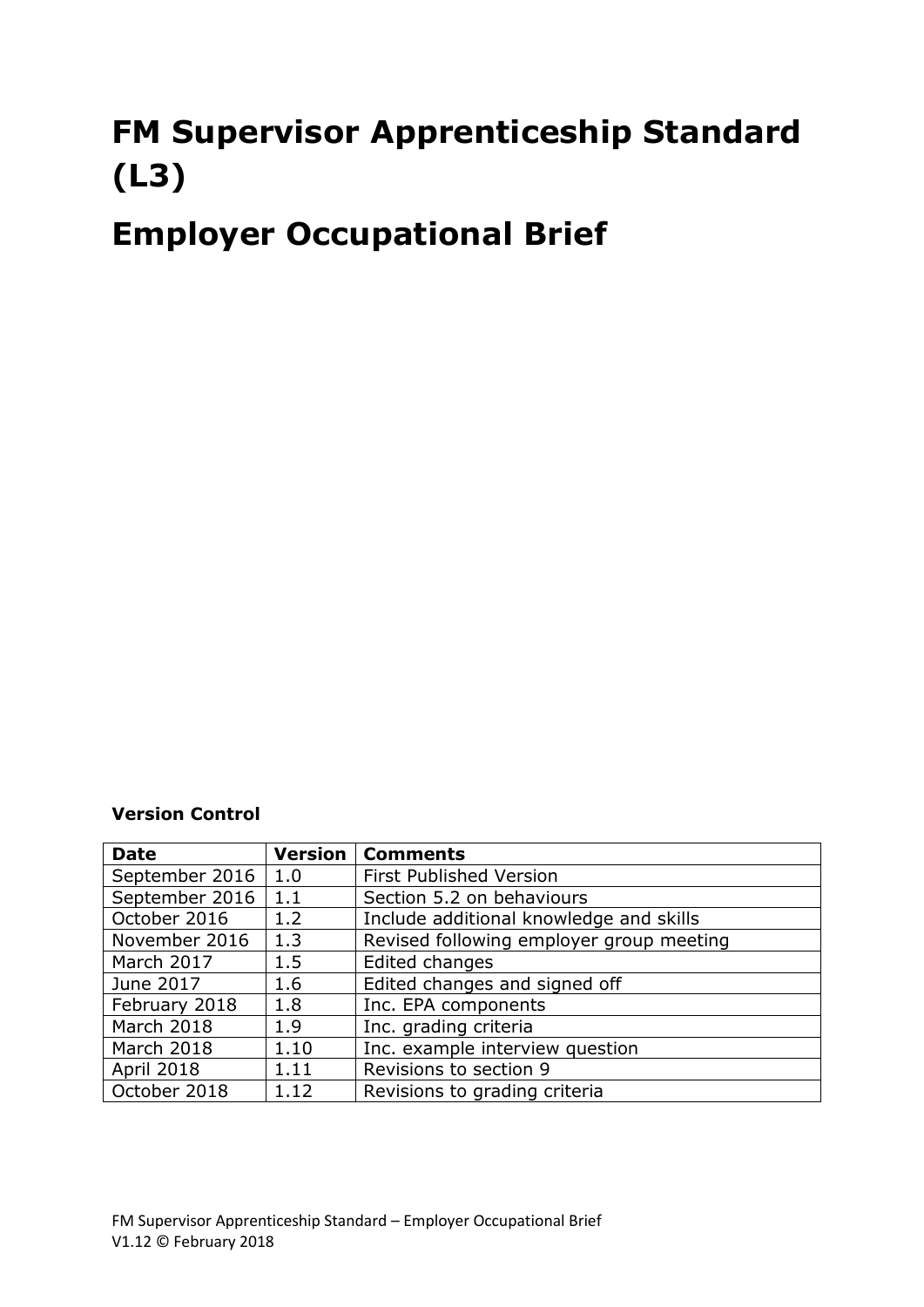# **FM Supervisor Apprenticeship Standard (L3)**

# **Employer Occupational Brief**

### **Version Control**

| <b>Date</b>       | Version | <b>Comments</b>                          |
|-------------------|---------|------------------------------------------|
| September 2016    | 1.0     | <b>First Published Version</b>           |
| September 2016    | 1.1     | Section 5.2 on behaviours                |
| October 2016      | 1.2     | Include additional knowledge and skills  |
| November 2016     | 1.3     | Revised following employer group meeting |
| March 2017        | 1.5     | Edited changes                           |
| June 2017         | 1.6     | Edited changes and signed off            |
| February 2018     | 1.8     | Inc. EPA components                      |
| March 2018        | 1.9     | Inc. grading criteria                    |
| March 2018        | 1.10    | Inc. example interview question          |
| <b>April 2018</b> | 1.11    | Revisions to section 9                   |
| October 2018      | 1.12    | Revisions to grading criteria            |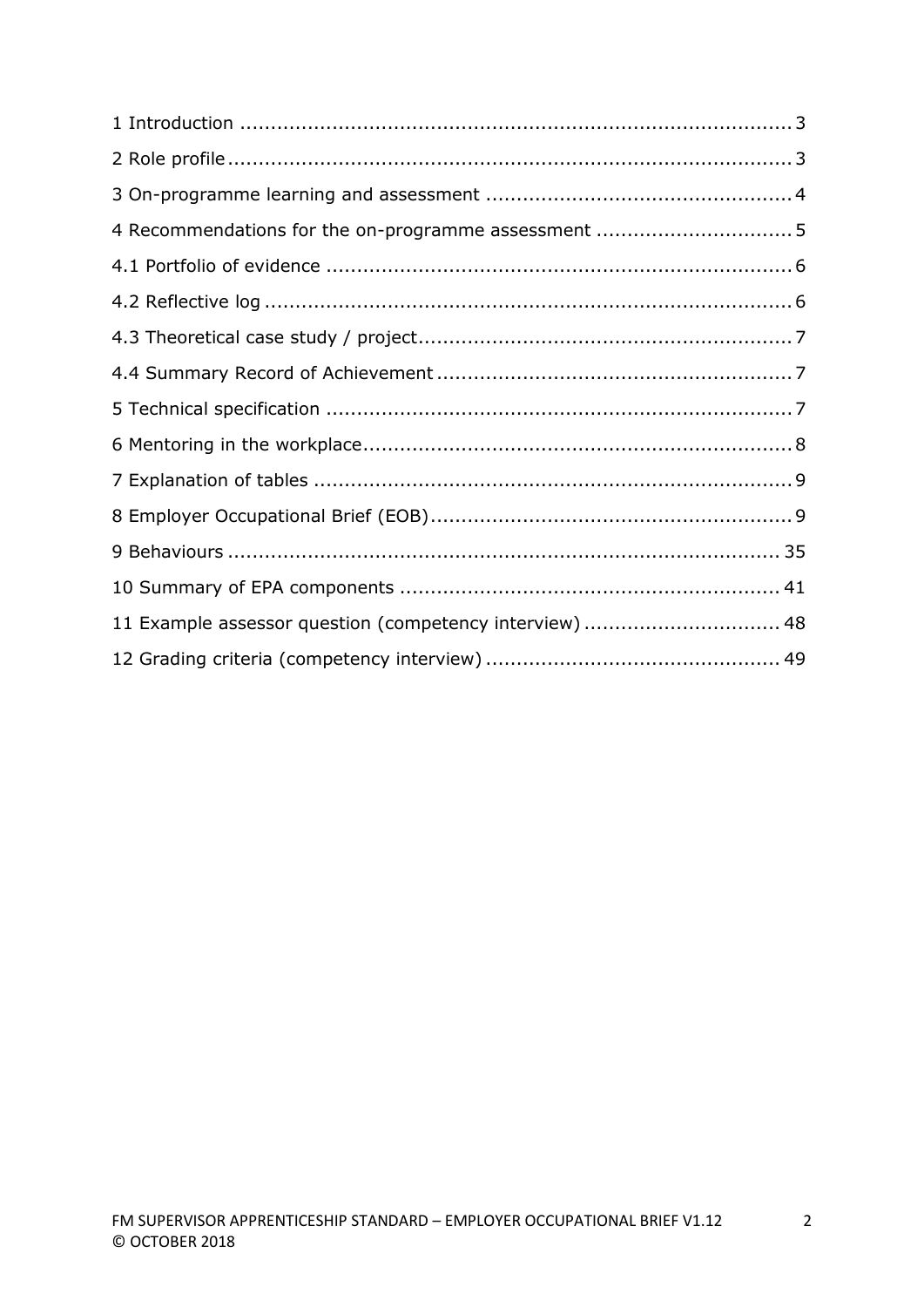| 11 Example assessor question (competency interview)  48 |  |
|---------------------------------------------------------|--|
|                                                         |  |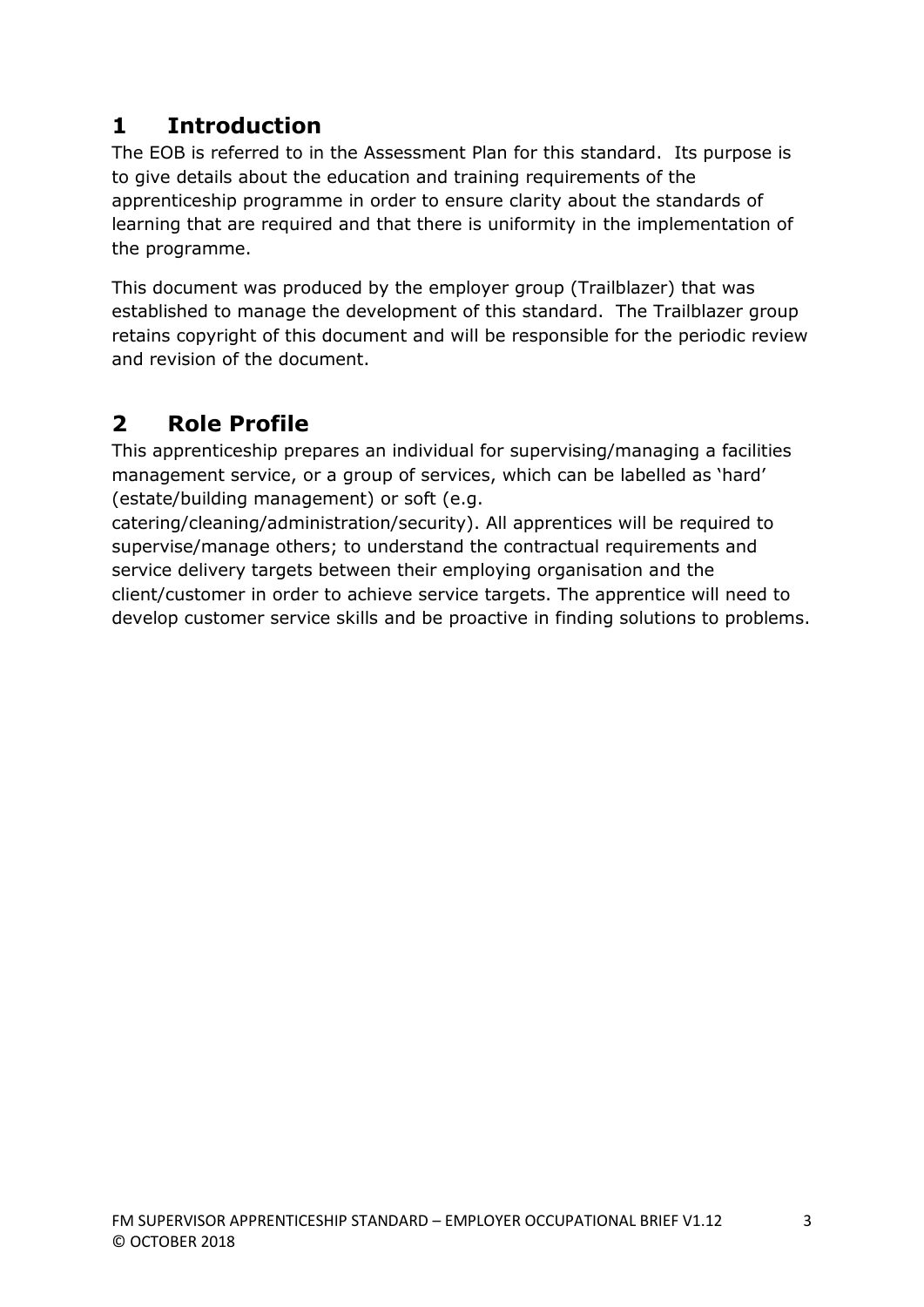# **1 Introduction**

The EOB is referred to in the Assessment Plan for this standard. Its purpose is to give details about the education and training requirements of the apprenticeship programme in order to ensure clarity about the standards of learning that are required and that there is uniformity in the implementation of the programme.

This document was produced by the employer group (Trailblazer) that was established to manage the development of this standard. The Trailblazer group retains copyright of this document and will be responsible for the periodic review and revision of the document.

# **2 Role Profile**

This apprenticeship prepares an individual for supervising/managing a facilities management service, or a group of services, which can be labelled as 'hard' (estate/building management) or soft (e.g.

catering/cleaning/administration/security). All apprentices will be required to supervise/manage others; to understand the contractual requirements and service delivery targets between their employing organisation and the client/customer in order to achieve service targets. The apprentice will need to develop customer service skills and be proactive in finding solutions to problems.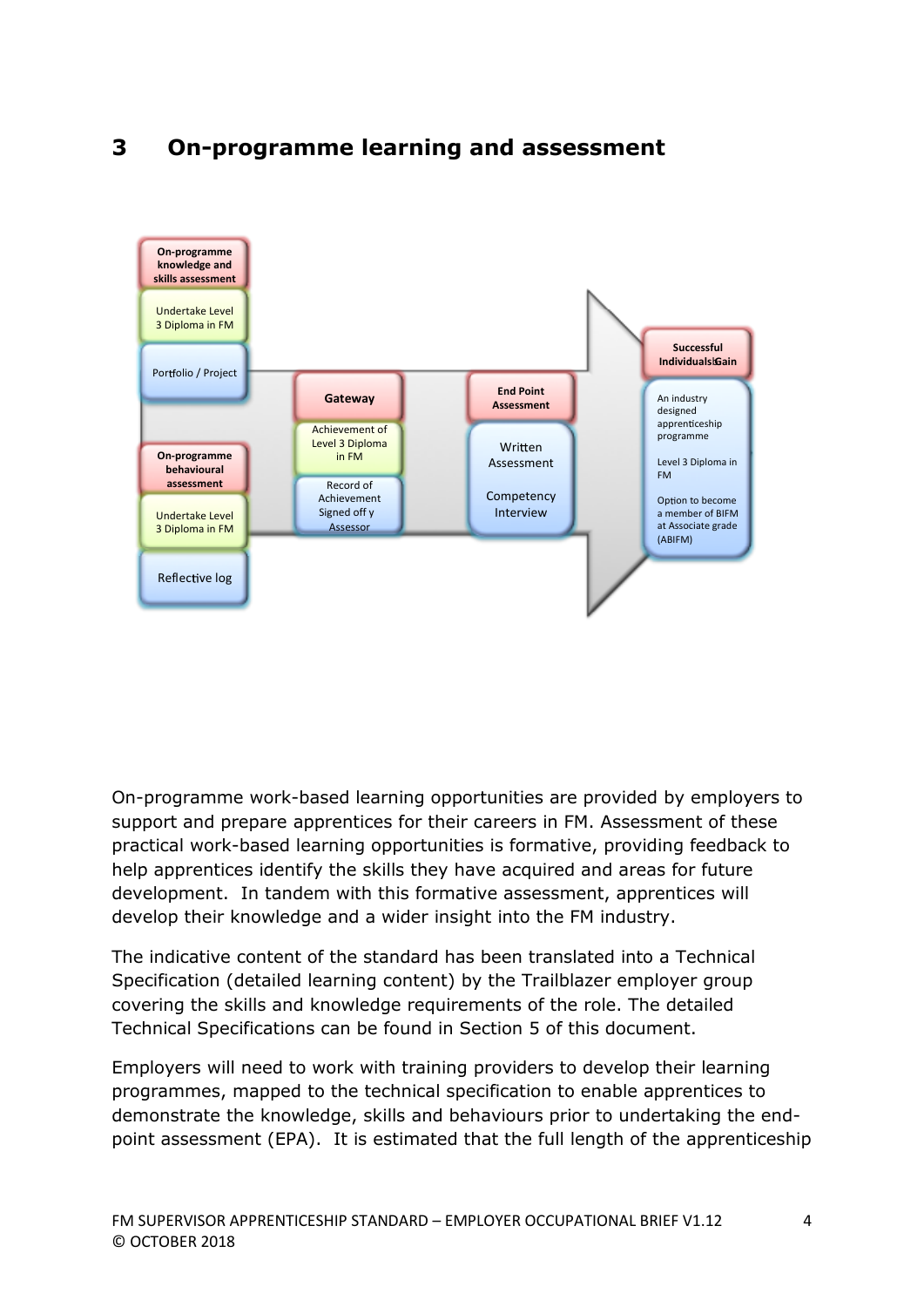

# **3 On-programme learning and assessment**

On-programme work-based learning opportunities are provided by employers to support and prepare apprentices for their careers in FM. Assessment of these practical work-based learning opportunities is formative, providing feedback to help apprentices identify the skills they have acquired and areas for future development. In tandem with this formative assessment, apprentices will develop their knowledge and a wider insight into the FM industry.

The indicative content of the standard has been translated into a Technical Specification (detailed learning content) by the Trailblazer employer group covering the skills and knowledge requirements of the role. The detailed Technical Specifications can be found in Section 5 of this document.

Employers will need to work with training providers to develop their learning programmes, mapped to the technical specification to enable apprentices to demonstrate the knowledge, skills and behaviours prior to undertaking the endpoint assessment (EPA). It is estimated that the full length of the apprenticeship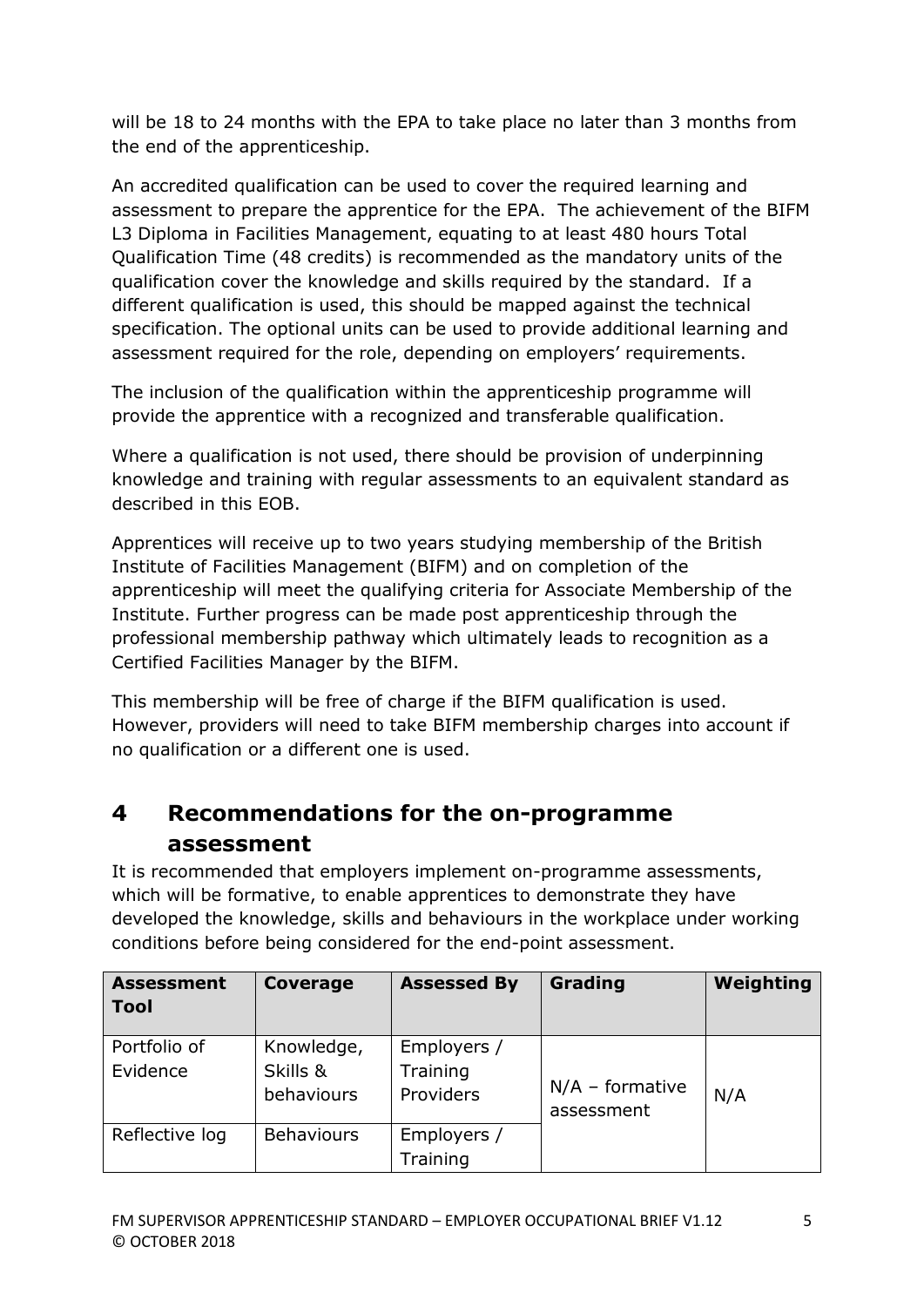will be 18 to 24 months with the EPA to take place no later than 3 months from the end of the apprenticeship.

An accredited qualification can be used to cover the required learning and assessment to prepare the apprentice for the EPA. The achievement of the BIFM L3 Diploma in Facilities Management, equating to at least 480 hours Total Qualification Time (48 credits) is recommended as the mandatory units of the qualification cover the knowledge and skills required by the standard. If a different qualification is used, this should be mapped against the technical specification. The optional units can be used to provide additional learning and assessment required for the role, depending on employers' requirements.

The inclusion of the qualification within the apprenticeship programme will provide the apprentice with a recognized and transferable qualification.

Where a qualification is not used, there should be provision of underpinning knowledge and training with regular assessments to an equivalent standard as described in this EOB.

Apprentices will receive up to two years studying membership of the British Institute of Facilities Management (BIFM) and on completion of the apprenticeship will meet the qualifying criteria for Associate Membership of the Institute. Further progress can be made post apprenticeship through the professional membership pathway which ultimately leads to recognition as a Certified Facilities Manager by the BIFM.

This membership will be free of charge if the BIFM qualification is used. However, providers will need to take BIFM membership charges into account if no qualification or a different one is used.

# **4 Recommendations for the on-programme assessment**

It is recommended that employers implement on-programme assessments, which will be formative, to enable apprentices to demonstrate they have developed the knowledge, skills and behaviours in the workplace under working conditions before being considered for the end-point assessment.

| <b>Assessment</b><br><b>Tool</b> | Coverage                             | <b>Assessed By</b>                   | Grading                         | Weighting |
|----------------------------------|--------------------------------------|--------------------------------------|---------------------------------|-----------|
| Portfolio of<br>Evidence         | Knowledge,<br>Skills &<br>behaviours | Employers /<br>Training<br>Providers | $N/A$ – formative<br>assessment | N/A       |
| Reflective log                   | <b>Behaviours</b>                    | Employers /<br>Training              |                                 |           |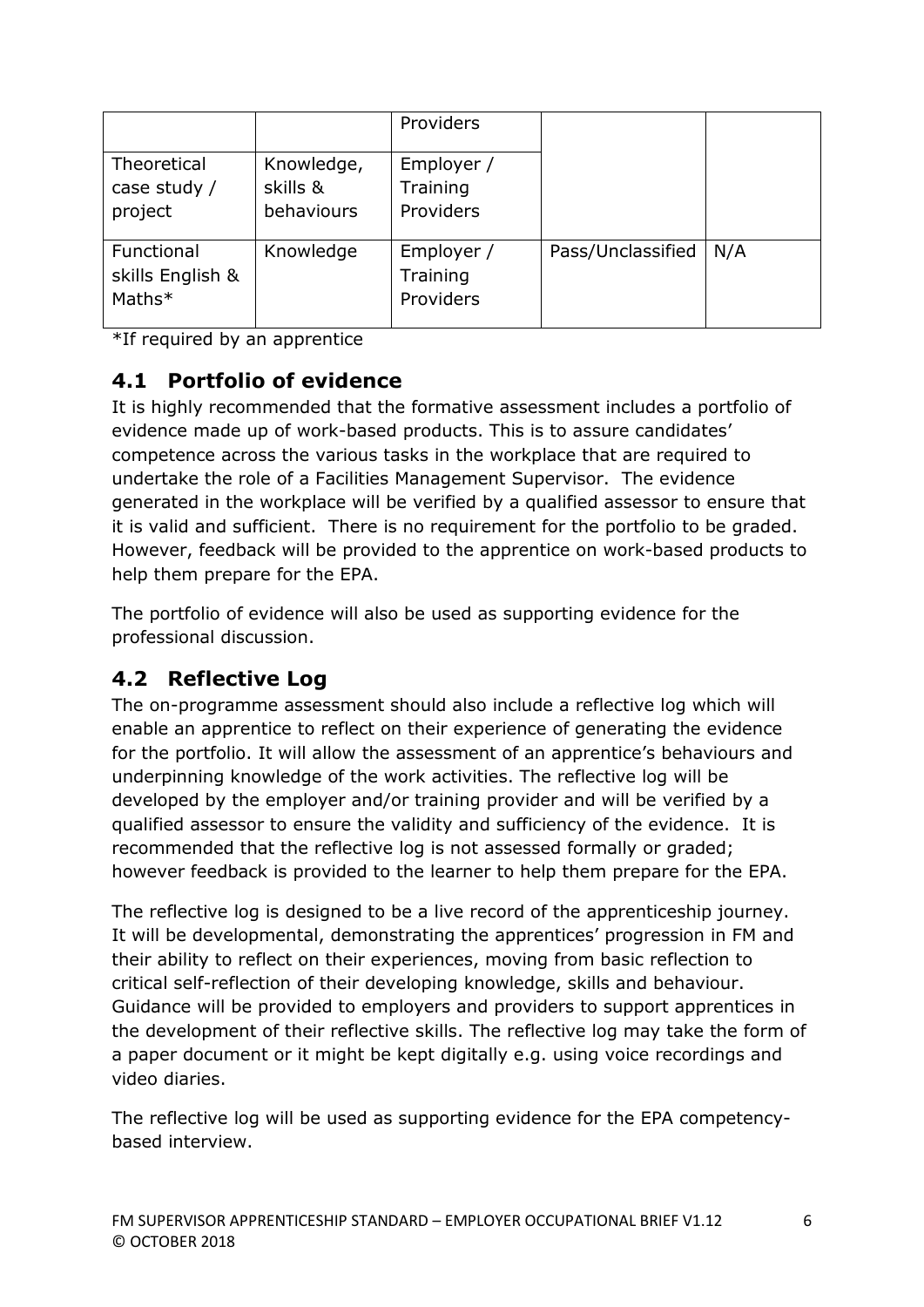|                                          |                                      | Providers                           |                   |     |
|------------------------------------------|--------------------------------------|-------------------------------------|-------------------|-----|
| Theoretical<br>case study /<br>project   | Knowledge,<br>skills &<br>behaviours | Employer /<br>Training<br>Providers |                   |     |
| Functional<br>skills English &<br>Maths* | Knowledge                            | Employer /<br>Training<br>Providers | Pass/Unclassified | N/A |

\*If required by an apprentice

# **4.1 Portfolio of evidence**

It is highly recommended that the formative assessment includes a portfolio of evidence made up of work-based products. This is to assure candidates' competence across the various tasks in the workplace that are required to undertake the role of a Facilities Management Supervisor. The evidence generated in the workplace will be verified by a qualified assessor to ensure that it is valid and sufficient. There is no requirement for the portfolio to be graded. However, feedback will be provided to the apprentice on work-based products to help them prepare for the EPA.

The portfolio of evidence will also be used as supporting evidence for the professional discussion.

# **4.2 Reflective Log**

The on-programme assessment should also include a reflective log which will enable an apprentice to reflect on their experience of generating the evidence for the portfolio. It will allow the assessment of an apprentice's behaviours and underpinning knowledge of the work activities. The reflective log will be developed by the employer and/or training provider and will be verified by a qualified assessor to ensure the validity and sufficiency of the evidence. It is recommended that the reflective log is not assessed formally or graded; however feedback is provided to the learner to help them prepare for the EPA.

The reflective log is designed to be a live record of the apprenticeship journey. It will be developmental, demonstrating the apprentices' progression in FM and their ability to reflect on their experiences, moving from basic reflection to critical self-reflection of their developing knowledge, skills and behaviour. Guidance will be provided to employers and providers to support apprentices in the development of their reflective skills. The reflective log may take the form of a paper document or it might be kept digitally e.g. using voice recordings and video diaries.

The reflective log will be used as supporting evidence for the EPA competencybased interview.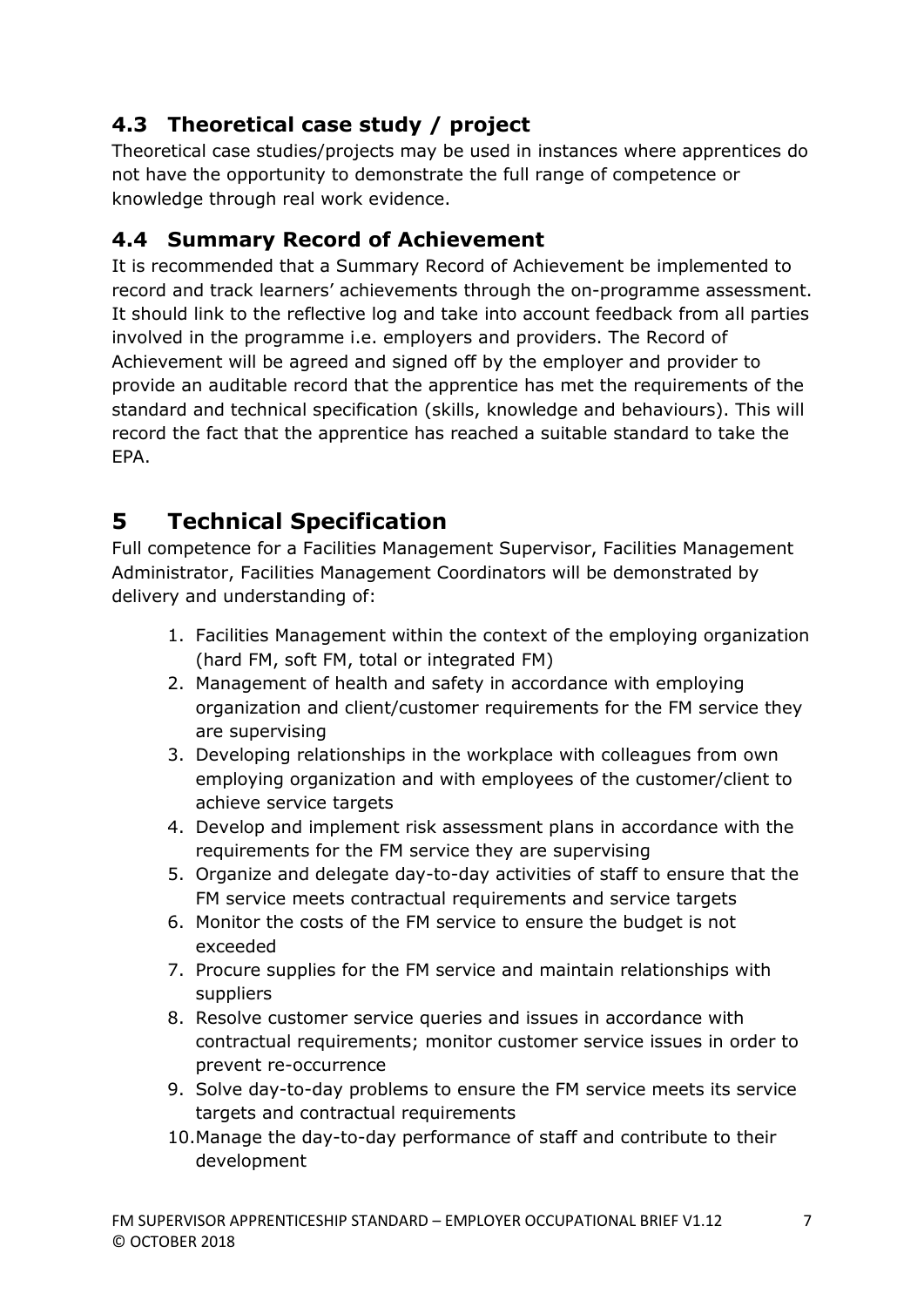# **4.3 Theoretical case study / project**

Theoretical case studies/projects may be used in instances where apprentices do not have the opportunity to demonstrate the full range of competence or knowledge through real work evidence.

# **4.4 Summary Record of Achievement**

It is recommended that a Summary Record of Achievement be implemented to record and track learners' achievements through the on-programme assessment. It should link to the reflective log and take into account feedback from all parties involved in the programme i.e. employers and providers. The Record of Achievement will be agreed and signed off by the employer and provider to provide an auditable record that the apprentice has met the requirements of the standard and technical specification (skills, knowledge and behaviours). This will record the fact that the apprentice has reached a suitable standard to take the EPA.

# **5 Technical Specification**

Full competence for a Facilities Management Supervisor, Facilities Management Administrator, Facilities Management Coordinators will be demonstrated by delivery and understanding of:

- 1. Facilities Management within the context of the employing organization (hard FM, soft FM, total or integrated FM)
- 2. Management of health and safety in accordance with employing organization and client/customer requirements for the FM service they are supervising
- 3. Developing relationships in the workplace with colleagues from own employing organization and with employees of the customer/client to achieve service targets
- 4. Develop and implement risk assessment plans in accordance with the requirements for the FM service they are supervising
- 5. Organize and delegate day-to-day activities of staff to ensure that the FM service meets contractual requirements and service targets
- 6. Monitor the costs of the FM service to ensure the budget is not exceeded
- 7. Procure supplies for the FM service and maintain relationships with suppliers
- 8. Resolve customer service queries and issues in accordance with contractual requirements; monitor customer service issues in order to prevent re-occurrence
- 9. Solve day-to-day problems to ensure the FM service meets its service targets and contractual requirements
- 10.Manage the day-to-day performance of staff and contribute to their development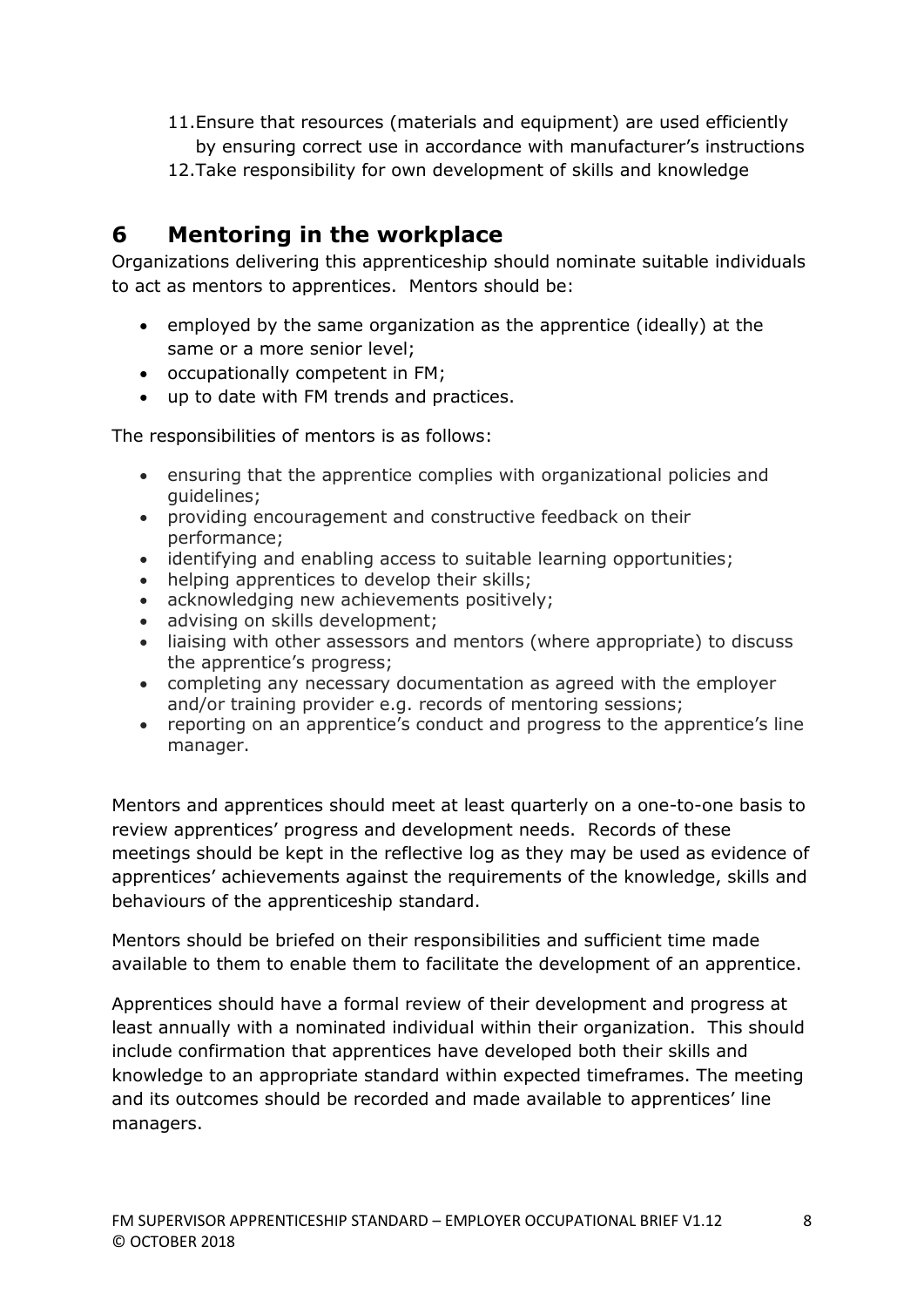- 11.Ensure that resources (materials and equipment) are used efficiently by ensuring correct use in accordance with manufacturer's instructions
- 12.Take responsibility for own development of skills and knowledge

# **6 Mentoring in the workplace**

Organizations delivering this apprenticeship should nominate suitable individuals to act as mentors to apprentices. Mentors should be:

- employed by the same organization as the apprentice (ideally) at the same or a more senior level;
- occupationally competent in FM;
- up to date with FM trends and practices.

The responsibilities of mentors is as follows:

- ensuring that the apprentice complies with organizational policies and guidelines;
- providing encouragement and constructive feedback on their performance;
- identifying and enabling access to suitable learning opportunities;
- helping apprentices to develop their skills;
- acknowledging new achievements positively;
- advising on skills development;
- liaising with other assessors and mentors (where appropriate) to discuss the apprentice's progress;
- completing any necessary documentation as agreed with the employer and/or training provider e.g. records of mentoring sessions;
- reporting on an apprentice's conduct and progress to the apprentice's line manager.

Mentors and apprentices should meet at least quarterly on a one-to-one basis to review apprentices' progress and development needs. Records of these meetings should be kept in the reflective log as they may be used as evidence of apprentices' achievements against the requirements of the knowledge, skills and behaviours of the apprenticeship standard.

Mentors should be briefed on their responsibilities and sufficient time made available to them to enable them to facilitate the development of an apprentice.

Apprentices should have a formal review of their development and progress at least annually with a nominated individual within their organization. This should include confirmation that apprentices have developed both their skills and knowledge to an appropriate standard within expected timeframes. The meeting and its outcomes should be recorded and made available to apprentices' line managers.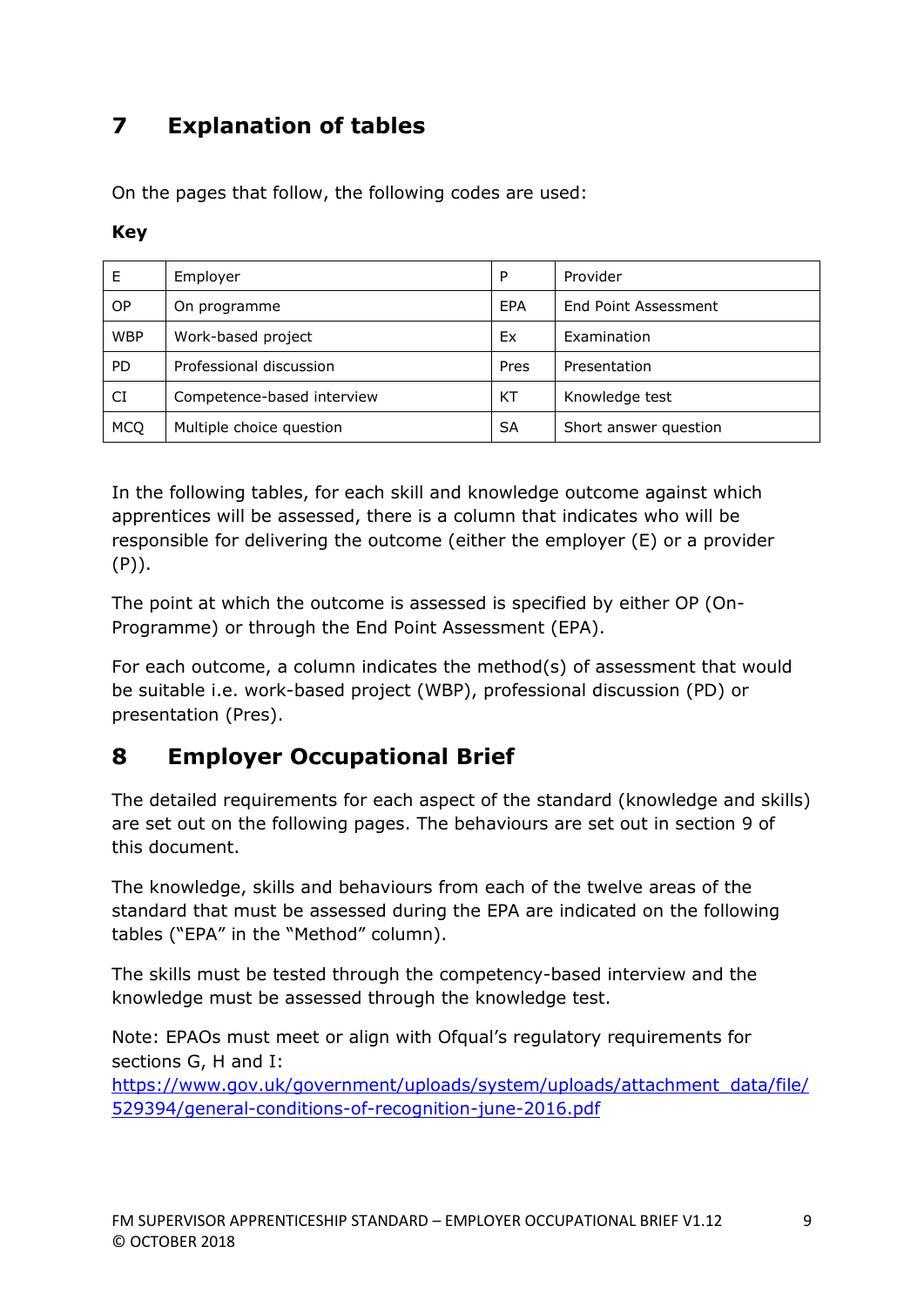# **7 Explanation of tables**

On the pages that follow, the following codes are used:

### **Key**

|            | Employer                   | P    | Provider              |
|------------|----------------------------|------|-----------------------|
| ОP         | On programme               | EPA  | End Point Assessment  |
| <b>WBP</b> | Work-based project         | Ex   | Examination           |
| <b>PD</b>  | Professional discussion    | Pres | Presentation          |
| CI         | Competence-based interview | KT   | Knowledge test        |
| <b>MCQ</b> | Multiple choice question   | SA   | Short answer question |

In the following tables, for each skill and knowledge outcome against which apprentices will be assessed, there is a column that indicates who will be responsible for delivering the outcome (either the employer (E) or a provider (P)).

The point at which the outcome is assessed is specified by either OP (On-Programme) or through the End Point Assessment (EPA).

For each outcome, a column indicates the method(s) of assessment that would be suitable i.e. work-based project (WBP), professional discussion (PD) or presentation (Pres).

# **8 Employer Occupational Brief**

The detailed requirements for each aspect of the standard (knowledge and skills) are set out on the following pages. The behaviours are set out in section 9 of this document.

The knowledge, skills and behaviours from each of the twelve areas of the standard that must be assessed during the EPA are indicated on the following tables ("EPA" in the "Method" column).

The skills must be tested through the competency-based interview and the knowledge must be assessed through the knowledge test.

Note: EPAOs must meet or align with Ofqual's regulatory requirements for sections G, H and I:

[https://www.gov.uk/government/uploads/system/uploads/attachment\\_data/file/](https://www.gov.uk/government/uploads/system/uploads/attachment_data/file/529394/general-conditions-of-recognition-june-2016.pdf) [529394/general-conditions-of-recognition-june-2016.pdf](https://www.gov.uk/government/uploads/system/uploads/attachment_data/file/529394/general-conditions-of-recognition-june-2016.pdf)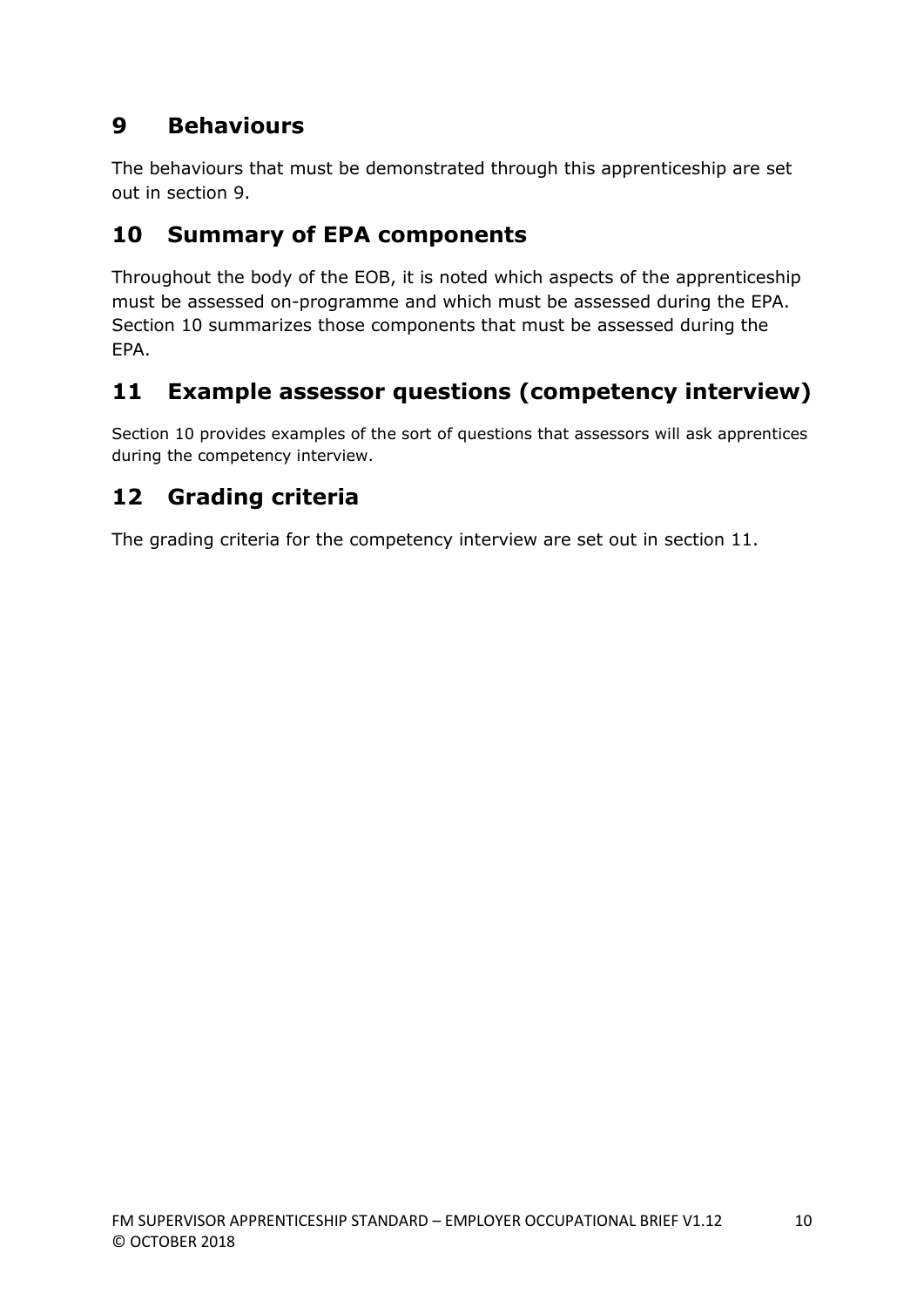# **9 Behaviours**

The behaviours that must be demonstrated through this apprenticeship are set out in section 9.

# **10 Summary of EPA components**

Throughout the body of the EOB, it is noted which aspects of the apprenticeship must be assessed on-programme and which must be assessed during the EPA. Section 10 summarizes those components that must be assessed during the EPA.

# **11 Example assessor questions (competency interview)**

Section 10 provides examples of the sort of questions that assessors will ask apprentices during the competency interview.

# **12 Grading criteria**

The grading criteria for the competency interview are set out in section 11.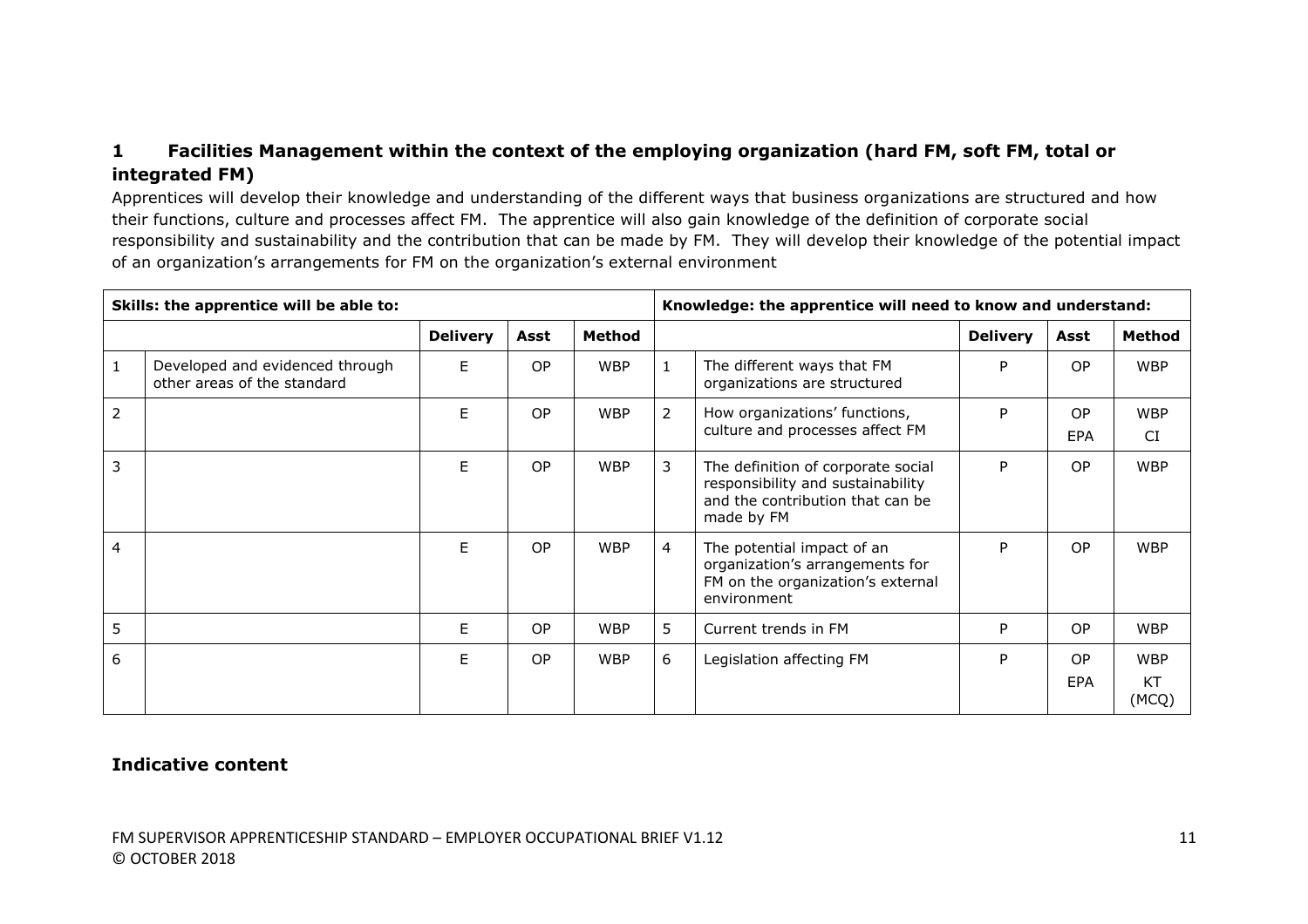# **1 Facilities Management within the context of the employing organization (hard FM, soft FM, total or integrated FM)**

Apprentices will develop their knowledge and understanding of the different ways that business organizations are structured and how their functions, culture and processes affect FM. The apprentice will also gain knowledge of the definition of corporate social responsibility and sustainability and the contribution that can be made by FM. They will develop their knowledge of the potential impact of an organization's arrangements for FM on the organization's external environment

| Skills: the apprentice will be able to: |                                                                |                 |           |               | Knowledge: the apprentice will need to know and understand: |                                                                                                                           |                 |                   |                                  |
|-----------------------------------------|----------------------------------------------------------------|-----------------|-----------|---------------|-------------------------------------------------------------|---------------------------------------------------------------------------------------------------------------------------|-----------------|-------------------|----------------------------------|
|                                         |                                                                | <b>Delivery</b> | Asst      | <b>Method</b> |                                                             |                                                                                                                           | <b>Delivery</b> | Asst              | Method                           |
|                                         | Developed and evidenced through<br>other areas of the standard | F.              | <b>OP</b> | <b>WBP</b>    |                                                             | The different ways that FM<br>organizations are structured                                                                | P               | OP.               | <b>WBP</b>                       |
| $\overline{2}$                          |                                                                | F               | OP.       | <b>WBP</b>    | $\overline{2}$                                              | How organizations' functions,<br>culture and processes affect FM                                                          | P               | OP.<br><b>EPA</b> | <b>WBP</b><br>CI                 |
| 3                                       |                                                                | Е               | OP.       | <b>WBP</b>    | 3                                                           | The definition of corporate social<br>responsibility and sustainability<br>and the contribution that can be<br>made by FM | P               | OP.               | <b>WBP</b>                       |
| 4                                       |                                                                | E               | <b>OP</b> | <b>WBP</b>    | $\overline{4}$                                              | The potential impact of an<br>organization's arrangements for<br>FM on the organization's external<br>environment         | P               | OP.               | <b>WBP</b>                       |
| 5                                       |                                                                | E               | OP.       | <b>WBP</b>    | 5                                                           | Current trends in FM                                                                                                      | P               | <b>OP</b>         | <b>WBP</b>                       |
| 6                                       |                                                                | F.              | <b>OP</b> | <b>WBP</b>    | 6                                                           | Legislation affecting FM                                                                                                  | P               | OP.<br><b>EPA</b> | <b>WBP</b><br><b>KT</b><br>(MCQ) |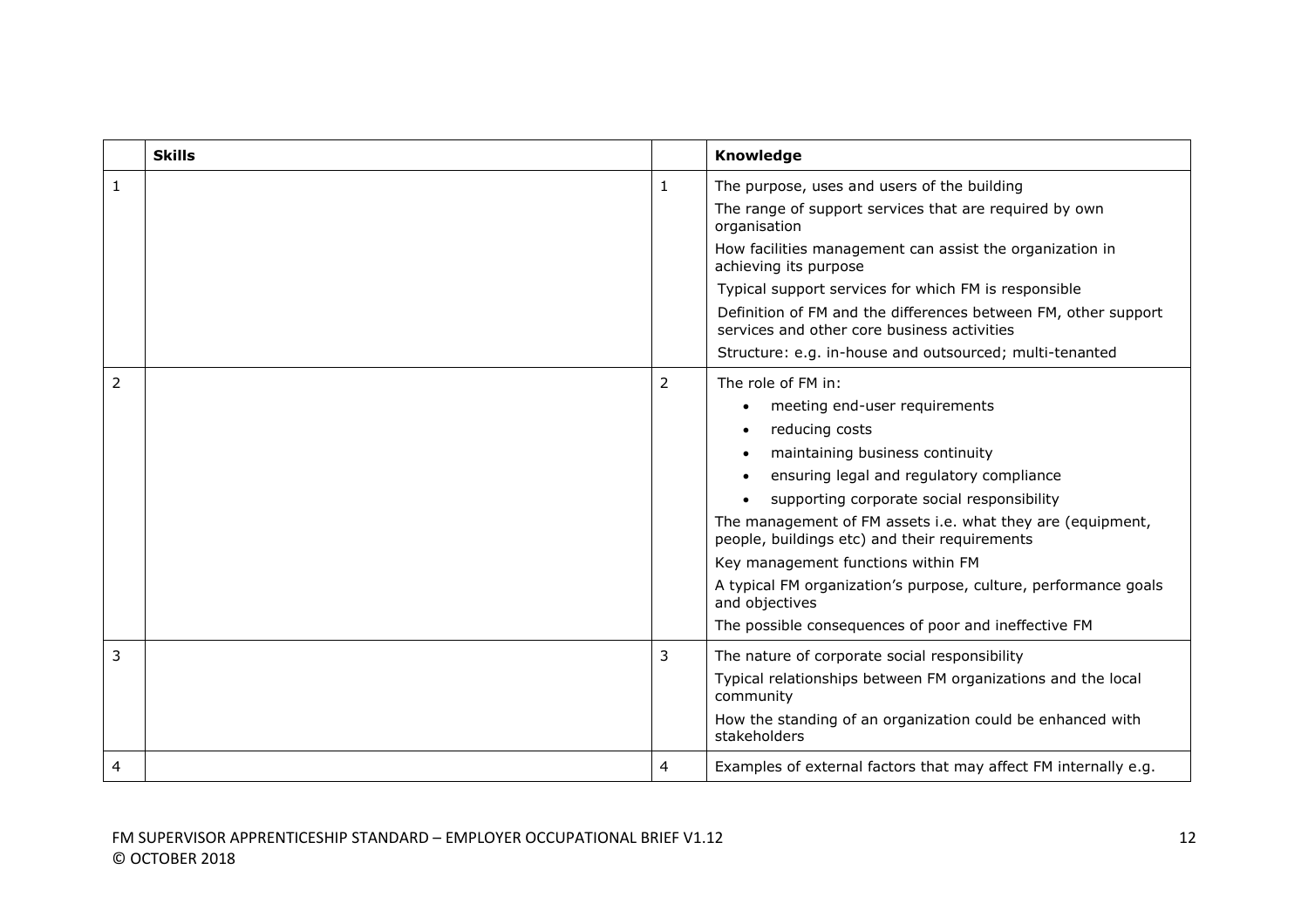|              | <b>Skills</b> |              | Knowledge                                                                                                     |
|--------------|---------------|--------------|---------------------------------------------------------------------------------------------------------------|
| $\mathbf{1}$ |               | $\mathbf{1}$ | The purpose, uses and users of the building                                                                   |
|              |               |              | The range of support services that are required by own<br>organisation                                        |
|              |               |              | How facilities management can assist the organization in<br>achieving its purpose                             |
|              |               |              | Typical support services for which FM is responsible                                                          |
|              |               |              | Definition of FM and the differences between FM, other support<br>services and other core business activities |
|              |               |              | Structure: e.g. in-house and outsourced; multi-tenanted                                                       |
| 2            |               | 2            | The role of FM in:                                                                                            |
|              |               |              | meeting end-user requirements                                                                                 |
|              |               |              | reducing costs                                                                                                |
|              |               |              | maintaining business continuity                                                                               |
|              |               |              | ensuring legal and regulatory compliance                                                                      |
|              |               |              | supporting corporate social responsibility                                                                    |
|              |               |              | The management of FM assets i.e. what they are (equipment,<br>people, buildings etc) and their requirements   |
|              |               |              | Key management functions within FM                                                                            |
|              |               |              | A typical FM organization's purpose, culture, performance goals<br>and objectives                             |
|              |               |              | The possible consequences of poor and ineffective FM                                                          |
| 3            |               | 3            | The nature of corporate social responsibility                                                                 |
|              |               |              | Typical relationships between FM organizations and the local<br>community                                     |
|              |               |              | How the standing of an organization could be enhanced with<br>stakeholders                                    |
| 4            |               | 4            | Examples of external factors that may affect FM internally e.g.                                               |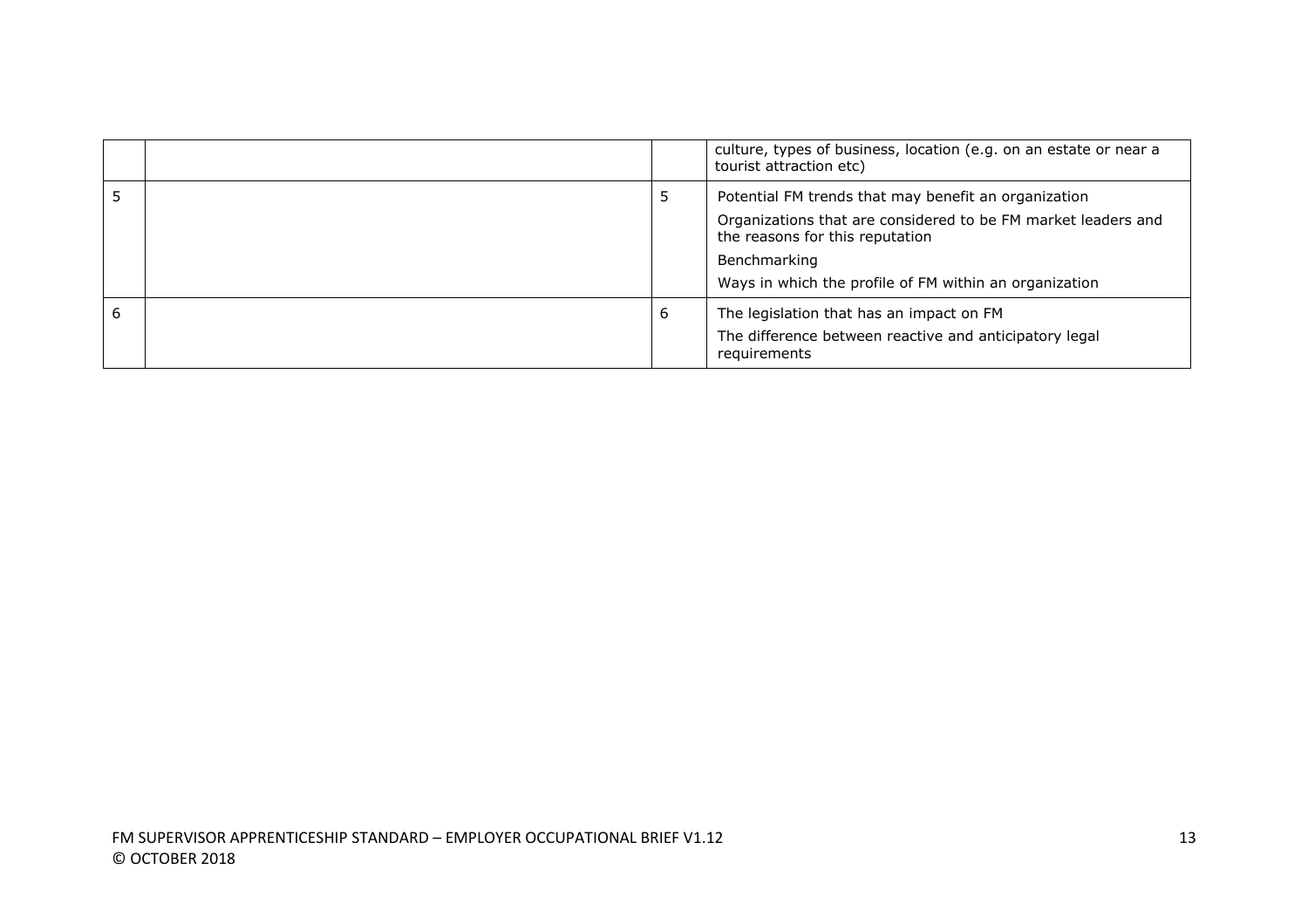|   |   | culture, types of business, location (e.g. on an estate or near a<br>tourist attraction etc)                                                                                                                                       |
|---|---|------------------------------------------------------------------------------------------------------------------------------------------------------------------------------------------------------------------------------------|
|   | ל | Potential FM trends that may benefit an organization<br>Organizations that are considered to be FM market leaders and<br>the reasons for this reputation<br>Benchmarking<br>Ways in which the profile of FM within an organization |
| 6 | 6 | The legislation that has an impact on FM<br>The difference between reactive and anticipatory legal<br>requirements                                                                                                                 |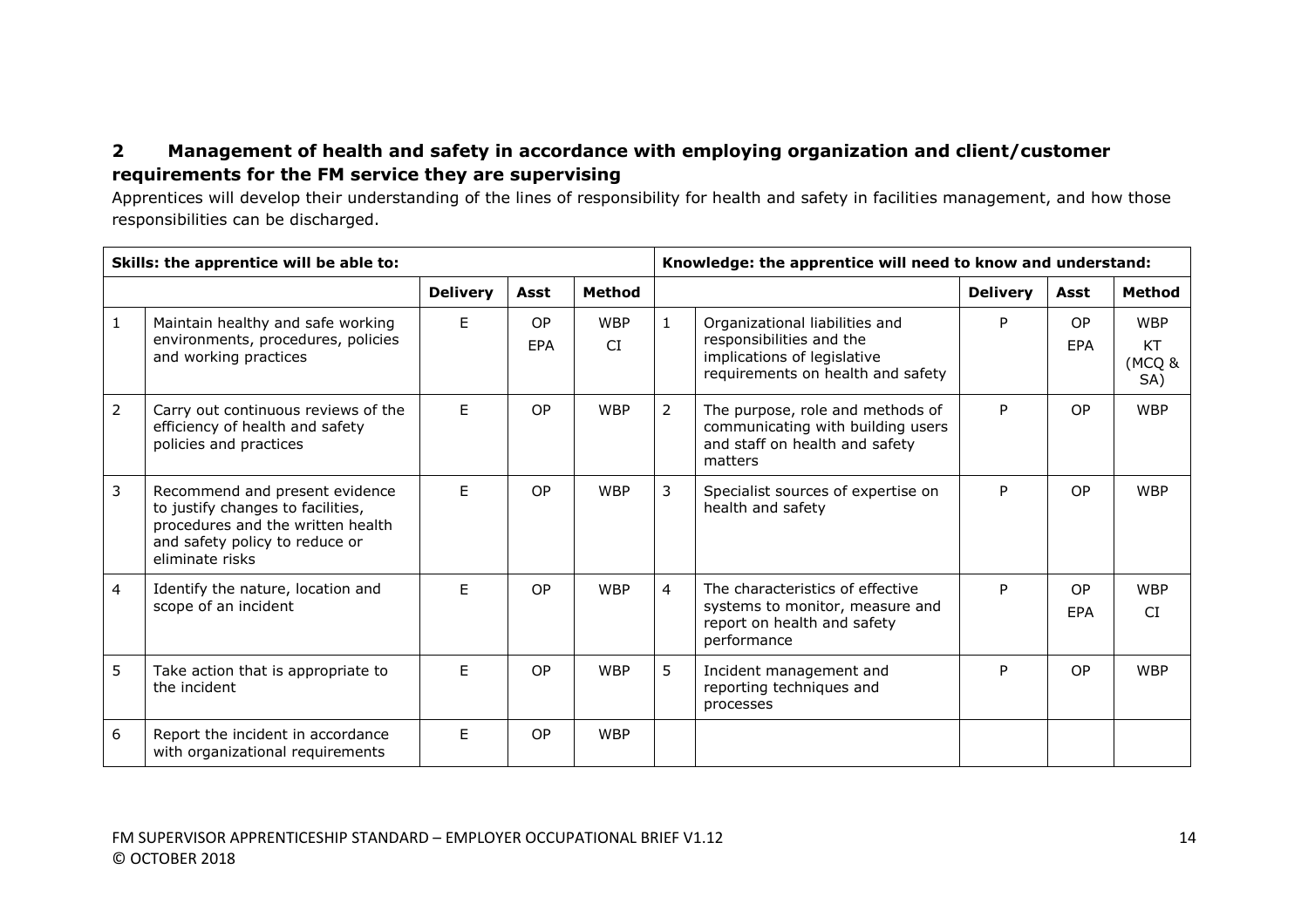# **2 Management of health and safety in accordance with employing organization and client/customer requirements for the FM service they are supervising**

Apprentices will develop their understanding of the lines of responsibility for health and safety in facilities management, and how those responsibilities can be discharged.

| Skills: the apprentice will be able to: |                                                                                                                                                               |                 |           |                  | Knowledge: the apprentice will need to know and understand: |                                                                                                                                |                 |                         |                                   |
|-----------------------------------------|---------------------------------------------------------------------------------------------------------------------------------------------------------------|-----------------|-----------|------------------|-------------------------------------------------------------|--------------------------------------------------------------------------------------------------------------------------------|-----------------|-------------------------|-----------------------------------|
|                                         |                                                                                                                                                               | <b>Delivery</b> | Asst      | <b>Method</b>    |                                                             |                                                                                                                                | <b>Delivery</b> | Asst                    | <b>Method</b>                     |
| 1                                       | Maintain healthy and safe working<br>environments, procedures, policies<br>and working practices                                                              | F.              | OP<br>EPA | <b>WBP</b><br>CI | $\mathbf{1}$                                                | Organizational liabilities and<br>responsibilities and the<br>implications of legislative<br>requirements on health and safety | P               | <b>OP</b><br><b>FPA</b> | <b>WBP</b><br>KT<br>(MCQ &<br>SA) |
| 2                                       | Carry out continuous reviews of the<br>efficiency of health and safety<br>policies and practices                                                              | F.              | OP        | <b>WBP</b>       | $\overline{2}$                                              | The purpose, role and methods of<br>communicating with building users<br>and staff on health and safety<br>matters             | P               | <b>OP</b>               | <b>WBP</b>                        |
| 3                                       | Recommend and present evidence<br>to justify changes to facilities,<br>procedures and the written health<br>and safety policy to reduce or<br>eliminate risks | F.              | OP        | <b>WBP</b>       | 3                                                           | Specialist sources of expertise on<br>health and safety                                                                        | P               | <b>OP</b>               | <b>WBP</b>                        |
| 4                                       | Identify the nature, location and<br>scope of an incident                                                                                                     | F.              | OP        | <b>WBP</b>       | $\overline{4}$                                              | The characteristics of effective<br>systems to monitor, measure and<br>report on health and safety<br>performance              | P               | <b>OP</b><br><b>FPA</b> | <b>WBP</b><br>CI.                 |
| 5                                       | Take action that is appropriate to<br>the incident                                                                                                            | F               | OP        | <b>WBP</b>       | 5                                                           | Incident management and<br>reporting techniques and<br>processes                                                               | P               | <b>OP</b>               | <b>WBP</b>                        |
| 6                                       | Report the incident in accordance<br>with organizational requirements                                                                                         | F.              | OP        | <b>WBP</b>       |                                                             |                                                                                                                                |                 |                         |                                   |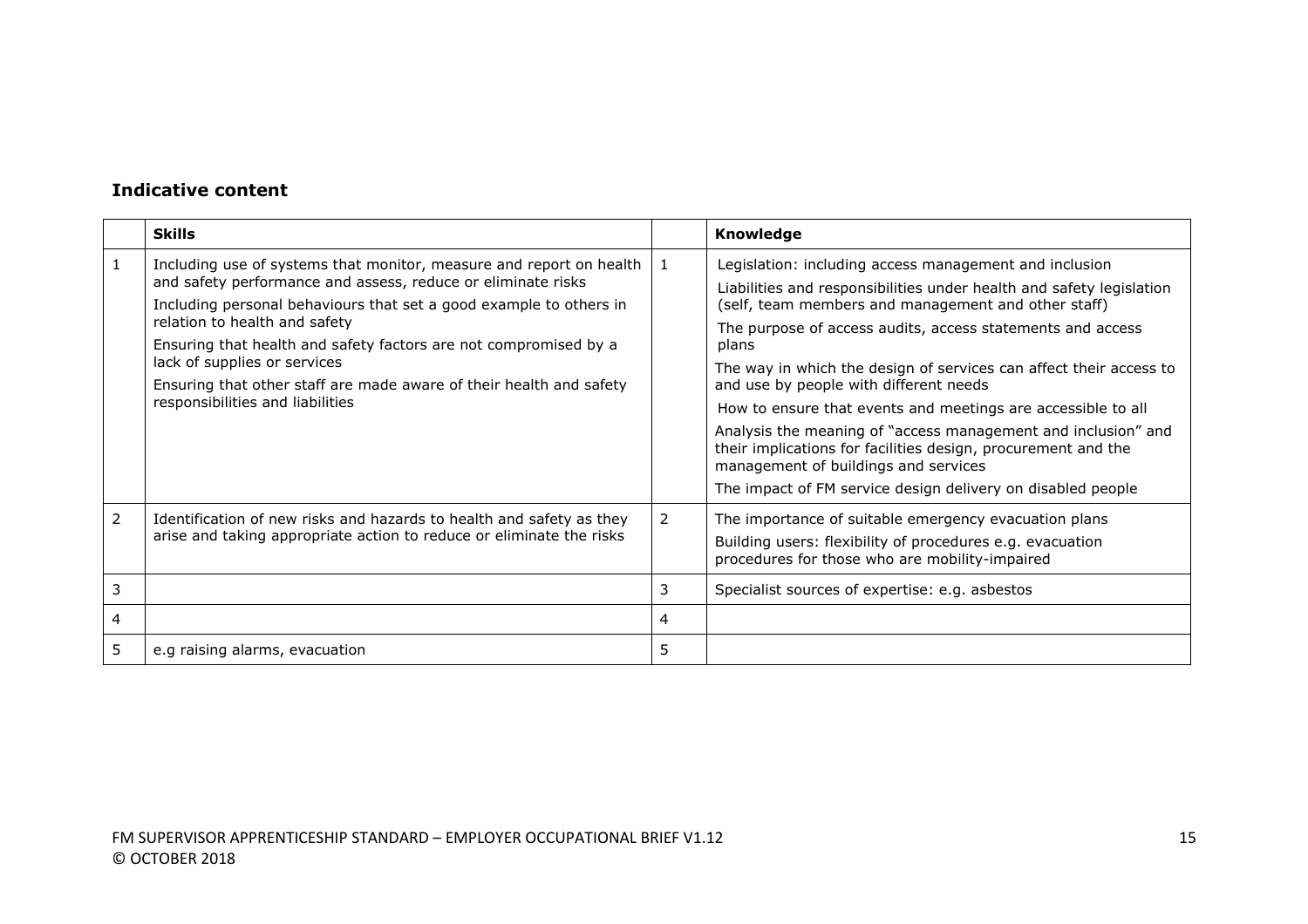|             | <b>Skills</b>                                                                                                                                                                                                                                                                                                                                                                                                                                             |             | Knowledge                                                                                                                                                                                                                                                                                                                                                                                                                                                                                                                                                                                                                                                                             |
|-------------|-----------------------------------------------------------------------------------------------------------------------------------------------------------------------------------------------------------------------------------------------------------------------------------------------------------------------------------------------------------------------------------------------------------------------------------------------------------|-------------|---------------------------------------------------------------------------------------------------------------------------------------------------------------------------------------------------------------------------------------------------------------------------------------------------------------------------------------------------------------------------------------------------------------------------------------------------------------------------------------------------------------------------------------------------------------------------------------------------------------------------------------------------------------------------------------|
|             | Including use of systems that monitor, measure and report on health<br>and safety performance and assess, reduce or eliminate risks<br>Including personal behaviours that set a good example to others in<br>relation to health and safety<br>Ensuring that health and safety factors are not compromised by a<br>lack of supplies or services<br>Ensuring that other staff are made aware of their health and safety<br>responsibilities and liabilities | 1           | Legislation: including access management and inclusion<br>Liabilities and responsibilities under health and safety legislation<br>(self, team members and management and other staff)<br>The purpose of access audits, access statements and access<br>plans<br>The way in which the design of services can affect their access to<br>and use by people with different needs<br>How to ensure that events and meetings are accessible to all<br>Analysis the meaning of "access management and inclusion" and<br>their implications for facilities design, procurement and the<br>management of buildings and services<br>The impact of FM service design delivery on disabled people |
| 2<br>3<br>4 | Identification of new risks and hazards to health and safety as they<br>arise and taking appropriate action to reduce or eliminate the risks                                                                                                                                                                                                                                                                                                              | 2<br>3<br>4 | The importance of suitable emergency evacuation plans<br>Building users: flexibility of procedures e.g. evacuation<br>procedures for those who are mobility-impaired<br>Specialist sources of expertise: e.g. asbestos                                                                                                                                                                                                                                                                                                                                                                                                                                                                |
| 5           | e.g raising alarms, evacuation                                                                                                                                                                                                                                                                                                                                                                                                                            | 5           |                                                                                                                                                                                                                                                                                                                                                                                                                                                                                                                                                                                                                                                                                       |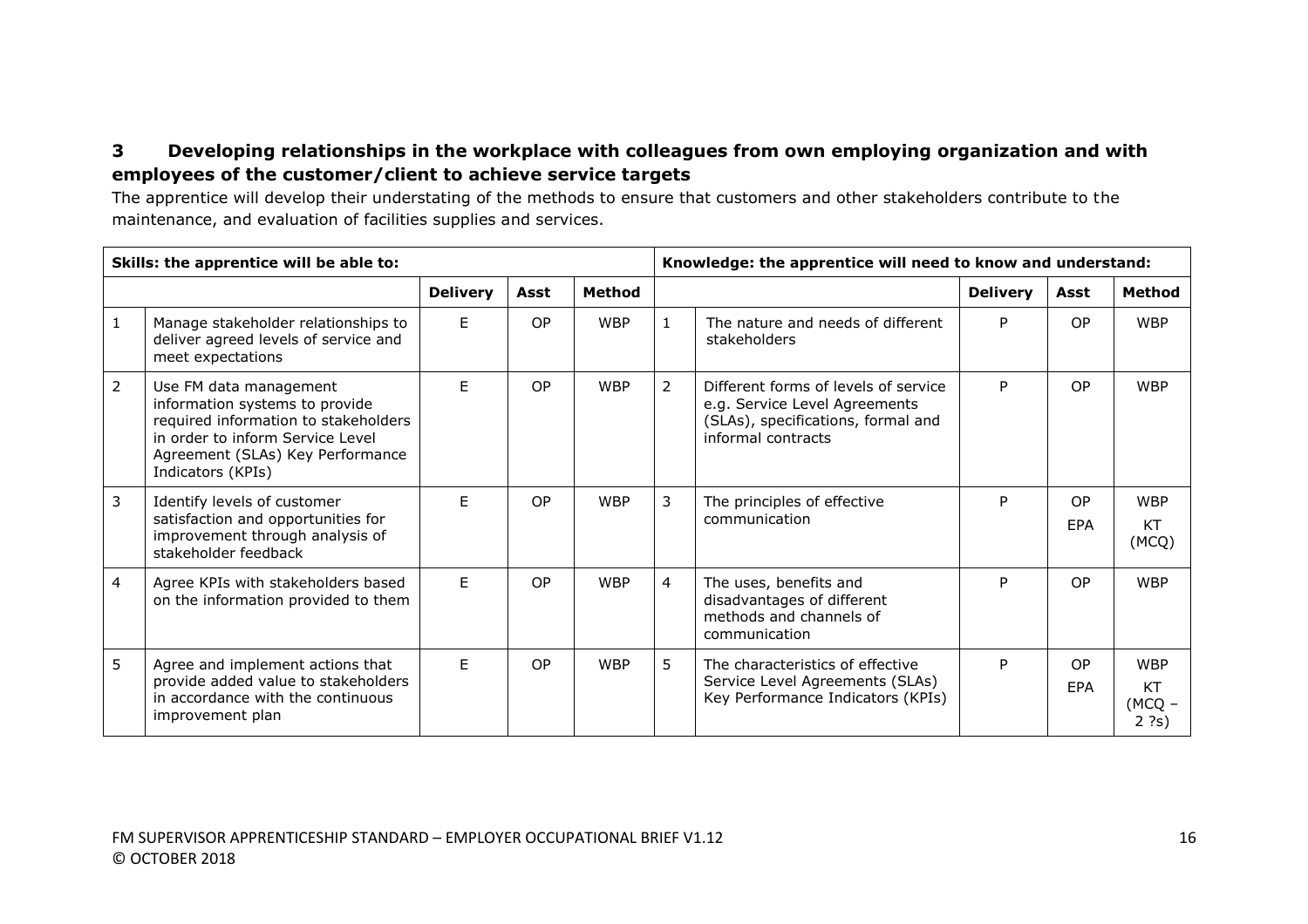# **3 Developing relationships in the workplace with colleagues from own employing organization and with employees of the customer/client to achieve service targets**

The apprentice will develop their understating of the methods to ensure that customers and other stakeholders contribute to the maintenance, and evaluation of facilities supplies and services.

|                | Skills: the apprentice will be able to:                                                                                                                                                       |                 |      |               | Knowledge: the apprentice will need to know and understand: |                                                                                                                                   |                 |                  |                                         |
|----------------|-----------------------------------------------------------------------------------------------------------------------------------------------------------------------------------------------|-----------------|------|---------------|-------------------------------------------------------------|-----------------------------------------------------------------------------------------------------------------------------------|-----------------|------------------|-----------------------------------------|
|                |                                                                                                                                                                                               | <b>Delivery</b> | Asst | <b>Method</b> |                                                             |                                                                                                                                   | <b>Delivery</b> | Asst             | <b>Method</b>                           |
|                | Manage stakeholder relationships to<br>deliver agreed levels of service and<br>meet expectations                                                                                              | F.              | OP   | <b>WBP</b>    | 1                                                           | The nature and needs of different<br>stakeholders                                                                                 | P               | OP.              | <b>WBP</b>                              |
| $\overline{2}$ | Use FM data management<br>information systems to provide<br>required information to stakeholders<br>in order to inform Service Level<br>Agreement (SLAs) Key Performance<br>Indicators (KPIs) | F.              | OP   | <b>WBP</b>    | $\overline{2}$                                              | Different forms of levels of service<br>e.g. Service Level Agreements<br>(SLAs), specifications, formal and<br>informal contracts | P.              | <b>OP</b>        | <b>WBP</b>                              |
| 3              | Identify levels of customer<br>satisfaction and opportunities for<br>improvement through analysis of<br>stakeholder feedback                                                                  | F               | OP   | <b>WBP</b>    | 3                                                           | The principles of effective<br>communication                                                                                      | P               | <b>OP</b><br>EPA | <b>WBP</b><br>KT<br>(MCQ)               |
| 4              | Agree KPIs with stakeholders based<br>on the information provided to them                                                                                                                     | F.              | OP   | <b>WBP</b>    | $\overline{4}$                                              | The uses, benefits and<br>disadvantages of different<br>methods and channels of<br>communication                                  | P               | <b>OP</b>        | <b>WBP</b>                              |
| 5              | Agree and implement actions that<br>provide added value to stakeholders<br>in accordance with the continuous<br>improvement plan                                                              | E               | OP   | <b>WBP</b>    | 5                                                           | The characteristics of effective<br>Service Level Agreements (SLAs)<br>Key Performance Indicators (KPIs)                          | P               | <b>OP</b><br>EPA | <b>WBP</b><br>KT<br>$(MCQ -$<br>$2$ ?s) |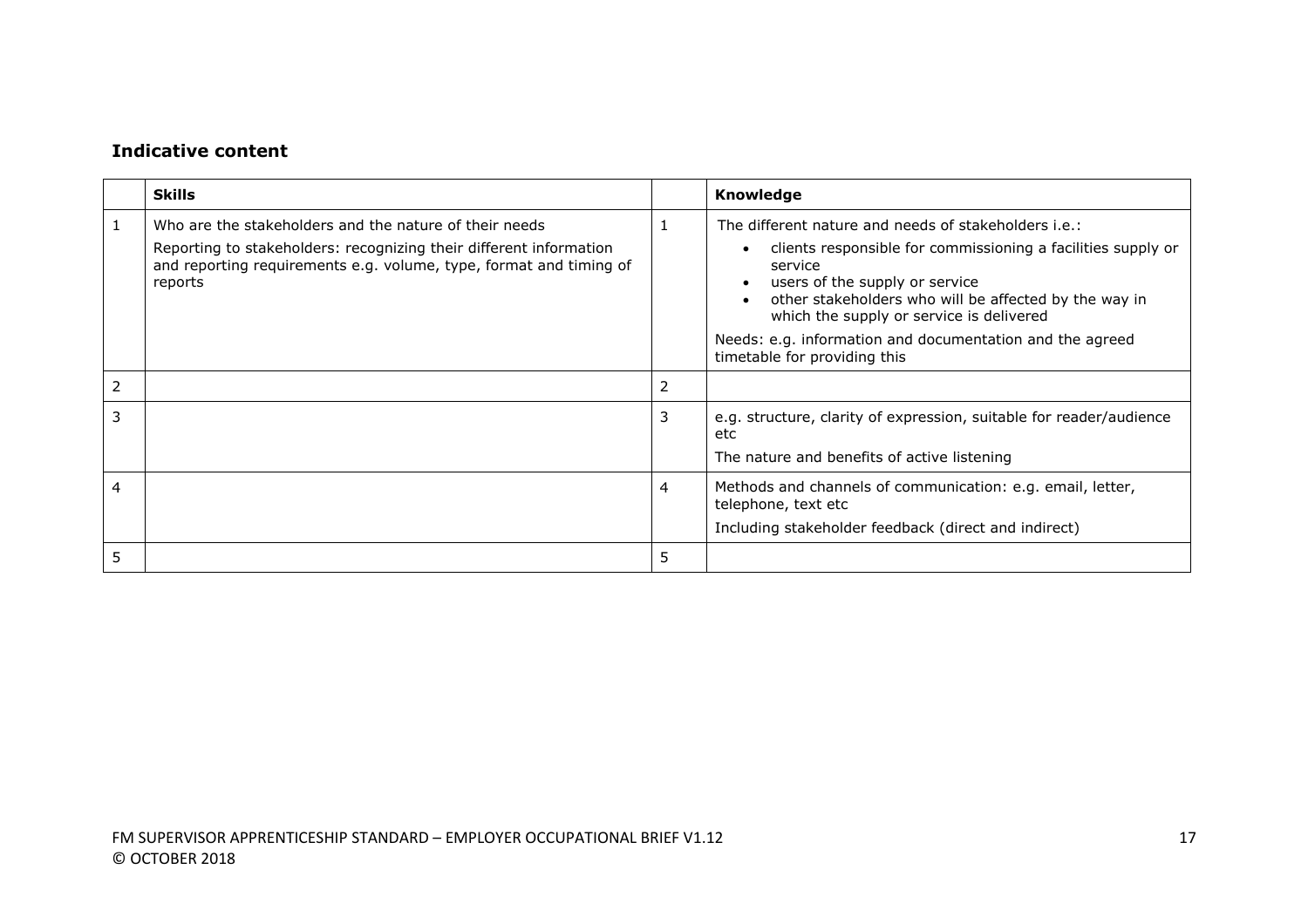|   | <b>Skills</b>                                                                                                                                                                                                 |   | Knowledge                                                                                                                                                                                                                                                                                                                          |
|---|---------------------------------------------------------------------------------------------------------------------------------------------------------------------------------------------------------------|---|------------------------------------------------------------------------------------------------------------------------------------------------------------------------------------------------------------------------------------------------------------------------------------------------------------------------------------|
| 1 | Who are the stakeholders and the nature of their needs<br>Reporting to stakeholders: recognizing their different information<br>and reporting requirements e.g. volume, type, format and timing of<br>reports |   | The different nature and needs of stakeholders i.e.:<br>clients responsible for commissioning a facilities supply or<br>service<br>users of the supply or service<br>other stakeholders who will be affected by the way in<br>which the supply or service is delivered<br>Needs: e.g. information and documentation and the agreed |
|   |                                                                                                                                                                                                               |   | timetable for providing this                                                                                                                                                                                                                                                                                                       |
| 2 |                                                                                                                                                                                                               | 2 |                                                                                                                                                                                                                                                                                                                                    |
| 3 |                                                                                                                                                                                                               | 3 | e.g. structure, clarity of expression, suitable for reader/audience<br>etc<br>The nature and benefits of active listening                                                                                                                                                                                                          |
| 4 |                                                                                                                                                                                                               | 4 | Methods and channels of communication: e.g. email, letter,<br>telephone, text etc<br>Including stakeholder feedback (direct and indirect)                                                                                                                                                                                          |
|   |                                                                                                                                                                                                               | 5 |                                                                                                                                                                                                                                                                                                                                    |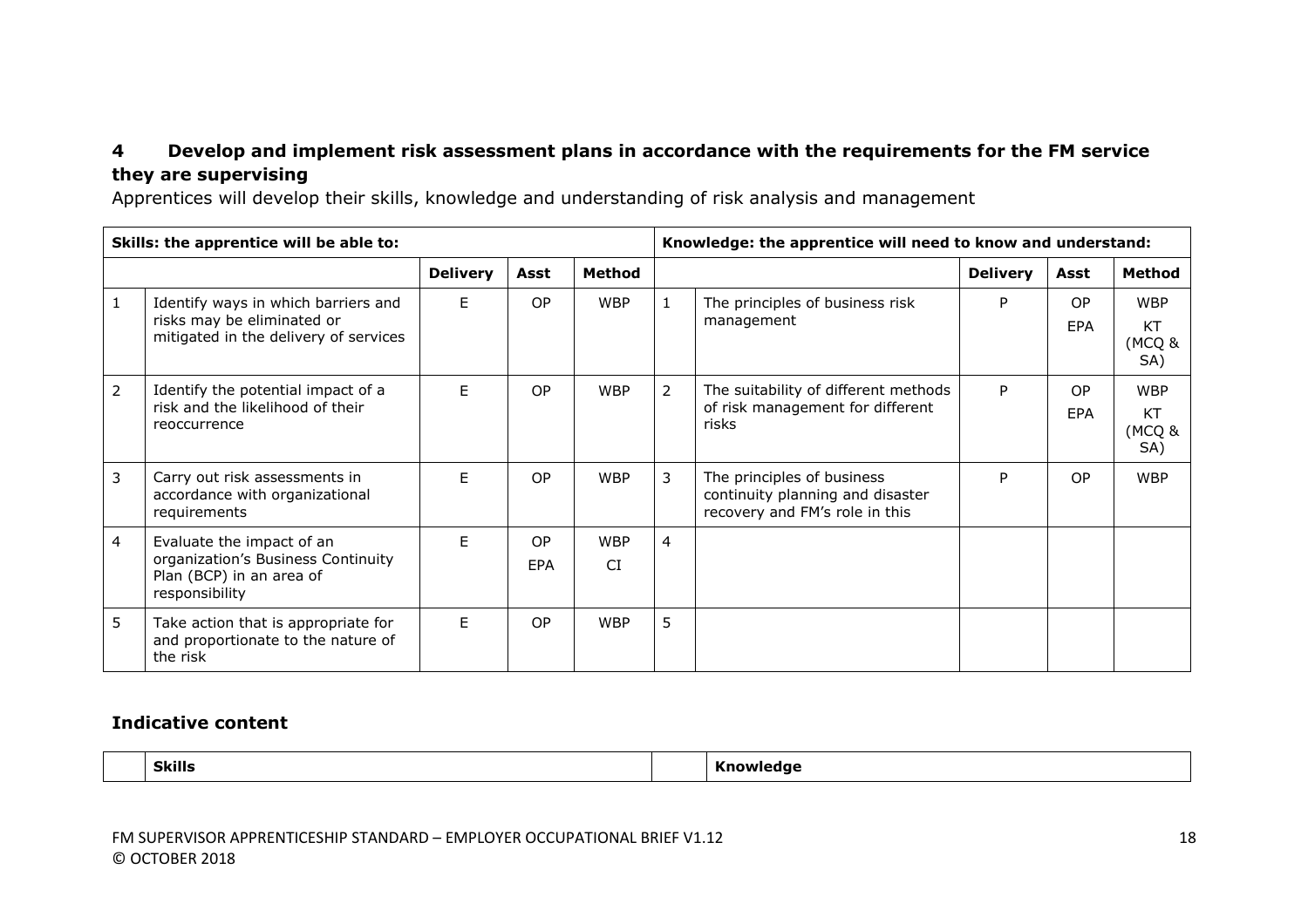# **4 Develop and implement risk assessment plans in accordance with the requirements for the FM service they are supervising**

Apprentices will develop their skills, knowledge and understanding of risk analysis and management

|                | Skills: the apprentice will be able to:                                                                       |                 |                  |                         |                | Knowledge: the apprentice will need to know and understand:                                      |                 |                         |                                   |  |
|----------------|---------------------------------------------------------------------------------------------------------------|-----------------|------------------|-------------------------|----------------|--------------------------------------------------------------------------------------------------|-----------------|-------------------------|-----------------------------------|--|
|                |                                                                                                               | <b>Delivery</b> | Asst             | Method                  |                |                                                                                                  | <b>Delivery</b> | Asst                    | Method                            |  |
| 1              | Identify ways in which barriers and<br>risks may be eliminated or<br>mitigated in the delivery of services    | F.              | OP               | <b>WBP</b>              | $\mathbf{1}$   | The principles of business risk<br>management                                                    | P               | <b>OP</b><br><b>EPA</b> | <b>WBP</b><br>KT<br>(MCQ &<br>SA) |  |
| $\overline{2}$ | Identify the potential impact of a<br>risk and the likelihood of their<br>reoccurrence                        | F.              | OP               | <b>WBP</b>              | 2              | The suitability of different methods<br>of risk management for different<br>risks                | P               | <b>OP</b><br><b>EPA</b> | <b>WBP</b><br>KT<br>(MCQ &<br>SA) |  |
| 3              | Carry out risk assessments in<br>accordance with organizational<br>requirements                               | F.              | OP               | <b>WBP</b>              | 3              | The principles of business<br>continuity planning and disaster<br>recovery and FM's role in this | P               | <b>OP</b>               | <b>WBP</b>                        |  |
| 4              | Evaluate the impact of an<br>organization's Business Continuity<br>Plan (BCP) in an area of<br>responsibility | F.              | OP<br><b>EPA</b> | <b>WBP</b><br><b>CI</b> | $\overline{4}$ |                                                                                                  |                 |                         |                                   |  |
| 5              | Take action that is appropriate for<br>and proportionate to the nature of<br>the risk                         | F               | OP               | <b>WBP</b>              | 5              |                                                                                                  |                 |                         |                                   |  |

### **Indicative content**

**Skills Knowledge**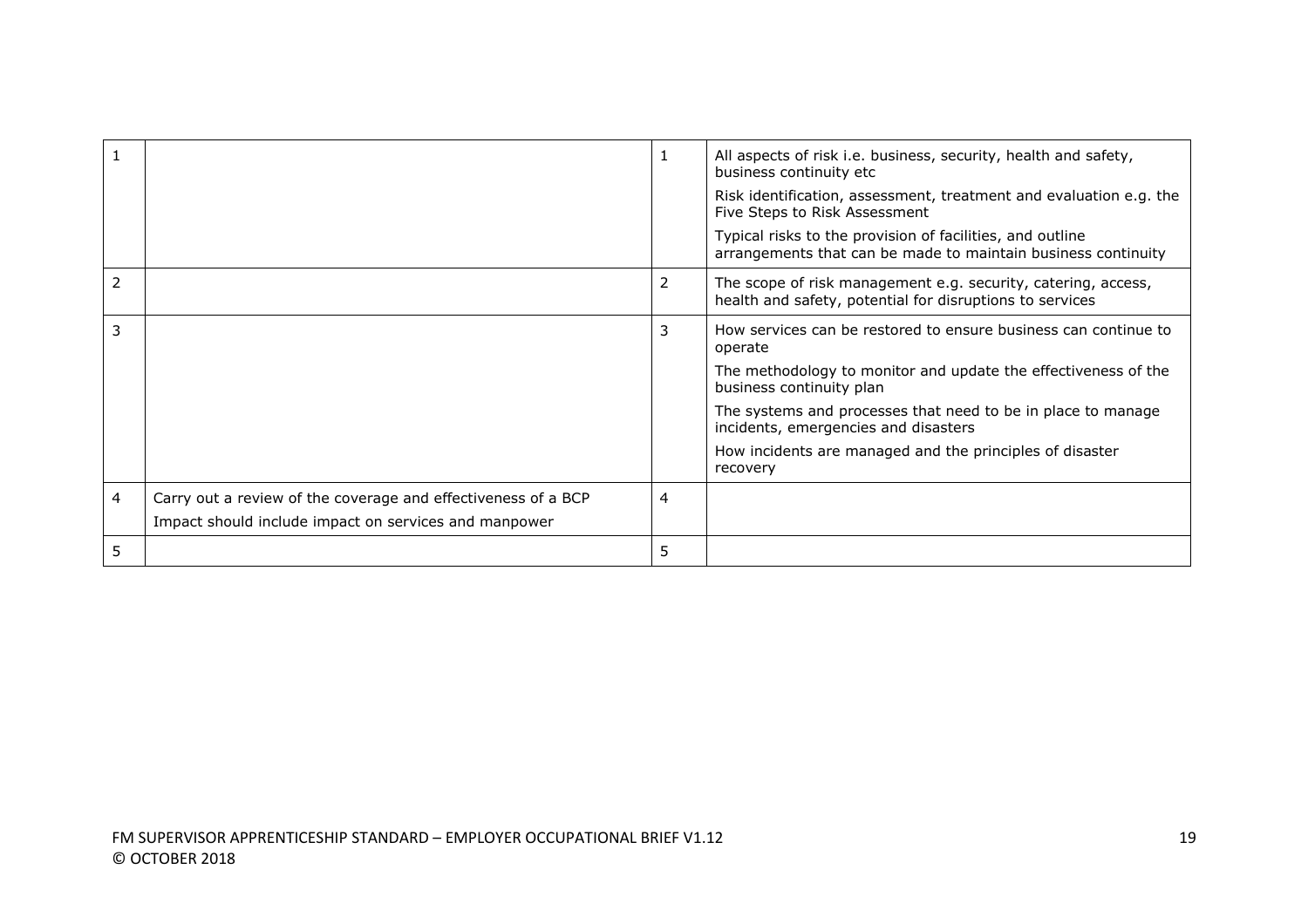|                |                                                                                                                        |   | All aspects of risk i.e. business, security, health and safety,<br>business continuity etc                                 |
|----------------|------------------------------------------------------------------------------------------------------------------------|---|----------------------------------------------------------------------------------------------------------------------------|
|                |                                                                                                                        |   | Risk identification, assessment, treatment and evaluation e.g. the<br>Five Steps to Risk Assessment                        |
|                |                                                                                                                        |   | Typical risks to the provision of facilities, and outline<br>arrangements that can be made to maintain business continuity |
| $\overline{2}$ |                                                                                                                        | 2 | The scope of risk management e.g. security, catering, access,<br>health and safety, potential for disruptions to services  |
| 3              |                                                                                                                        | 3 | How services can be restored to ensure business can continue to<br>operate                                                 |
|                |                                                                                                                        |   | The methodology to monitor and update the effectiveness of the<br>business continuity plan                                 |
|                |                                                                                                                        |   | The systems and processes that need to be in place to manage<br>incidents, emergencies and disasters                       |
|                |                                                                                                                        |   | How incidents are managed and the principles of disaster<br>recovery                                                       |
| $\overline{4}$ | Carry out a review of the coverage and effectiveness of a BCP<br>Impact should include impact on services and manpower | 4 |                                                                                                                            |
| 5              |                                                                                                                        | 5 |                                                                                                                            |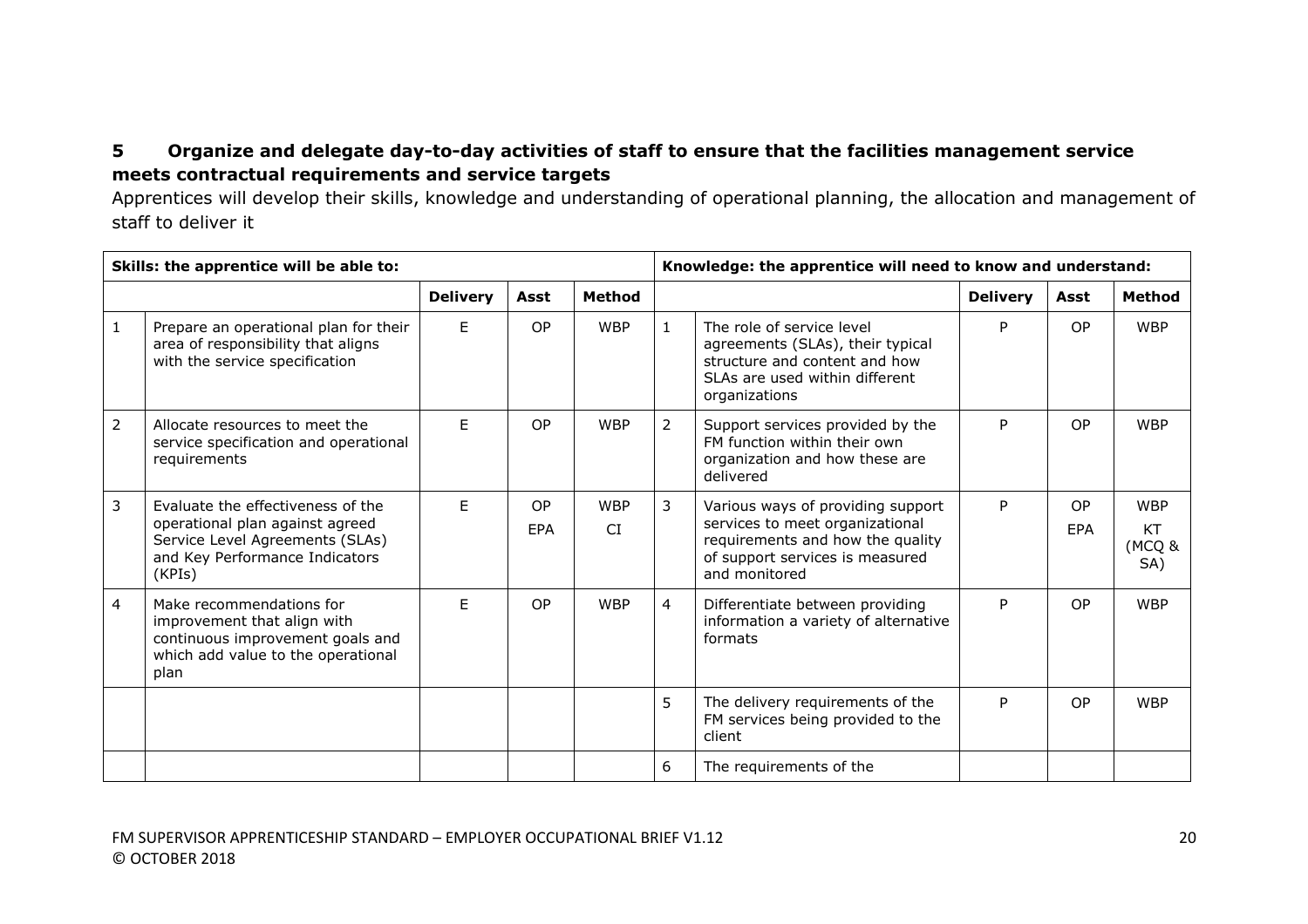# **5 Organize and delegate day-to-day activities of staff to ensure that the facilities management service meets contractual requirements and service targets**

Apprentices will develop their skills, knowledge and understanding of operational planning, the allocation and management of staff to deliver it

| Skills: the apprentice will be able to: |                                                                                                                                                     |                 |                  |                         | Knowledge: the apprentice will need to know and understand: |                                                                                                                                                              |                 |           |                                          |
|-----------------------------------------|-----------------------------------------------------------------------------------------------------------------------------------------------------|-----------------|------------------|-------------------------|-------------------------------------------------------------|--------------------------------------------------------------------------------------------------------------------------------------------------------------|-----------------|-----------|------------------------------------------|
|                                         |                                                                                                                                                     | <b>Delivery</b> | Asst             | <b>Method</b>           |                                                             |                                                                                                                                                              | <b>Delivery</b> | Asst      | <b>Method</b>                            |
| $\mathbf{1}$                            | Prepare an operational plan for their<br>area of responsibility that aligns<br>with the service specification                                       | E               | OP               | <b>WBP</b>              |                                                             | The role of service level<br>agreements (SLAs), their typical<br>structure and content and how<br>SLAs are used within different<br>organizations            | P               | <b>OP</b> | <b>WBP</b>                               |
| $\overline{2}$                          | Allocate resources to meet the<br>service specification and operational<br>requirements                                                             | F.              | OP               | <b>WBP</b>              | $\overline{2}$                                              | Support services provided by the<br>FM function within their own<br>organization and how these are<br>delivered                                              | P               | <b>OP</b> | <b>WBP</b>                               |
| 3                                       | Evaluate the effectiveness of the<br>operational plan against agreed<br>Service Level Agreements (SLAs)<br>and Key Performance Indicators<br>(KPIs) | F               | OP<br><b>EPA</b> | <b>WBP</b><br><b>CI</b> | 3                                                           | Various ways of providing support<br>services to meet organizational<br>requirements and how the quality<br>of support services is measured<br>and monitored | P               | OP<br>EPA | <b>WBP</b><br><b>KT</b><br>(MCQ &<br>SA) |
| $\overline{4}$                          | Make recommendations for<br>improvement that align with<br>continuous improvement goals and<br>which add value to the operational<br>plan           | F.              | <b>OP</b>        | <b>WBP</b>              | $\overline{4}$                                              | Differentiate between providing<br>information a variety of alternative<br>formats                                                                           | P               | <b>OP</b> | <b>WBP</b>                               |
|                                         |                                                                                                                                                     |                 |                  |                         | 5                                                           | The delivery requirements of the<br>FM services being provided to the<br>client                                                                              | P               | <b>OP</b> | <b>WBP</b>                               |
|                                         |                                                                                                                                                     |                 |                  |                         | 6                                                           | The requirements of the                                                                                                                                      |                 |           |                                          |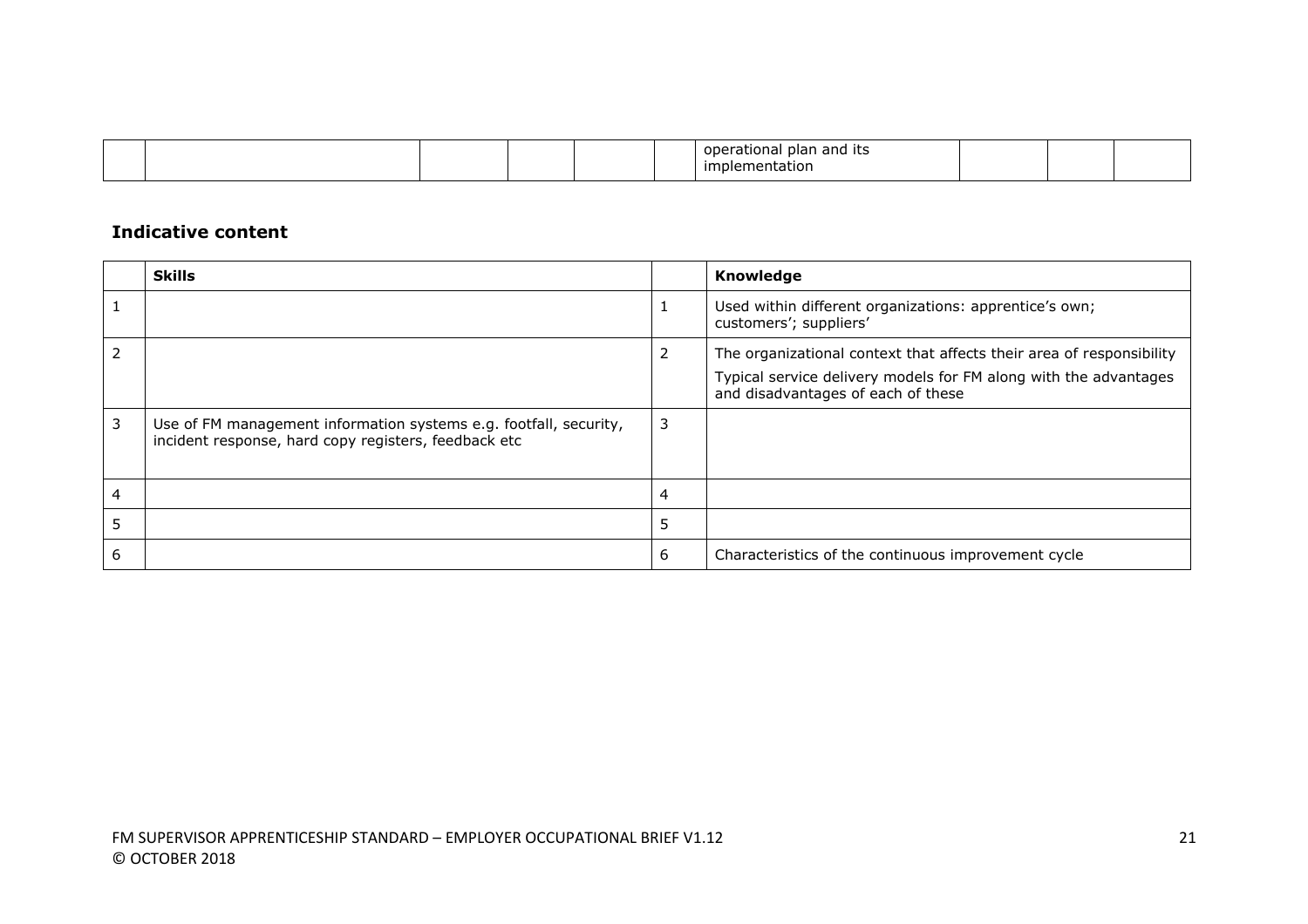|  |  |  | and its<br>olan.<br>паг |  |  |
|--|--|--|-------------------------|--|--|
|  |  |  | mentatior<br>۱۱۱e۳<br>ш |  |  |

|                | <b>Skills</b>                                                                                                             |   | Knowledge                                                                                              |
|----------------|---------------------------------------------------------------------------------------------------------------------------|---|--------------------------------------------------------------------------------------------------------|
|                |                                                                                                                           |   | Used within different organizations: apprentice's own;<br>customers'; suppliers'                       |
| $\overline{2}$ |                                                                                                                           | 2 | The organizational context that affects their area of responsibility                                   |
|                |                                                                                                                           |   | Typical service delivery models for FM along with the advantages<br>and disadvantages of each of these |
| 3              | Use of FM management information systems e.g. footfall, security,<br>incident response, hard copy registers, feedback etc | 3 |                                                                                                        |
| 4              |                                                                                                                           | 4 |                                                                                                        |
| 5              |                                                                                                                           | 5 |                                                                                                        |
| 6              |                                                                                                                           | 6 | Characteristics of the continuous improvement cycle                                                    |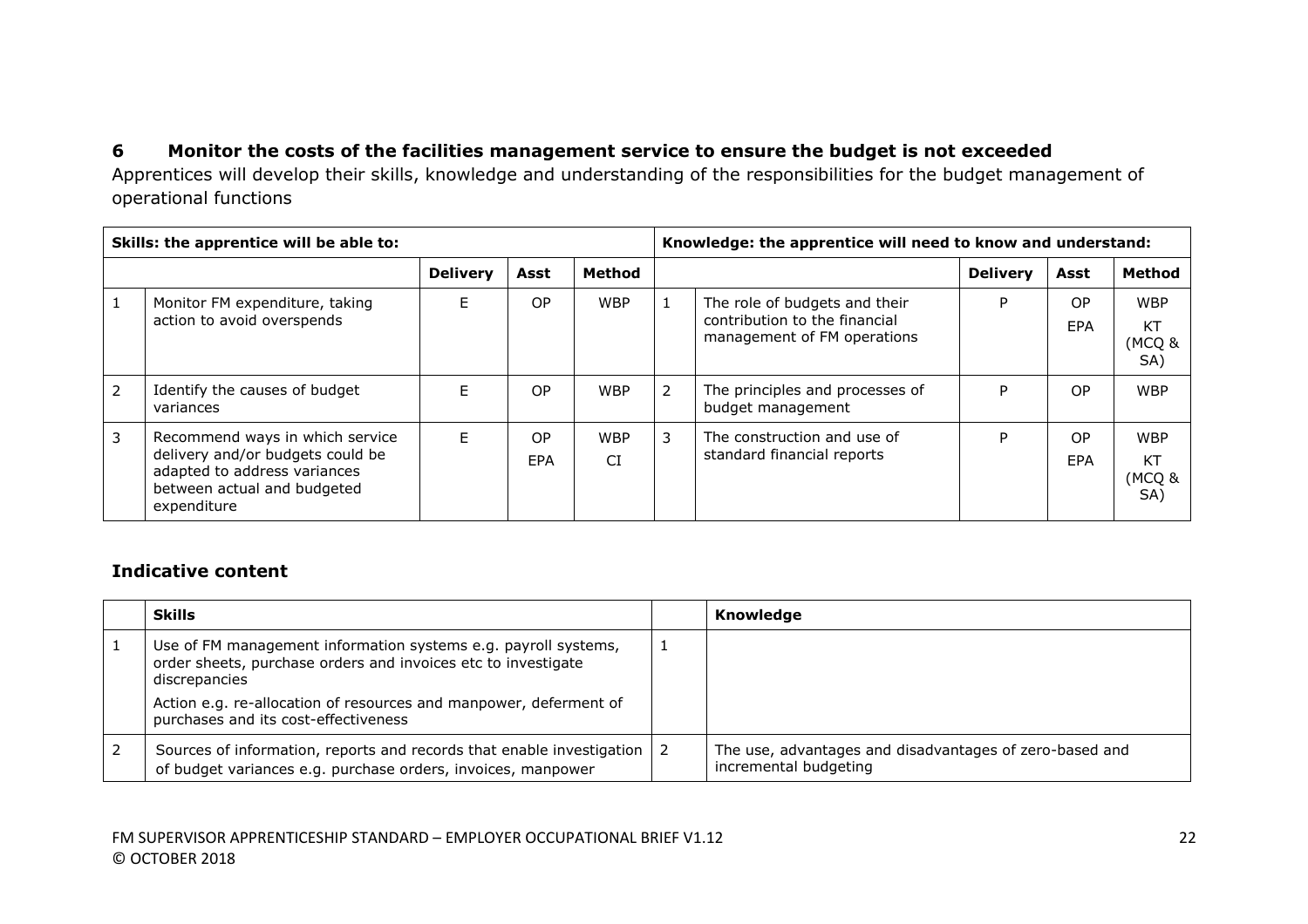# **6 Monitor the costs of the facilities management service to ensure the budget is not exceeded**

Apprentices will develop their skills, knowledge and understanding of the responsibilities for the budget management of operational functions

|                | Skills: the apprentice will be able to:                                                                                                           |                 |                  |                         |                | Knowledge: the apprentice will need to know and understand:                                   |                 |                              |                                   |  |
|----------------|---------------------------------------------------------------------------------------------------------------------------------------------------|-----------------|------------------|-------------------------|----------------|-----------------------------------------------------------------------------------------------|-----------------|------------------------------|-----------------------------------|--|
|                |                                                                                                                                                   | <b>Delivery</b> | Asst             | Method                  |                |                                                                                               | <b>Delivery</b> | Asst                         | Method                            |  |
|                | Monitor FM expenditure, taking<br>action to avoid overspends                                                                                      | F.              | OP               | <b>WBP</b>              |                | The role of budgets and their<br>contribution to the financial<br>management of FM operations | P               | O <sub>P</sub><br><b>EPA</b> | <b>WBP</b><br>KT<br>(MCQ &<br>SA) |  |
| $\overline{2}$ | Identify the causes of budget<br>variances                                                                                                        | F.              | 0P               | <b>WBP</b>              | $\overline{2}$ | The principles and processes of<br>budget management                                          | P               | OP.                          | <b>WBP</b>                        |  |
| 3              | Recommend ways in which service<br>delivery and/or budgets could be<br>adapted to address variances<br>between actual and budgeted<br>expenditure | F.              | OP<br><b>EPA</b> | <b>WBP</b><br><b>CI</b> | 3              | The construction and use of<br>standard financial reports                                     | P               | <b>OP</b><br>EPA             | <b>WBP</b><br>KT<br>(MCQ &<br>SA) |  |

| <b>Skills</b>                                                                                                                                    |   | Knowledge                                                                        |
|--------------------------------------------------------------------------------------------------------------------------------------------------|---|----------------------------------------------------------------------------------|
| Use of FM management information systems e.g. payroll systems,<br>order sheets, purchase orders and invoices etc to investigate<br>discrepancies | ᆠ |                                                                                  |
| Action e.g. re-allocation of resources and manpower, deferment of<br>purchases and its cost-effectiveness                                        |   |                                                                                  |
| Sources of information, reports and records that enable investigation $\vert$ 2<br>of budget variances e.g. purchase orders, invoices, manpower  |   | The use, advantages and disadvantages of zero-based and<br>incremental budgeting |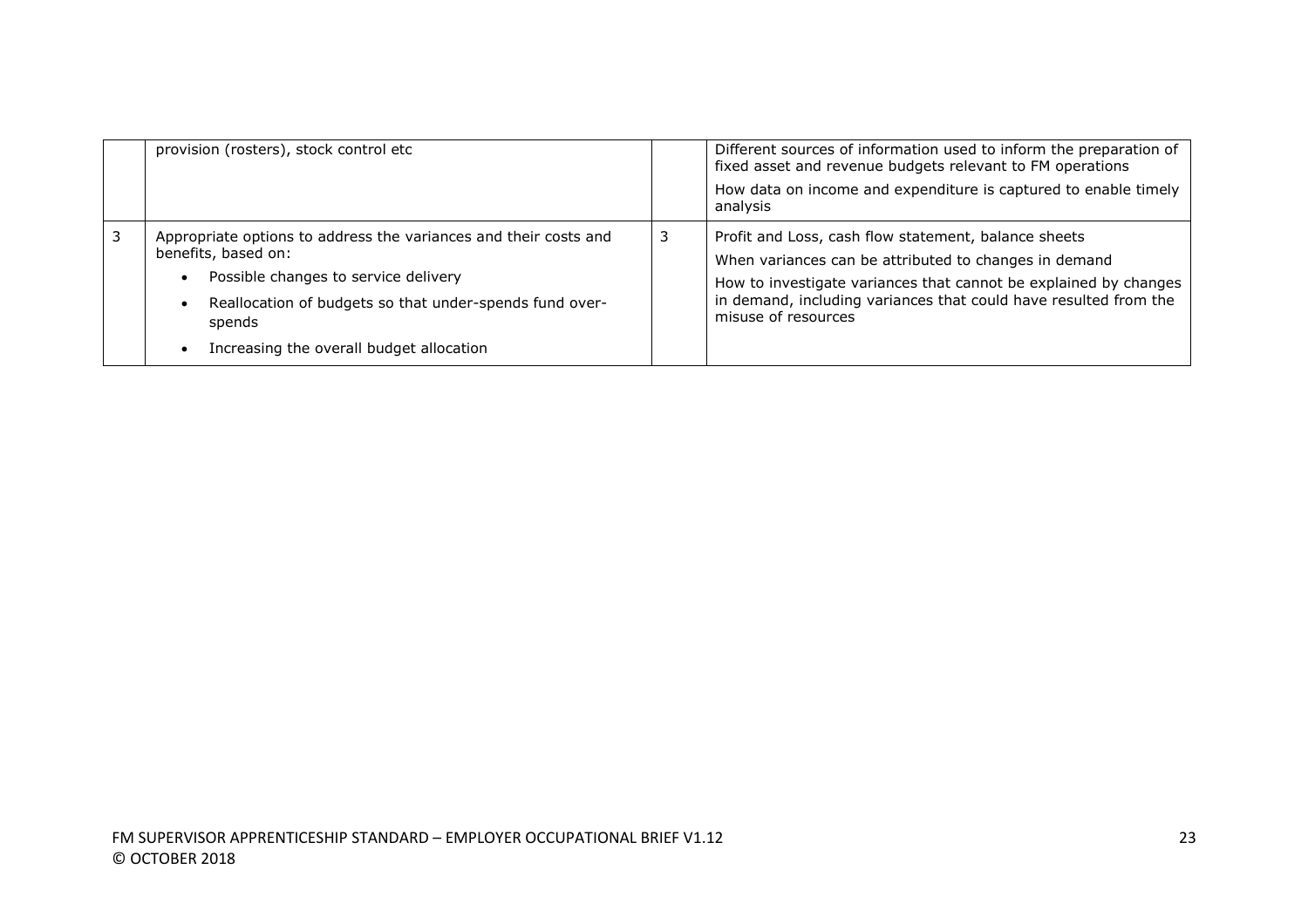| provision (rosters), stock control etc                                                                                                                                                                                                                        | Different sources of information used to inform the preparation of<br>fixed asset and revenue budgets relevant to FM operations<br>How data on income and expenditure is captured to enable timely<br>analysis                                                               |
|---------------------------------------------------------------------------------------------------------------------------------------------------------------------------------------------------------------------------------------------------------------|------------------------------------------------------------------------------------------------------------------------------------------------------------------------------------------------------------------------------------------------------------------------------|
| Appropriate options to address the variances and their costs and<br>benefits, based on:<br>Possible changes to service delivery<br>$\bullet$<br>Reallocation of budgets so that under-spends fund over-<br>spends<br>Increasing the overall budget allocation | Profit and Loss, cash flow statement, balance sheets<br>When variances can be attributed to changes in demand<br>How to investigate variances that cannot be explained by changes<br>in demand, including variances that could have resulted from the<br>misuse of resources |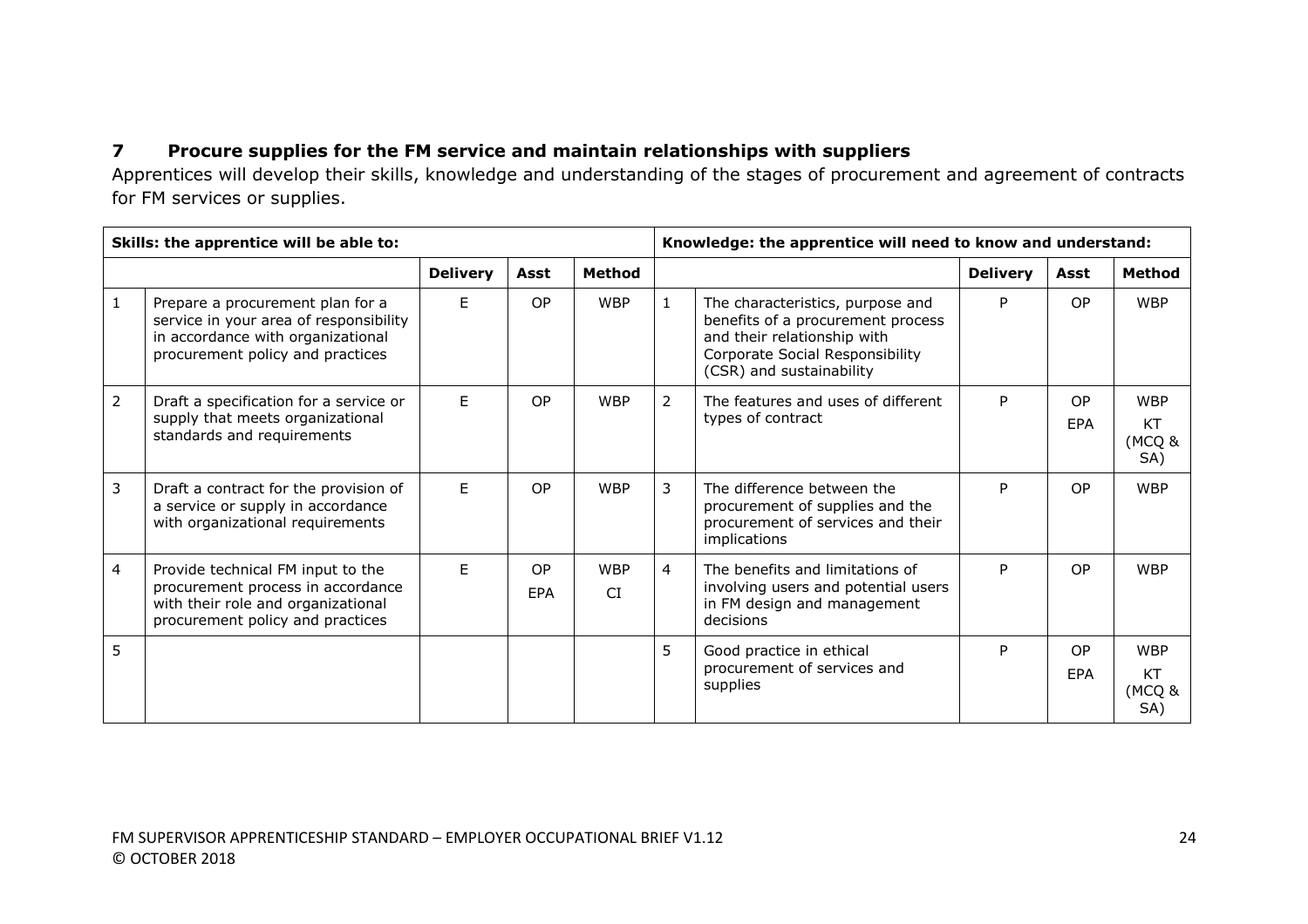# **7 Procure supplies for the FM service and maintain relationships with suppliers**

Apprentices will develop their skills, knowledge and understanding of the stages of procurement and agreement of contracts for FM services or supplies.

|                | Skills: the apprentice will be able to:                                                                                                             |                 |                         |                         |                | Knowledge: the apprentice will need to know and understand:                                                                                                         |                 |                         |                                   |  |
|----------------|-----------------------------------------------------------------------------------------------------------------------------------------------------|-----------------|-------------------------|-------------------------|----------------|---------------------------------------------------------------------------------------------------------------------------------------------------------------------|-----------------|-------------------------|-----------------------------------|--|
|                |                                                                                                                                                     | <b>Delivery</b> | Asst                    | Method                  |                |                                                                                                                                                                     | <b>Delivery</b> | Asst                    | <b>Method</b>                     |  |
| $\mathbf{1}$   | Prepare a procurement plan for a<br>service in your area of responsibility<br>in accordance with organizational<br>procurement policy and practices | F.              | OP                      | <b>WBP</b>              | $\mathbf{1}$   | The characteristics, purpose and<br>benefits of a procurement process<br>and their relationship with<br>Corporate Social Responsibility<br>(CSR) and sustainability | P               | OP.                     | <b>WBP</b>                        |  |
| $\overline{2}$ | Draft a specification for a service or<br>supply that meets organizational<br>standards and requirements                                            | E               | OP                      | <b>WBP</b>              | $\overline{2}$ | The features and uses of different<br>types of contract                                                                                                             | P.              | <b>OP</b><br>EPA        | <b>WBP</b><br>KT<br>(MCQ &<br>SA) |  |
| 3              | Draft a contract for the provision of<br>a service or supply in accordance<br>with organizational requirements                                      | F.              | OP                      | <b>WBP</b>              | 3              | The difference between the<br>procurement of supplies and the<br>procurement of services and their<br>implications                                                  | P               | <b>OP</b>               | <b>WBP</b>                        |  |
| 4              | Provide technical FM input to the<br>procurement process in accordance<br>with their role and organizational<br>procurement policy and practices    | F.              | <b>OP</b><br><b>EPA</b> | <b>WBP</b><br><b>CI</b> | $\overline{4}$ | The benefits and limitations of<br>involving users and potential users<br>in FM design and management<br>decisions                                                  | P.              | <b>OP</b>               | <b>WBP</b>                        |  |
| 5              |                                                                                                                                                     |                 |                         |                         | 5              | Good practice in ethical<br>procurement of services and<br>supplies                                                                                                 | P               | <b>OP</b><br><b>FPA</b> | <b>WBP</b><br>KT<br>(MCQ &<br>SA) |  |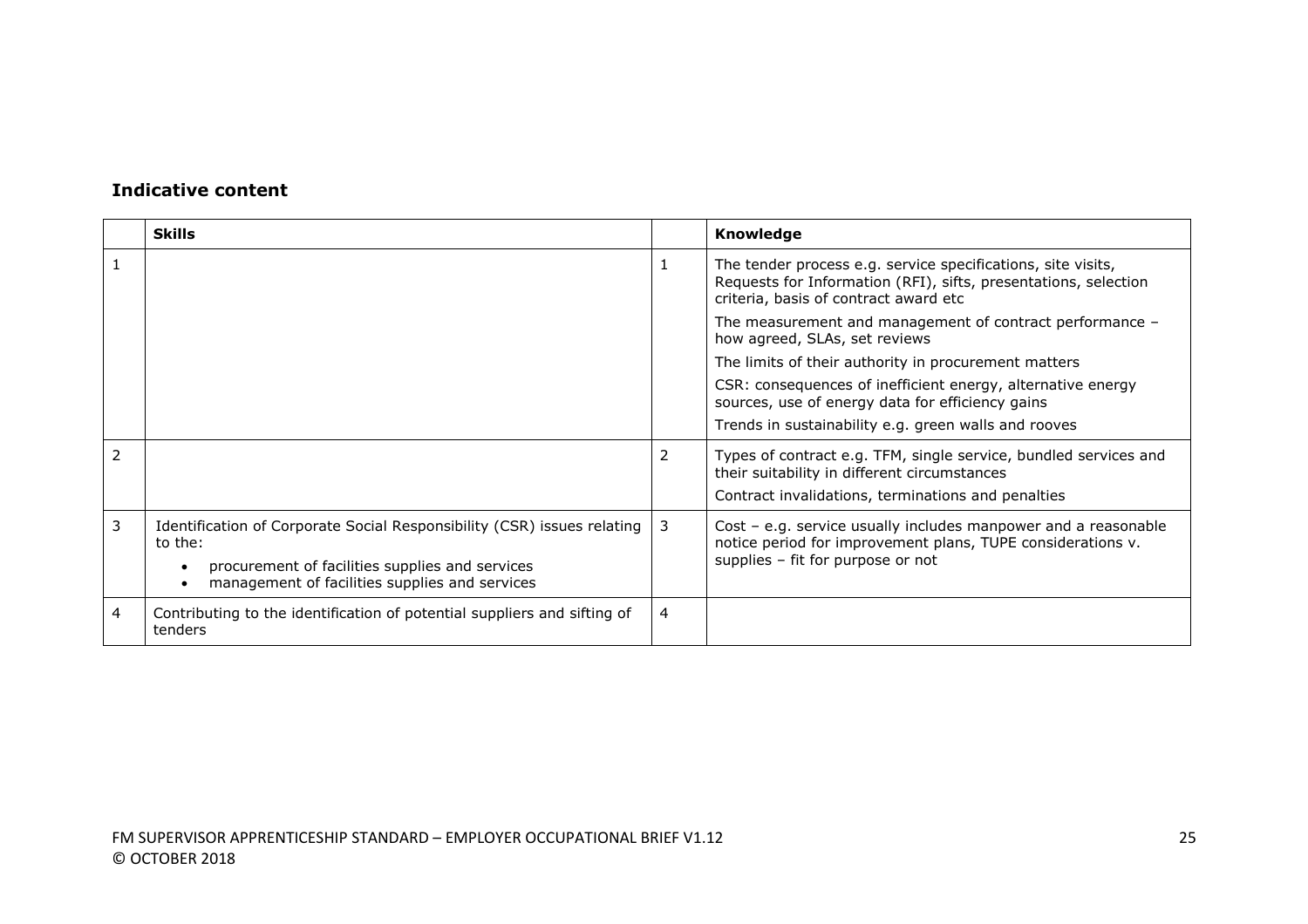|   | <b>Skills</b>                                                                                                                                                                           |   | Knowledge                                                                                                                                                                |
|---|-----------------------------------------------------------------------------------------------------------------------------------------------------------------------------------------|---|--------------------------------------------------------------------------------------------------------------------------------------------------------------------------|
|   |                                                                                                                                                                                         |   | The tender process e.g. service specifications, site visits,<br>Requests for Information (RFI), sifts, presentations, selection<br>criteria, basis of contract award etc |
|   |                                                                                                                                                                                         |   | The measurement and management of contract performance -<br>how agreed, SLAs, set reviews                                                                                |
|   |                                                                                                                                                                                         |   | The limits of their authority in procurement matters                                                                                                                     |
|   |                                                                                                                                                                                         |   | CSR: consequences of inefficient energy, alternative energy<br>sources, use of energy data for efficiency gains                                                          |
|   |                                                                                                                                                                                         |   | Trends in sustainability e.g. green walls and rooves                                                                                                                     |
|   |                                                                                                                                                                                         | 2 | Types of contract e.g. TFM, single service, bundled services and<br>their suitability in different circumstances<br>Contract invalidations, terminations and penalties   |
| 3 | Identification of Corporate Social Responsibility (CSR) issues relating<br>to the:<br>procurement of facilities supplies and services<br>management of facilities supplies and services | 3 | Cost - e.g. service usually includes manpower and a reasonable<br>notice period for improvement plans, TUPE considerations v.<br>supplies - fit for purpose or not       |
| 4 | Contributing to the identification of potential suppliers and sifting of<br>tenders                                                                                                     | 4 |                                                                                                                                                                          |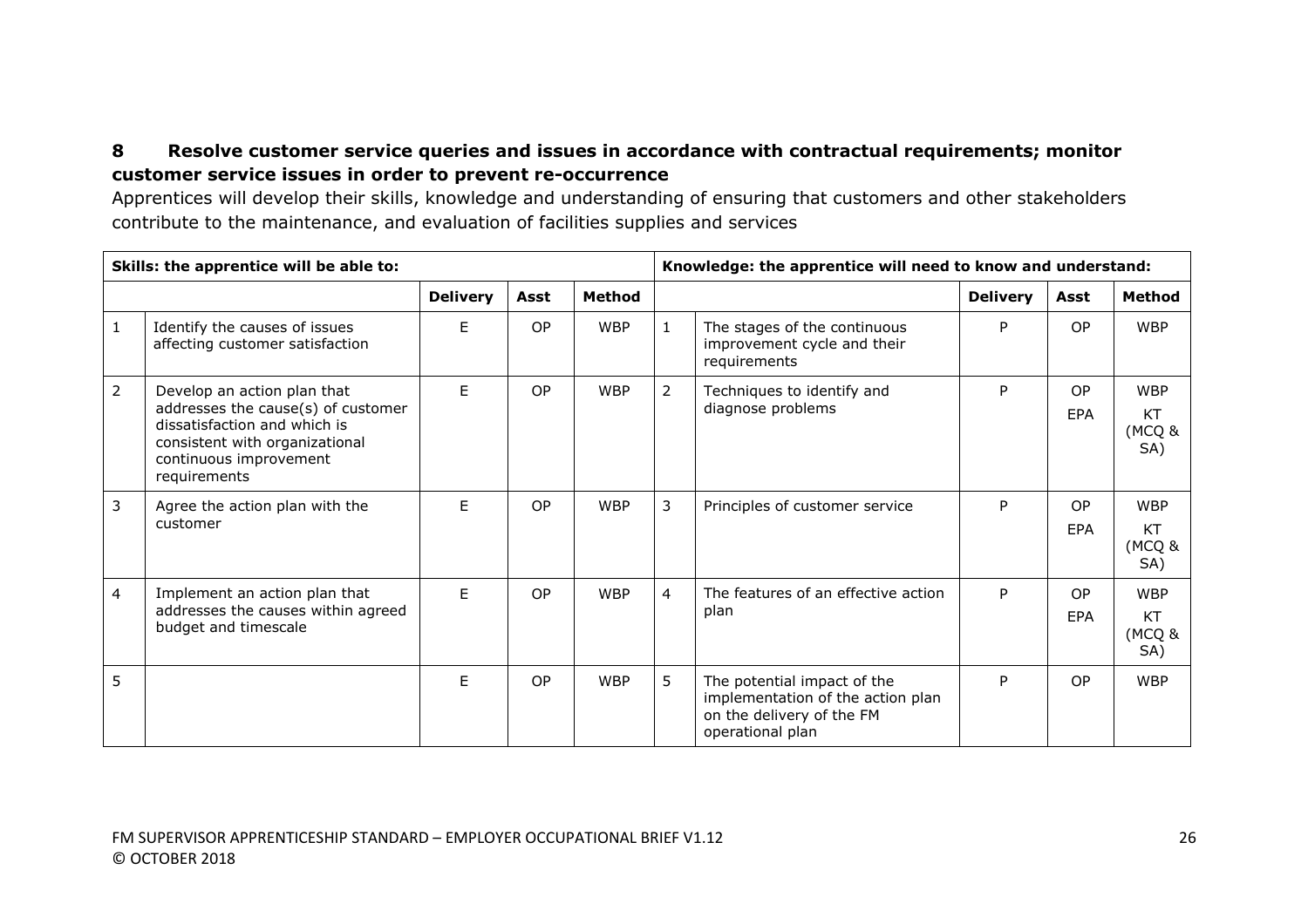## **8 Resolve customer service queries and issues in accordance with contractual requirements; monitor customer service issues in order to prevent re-occurrence**

Apprentices will develop their skills, knowledge and understanding of ensuring that customers and other stakeholders contribute to the maintenance, and evaluation of facilities supplies and services

|   | Skills: the apprentice will be able to:                                                                                                                                       |                 |      |               |                | Knowledge: the apprentice will need to know and understand:                                                       |                 |                         |                                          |  |
|---|-------------------------------------------------------------------------------------------------------------------------------------------------------------------------------|-----------------|------|---------------|----------------|-------------------------------------------------------------------------------------------------------------------|-----------------|-------------------------|------------------------------------------|--|
|   |                                                                                                                                                                               | <b>Delivery</b> | Asst | <b>Method</b> |                |                                                                                                                   | <b>Delivery</b> | Asst                    | <b>Method</b>                            |  |
|   | Identify the causes of issues<br>affecting customer satisfaction                                                                                                              | F.              | OP   | <b>WBP</b>    | $\mathbf{1}$   | The stages of the continuous<br>improvement cycle and their<br>requirements                                       | P               | OP.                     | <b>WBP</b>                               |  |
| 2 | Develop an action plan that<br>addresses the cause(s) of customer<br>dissatisfaction and which is<br>consistent with organizational<br>continuous improvement<br>requirements | F.              | OP   | <b>WBP</b>    | $\overline{2}$ | Techniques to identify and<br>diagnose problems                                                                   | P               | <b>OP</b><br><b>EPA</b> | <b>WBP</b><br>KT<br>(MCQ &<br>SA)        |  |
| 3 | Agree the action plan with the<br>customer                                                                                                                                    | Е               | OP   | <b>WBP</b>    | $\mathbf{3}$   | Principles of customer service                                                                                    | P               | <b>OP</b><br><b>FPA</b> | <b>WBP</b><br><b>KT</b><br>(MCQ &<br>SA) |  |
| 4 | Implement an action plan that<br>addresses the causes within agreed<br>budget and timescale                                                                                   | F.              | OP   | <b>WBP</b>    | $\overline{4}$ | The features of an effective action<br>plan                                                                       | P               | <b>OP</b><br>EPA        | <b>WBP</b><br><b>KT</b><br>(MCQ &<br>SA) |  |
| 5 |                                                                                                                                                                               | F.              | OP   | <b>WBP</b>    | 5              | The potential impact of the<br>implementation of the action plan<br>on the delivery of the FM<br>operational plan | P               | <b>OP</b>               | <b>WBP</b>                               |  |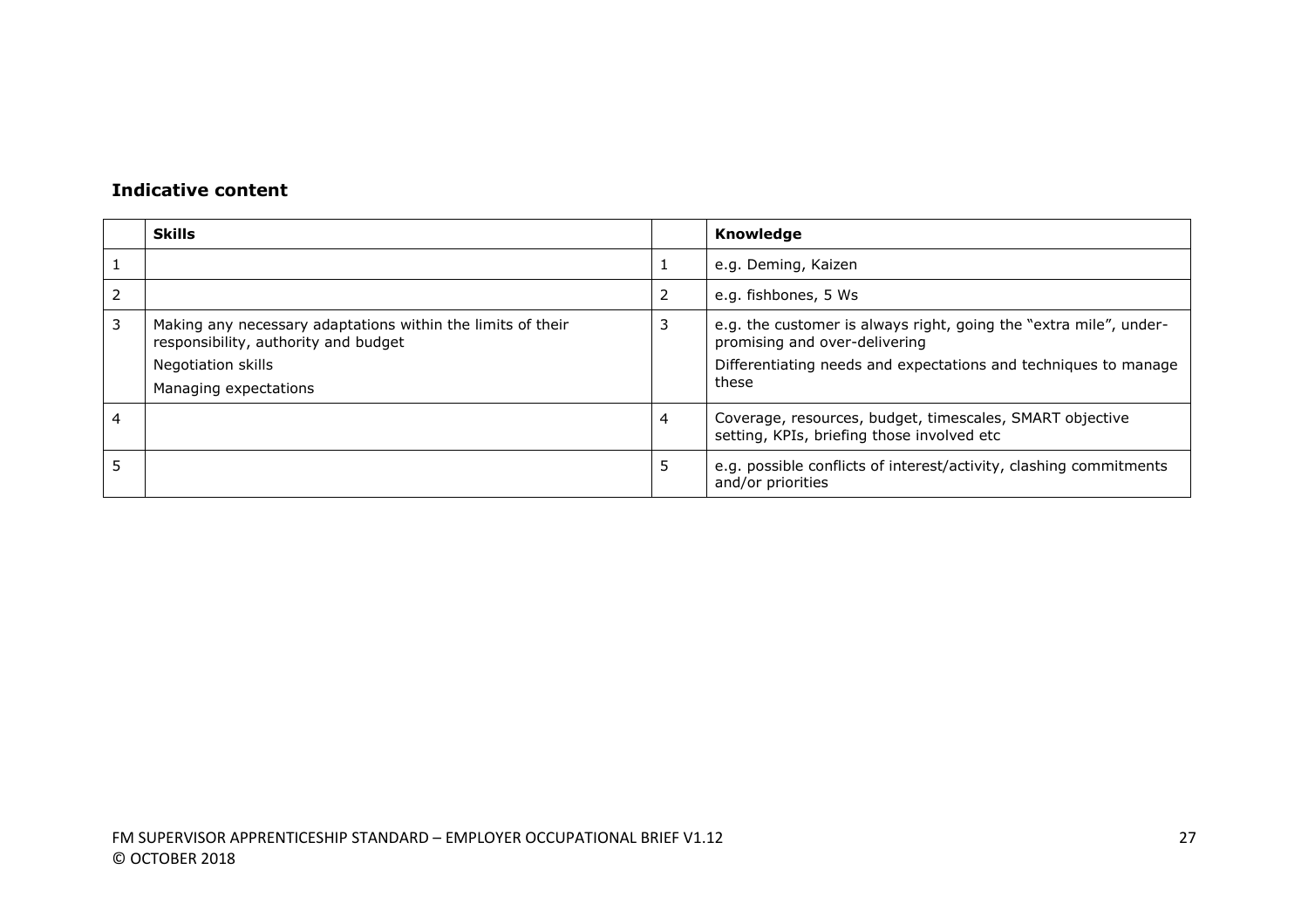|   | <b>Skills</b>                                                                                                                                      |   | Knowledge                                                                                                                                                                      |
|---|----------------------------------------------------------------------------------------------------------------------------------------------------|---|--------------------------------------------------------------------------------------------------------------------------------------------------------------------------------|
|   |                                                                                                                                                    |   | e.g. Deming, Kaizen                                                                                                                                                            |
|   |                                                                                                                                                    | 2 | e.g. fishbones, 5 Ws                                                                                                                                                           |
| 3 | Making any necessary adaptations within the limits of their<br>responsibility, authority and budget<br>Negotiation skills<br>Managing expectations |   | e.g. the customer is always right, going the "extra mile", under-<br>promising and over-delivering<br>Differentiating needs and expectations and techniques to manage<br>these |
| 4 |                                                                                                                                                    | 4 | Coverage, resources, budget, timescales, SMART objective<br>setting, KPIs, briefing those involved etc                                                                         |
|   |                                                                                                                                                    | 5 | e.g. possible conflicts of interest/activity, clashing commitments<br>and/or priorities                                                                                        |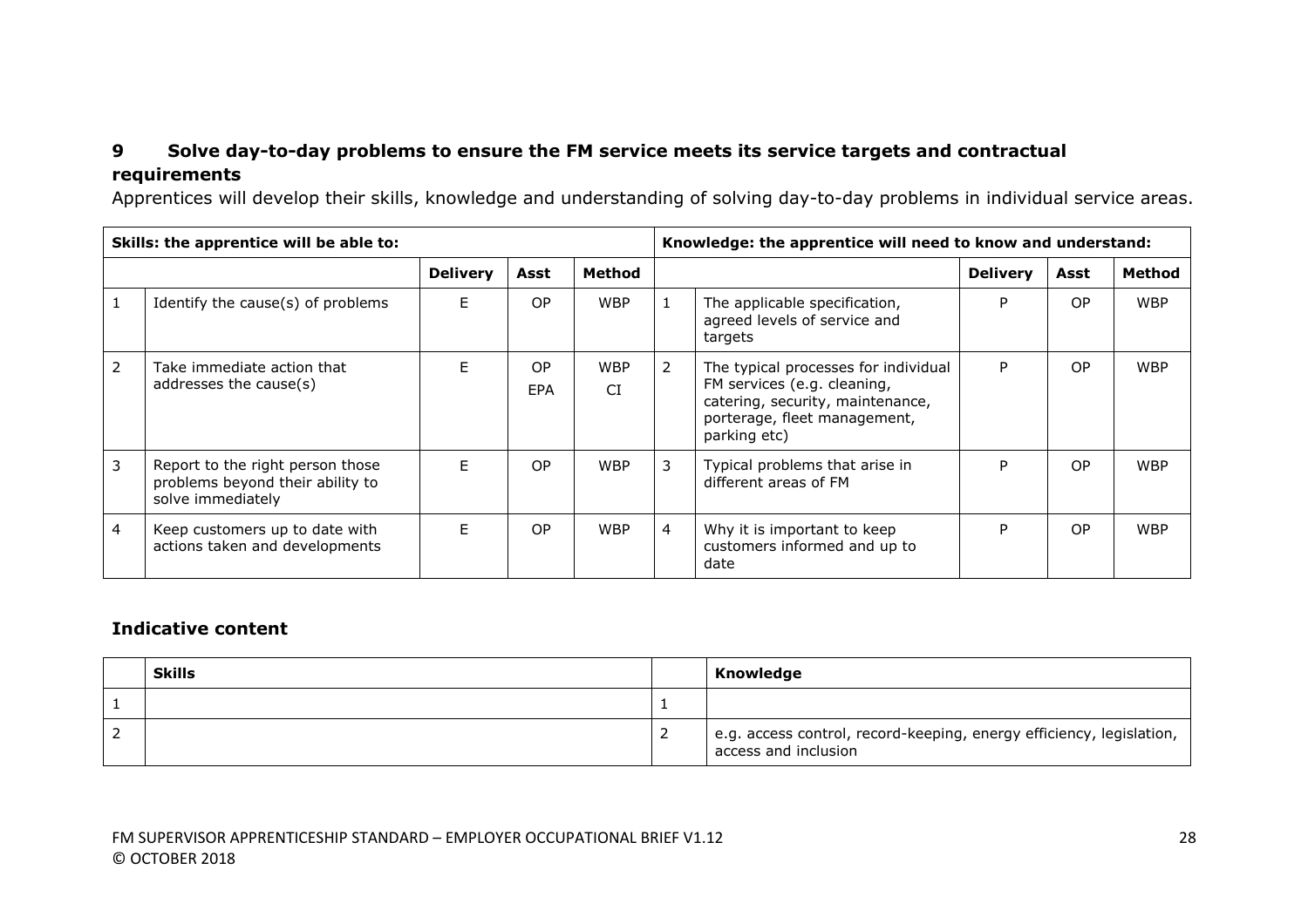# **9 Solve day-to-day problems to ensure the FM service meets its service targets and contractual requirements**

Apprentices will develop their skills, knowledge and understanding of solving day-to-day problems in individual service areas.

|   | Skills: the apprentice will be able to:                                                   |                 |           |                         |                | Knowledge: the apprentice will need to know and understand:                                                                                             |                 |                |            |
|---|-------------------------------------------------------------------------------------------|-----------------|-----------|-------------------------|----------------|---------------------------------------------------------------------------------------------------------------------------------------------------------|-----------------|----------------|------------|
|   |                                                                                           | <b>Delivery</b> | Asst      | <b>Method</b>           |                |                                                                                                                                                         | <b>Delivery</b> | Asst           | Method     |
|   | Identify the cause(s) of problems                                                         | F               | OP        | <b>WBP</b>              |                | The applicable specification,<br>agreed levels of service and<br>targets                                                                                | P               | <b>OP</b>      | <b>WBP</b> |
| 2 | Take immediate action that<br>addresses the cause(s)                                      | F               | OP<br>EPA | <b>WBP</b><br><b>CI</b> | 2              | The typical processes for individual<br>FM services (e.g. cleaning,<br>catering, security, maintenance,<br>porterage, fleet management,<br>parking etc) | P               | O <sub>P</sub> | <b>WBP</b> |
| 3 | Report to the right person those<br>problems beyond their ability to<br>solve immediately | F               | OP        | <b>WBP</b>              | 3              | Typical problems that arise in<br>different areas of FM                                                                                                 | P               | OP             | <b>WBP</b> |
| 4 | Keep customers up to date with<br>actions taken and developments                          | E               | OP        | <b>WBP</b>              | $\overline{4}$ | Why it is important to keep<br>customers informed and up to<br>date                                                                                     | P               | <b>OP</b>      | <b>WBP</b> |

| <b>Skills</b> | Knowledge                                                                                    |
|---------------|----------------------------------------------------------------------------------------------|
|               |                                                                                              |
|               | e.g. access control, record-keeping, energy efficiency, legislation,<br>access and inclusion |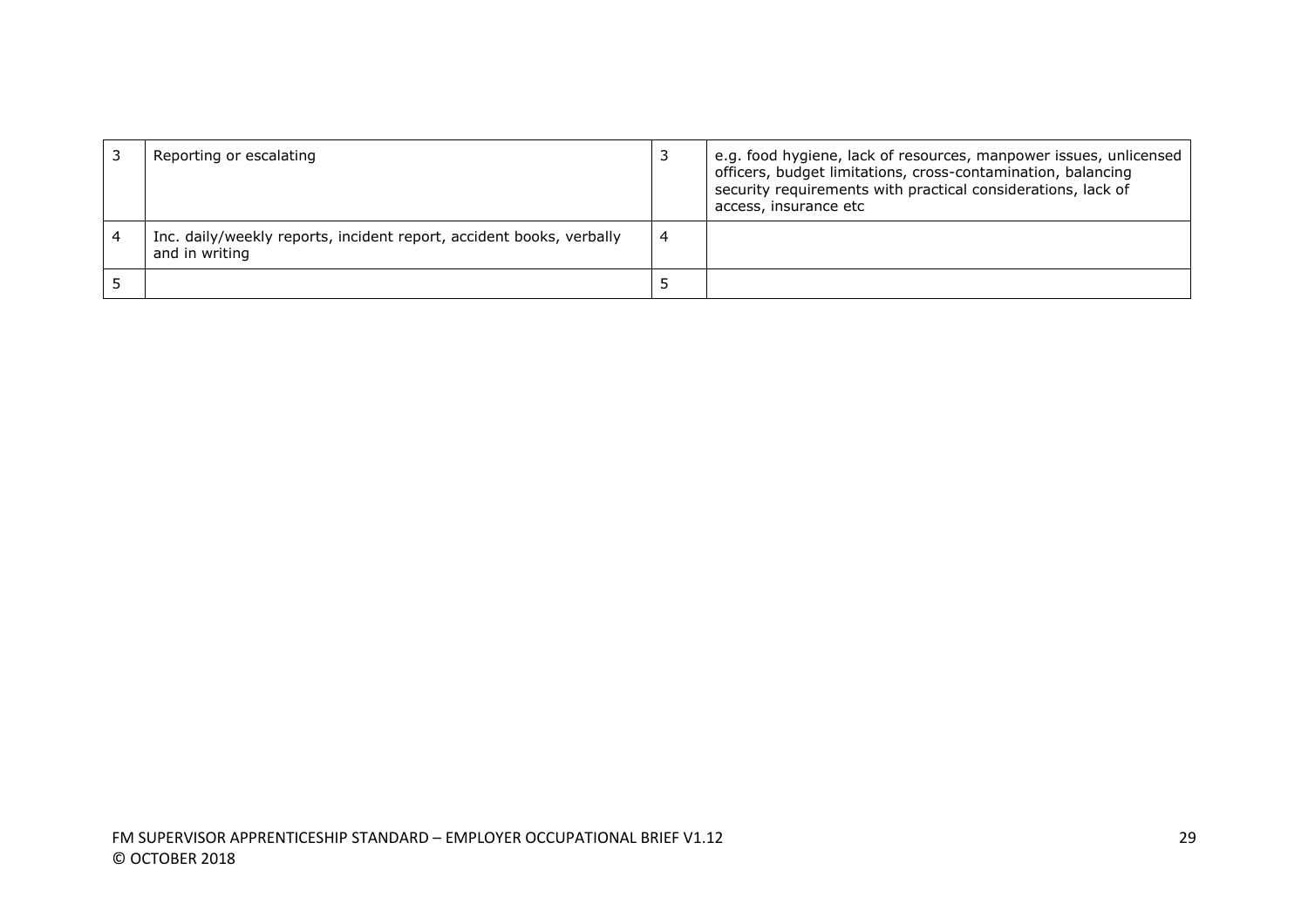| Reporting or escalating                                                                |   | e.g. food hygiene, lack of resources, manpower issues, unlicensed<br>officers, budget limitations, cross-contamination, balancing<br>security requirements with practical considerations, lack of<br>access, insurance etc |
|----------------------------------------------------------------------------------------|---|----------------------------------------------------------------------------------------------------------------------------------------------------------------------------------------------------------------------------|
| Inc. daily/weekly reports, incident report, accident books, verbally<br>and in writing | 4 |                                                                                                                                                                                                                            |
|                                                                                        | c |                                                                                                                                                                                                                            |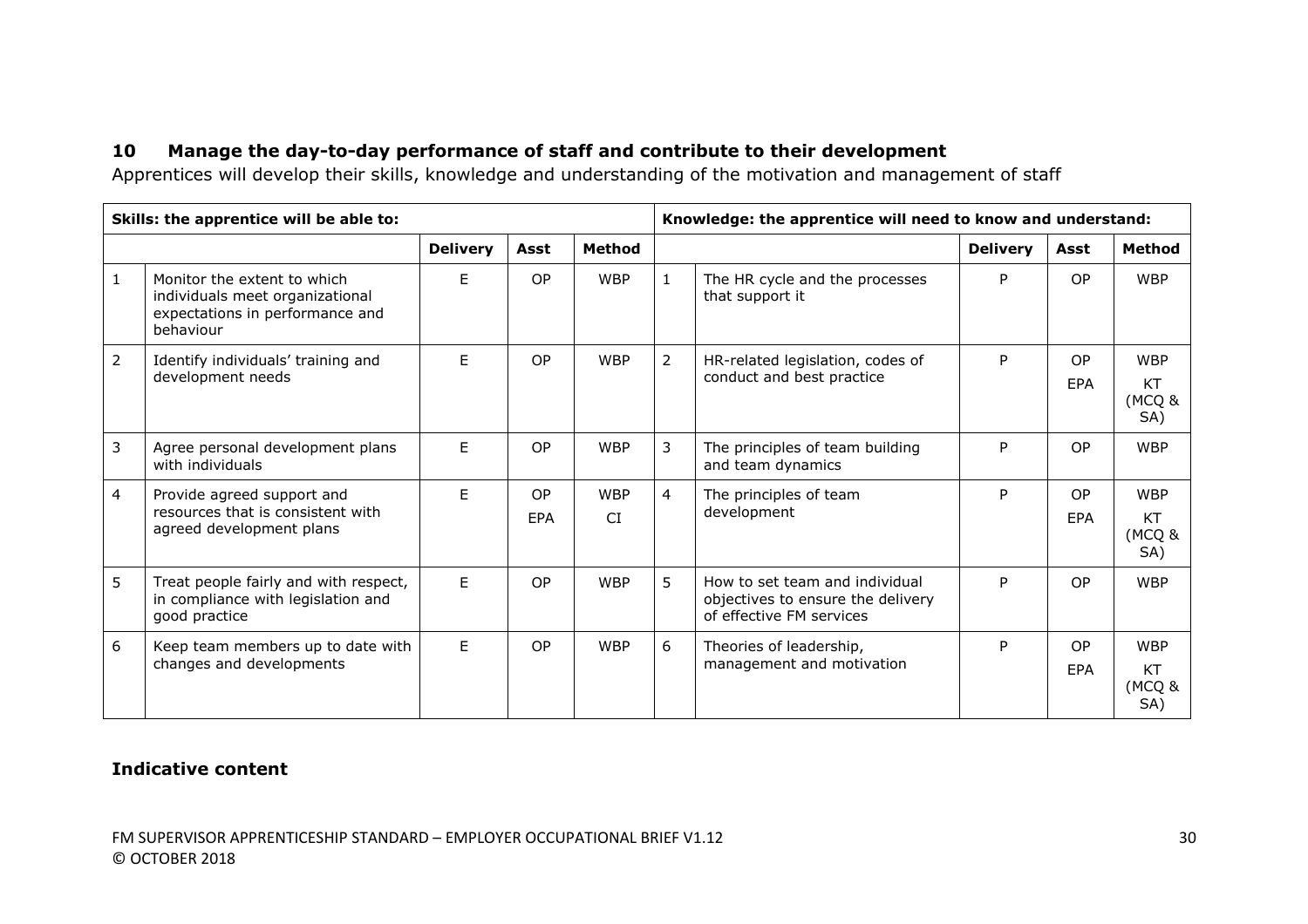# **10 Manage the day-to-day performance of staff and contribute to their development**

Apprentices will develop their skills, knowledge and understanding of the motivation and management of staff

|                | Skills: the apprentice will be able to:                                                                        |                 |                         |                  |                | Knowledge: the apprentice will need to know and understand:                                     |                 |                              |                                   |
|----------------|----------------------------------------------------------------------------------------------------------------|-----------------|-------------------------|------------------|----------------|-------------------------------------------------------------------------------------------------|-----------------|------------------------------|-----------------------------------|
|                |                                                                                                                | <b>Delivery</b> | Asst                    | <b>Method</b>    |                |                                                                                                 | <b>Delivery</b> | Asst                         | <b>Method</b>                     |
| $\mathbf{1}$   | Monitor the extent to which<br>individuals meet organizational<br>expectations in performance and<br>behaviour | F.              | <b>OP</b>               | <b>WBP</b>       | $\mathbf{1}$   | The HR cycle and the processes<br>that support it                                               | P               | OP.                          | <b>WBP</b>                        |
| $\overline{2}$ | Identify individuals' training and<br>development needs                                                        | F.              | OP                      | <b>WBP</b>       | 2              | HR-related legislation, codes of<br>conduct and best practice                                   | P               | OP.<br><b>FPA</b>            | <b>WBP</b><br>KT<br>(MCQ &<br>SA) |
| 3              | Agree personal development plans<br>with individuals                                                           | F.              | OP                      | <b>WBP</b>       | 3              | The principles of team building<br>and team dynamics                                            | P               | OP.                          | <b>WBP</b>                        |
| 4              | Provide agreed support and<br>resources that is consistent with<br>agreed development plans                    | F.              | <b>OP</b><br><b>EPA</b> | <b>WBP</b><br>CI | $\overline{4}$ | The principles of team<br>development                                                           | P               | O <sub>P</sub><br><b>FPA</b> | <b>WBP</b><br>KT<br>(MCQ &<br>SA) |
| 5              | Treat people fairly and with respect,<br>in compliance with legislation and<br>good practice                   | F.              | OP                      | <b>WBP</b>       | 5              | How to set team and individual<br>objectives to ensure the delivery<br>of effective FM services | P               | OP.                          | <b>WBP</b>                        |
| 6              | Keep team members up to date with<br>changes and developments                                                  | E               | OP                      | <b>WBP</b>       | 6              | Theories of leadership,<br>management and motivation                                            | P               | <b>OP</b><br><b>FPA</b>      | <b>WBP</b><br>KT<br>(MCQ &<br>SA) |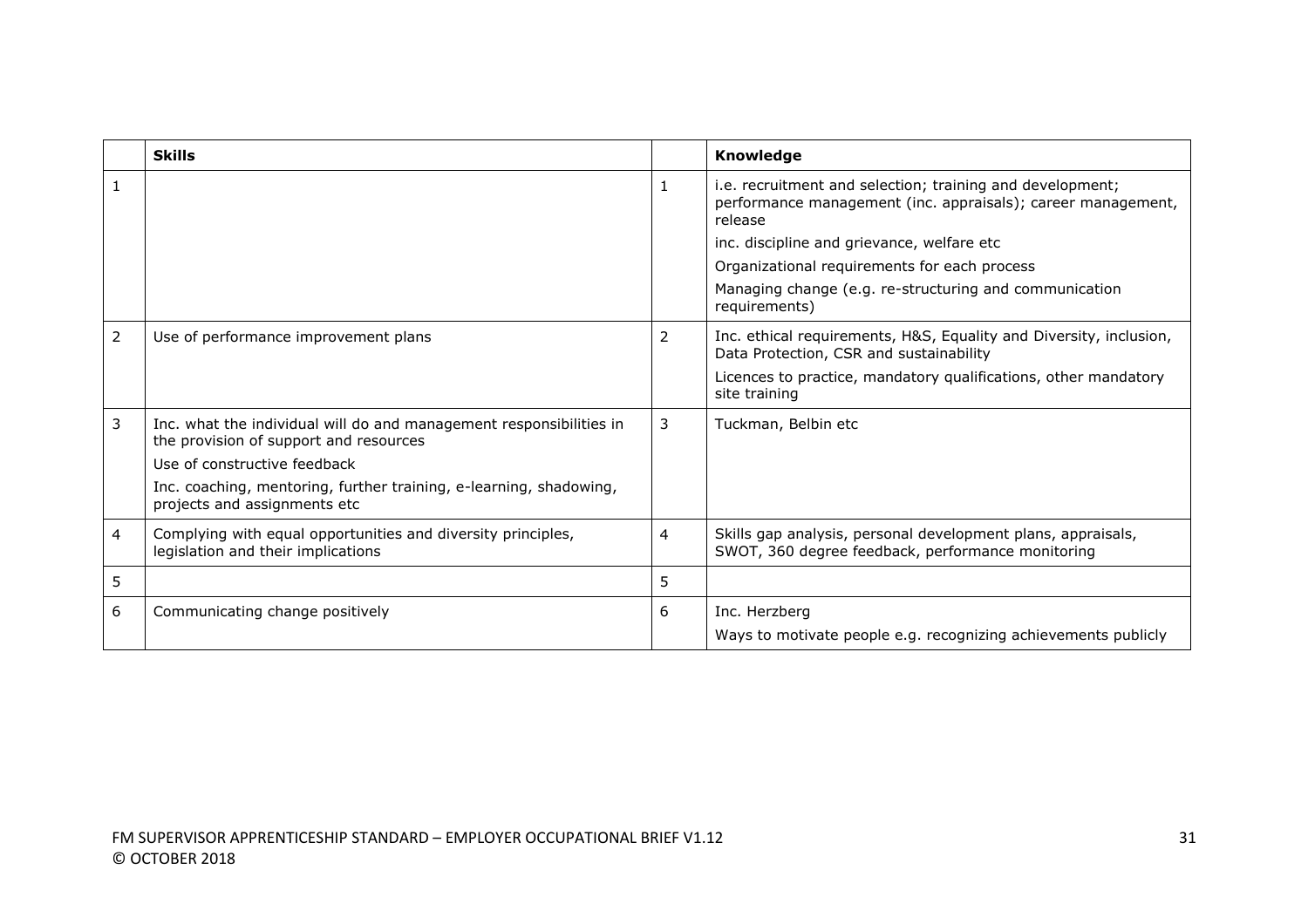|                | <b>Skills</b>                                                                                                 |                | Knowledge                                                                                                                            |
|----------------|---------------------------------------------------------------------------------------------------------------|----------------|--------------------------------------------------------------------------------------------------------------------------------------|
|                |                                                                                                               | 1              | i.e. recruitment and selection; training and development;<br>performance management (inc. appraisals); career management,<br>release |
|                |                                                                                                               |                | inc. discipline and grievance, welfare etc.                                                                                          |
|                |                                                                                                               |                | Organizational requirements for each process                                                                                         |
|                |                                                                                                               |                | Managing change (e.g. re-structuring and communication<br>requirements)                                                              |
| $\overline{2}$ | Use of performance improvement plans                                                                          | 2              | Inc. ethical requirements, H&S, Equality and Diversity, inclusion,<br>Data Protection, CSR and sustainability                        |
|                |                                                                                                               |                | Licences to practice, mandatory qualifications, other mandatory<br>site training                                                     |
| 3              | Inc. what the individual will do and management responsibilities in<br>the provision of support and resources | 3              | Tuckman, Belbin etc                                                                                                                  |
|                | Use of constructive feedback                                                                                  |                |                                                                                                                                      |
|                | Inc. coaching, mentoring, further training, e-learning, shadowing,<br>projects and assignments etc            |                |                                                                                                                                      |
| 4              | Complying with equal opportunities and diversity principles,<br>legislation and their implications            | $\overline{4}$ | Skills gap analysis, personal development plans, appraisals,<br>SWOT, 360 degree feedback, performance monitoring                    |
| 5              |                                                                                                               | 5              |                                                                                                                                      |
| 6              | Communicating change positively                                                                               | 6              | Inc. Herzberg                                                                                                                        |
|                |                                                                                                               |                | Ways to motivate people e.g. recognizing achievements publicly                                                                       |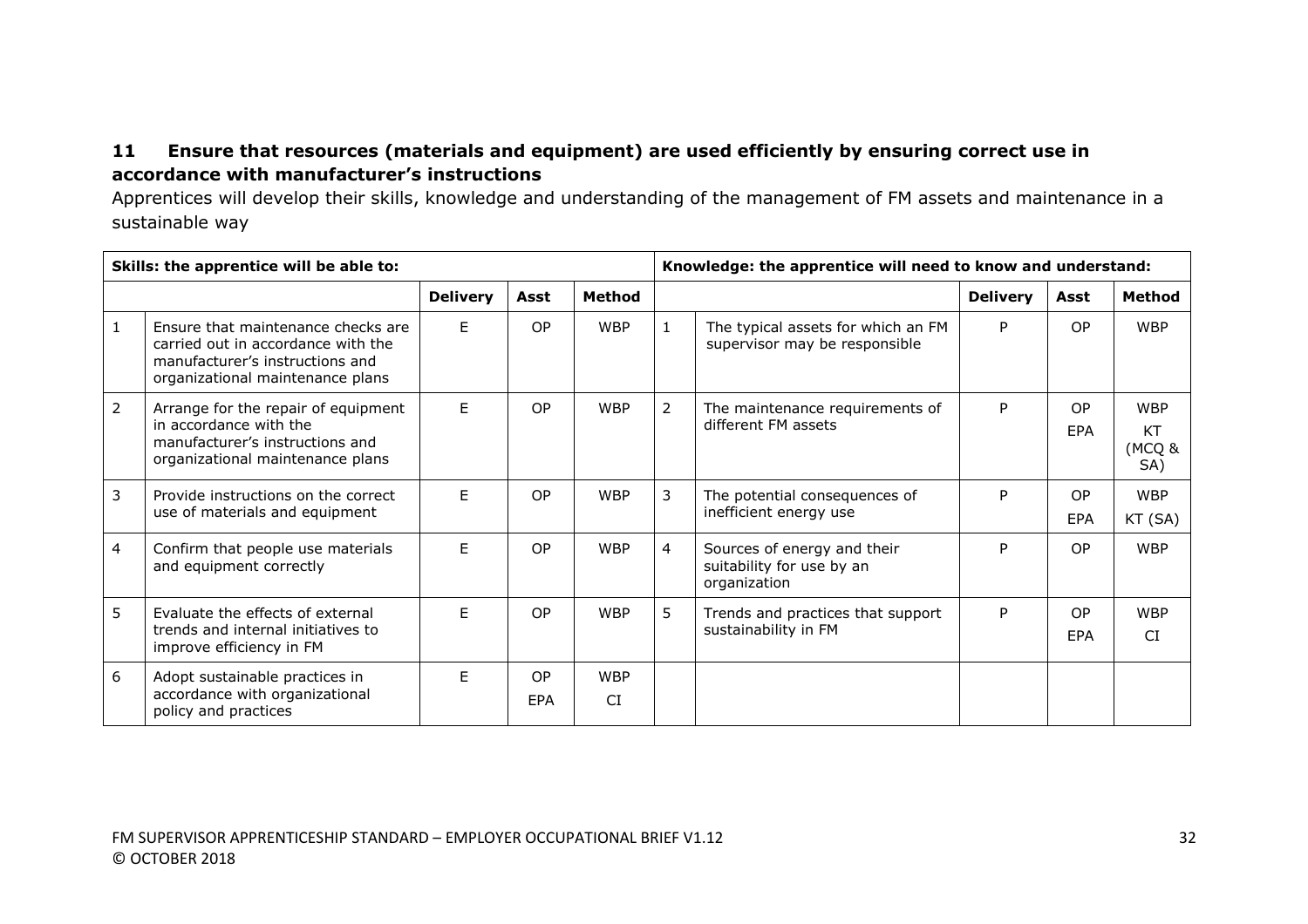# **11 Ensure that resources (materials and equipment) are used efficiently by ensuring correct use in accordance with manufacturer's instructions**

Apprentices will develop their skills, knowledge and understanding of the management of FM assets and maintenance in a sustainable way

| Skills: the apprentice will be able to: |                                                                                                                                                 |                 |           |                         | Knowledge: the apprentice will need to know and understand: |                                                                          |                 |                       |                                          |
|-----------------------------------------|-------------------------------------------------------------------------------------------------------------------------------------------------|-----------------|-----------|-------------------------|-------------------------------------------------------------|--------------------------------------------------------------------------|-----------------|-----------------------|------------------------------------------|
|                                         |                                                                                                                                                 | <b>Delivery</b> | Asst      | Method                  |                                                             |                                                                          | <b>Delivery</b> | Asst                  | <b>Method</b>                            |
|                                         | Ensure that maintenance checks are<br>carried out in accordance with the<br>manufacturer's instructions and<br>organizational maintenance plans | E               | <b>OP</b> | <b>WBP</b>              | 1                                                           | The typical assets for which an FM<br>supervisor may be responsible      | P               | <b>OP</b>             | <b>WBP</b>                               |
| $\overline{2}$                          | Arrange for the repair of equipment<br>in accordance with the<br>manufacturer's instructions and<br>organizational maintenance plans            | F.              | OP        | <b>WBP</b>              | 2                                                           | The maintenance requirements of<br>different FM assets                   | P               | <b>OP</b><br>EPA      | <b>WBP</b><br><b>KT</b><br>(MCQ &<br>SA) |
| 3                                       | Provide instructions on the correct<br>use of materials and equipment                                                                           | F.              | OP        | <b>WBP</b>              | 3                                                           | The potential consequences of<br>inefficient energy use                  | P               | <b>OP</b><br>EPA      | <b>WBP</b><br>KT (SA)                    |
| 4                                       | Confirm that people use materials<br>and equipment correctly                                                                                    | F.              | OP        | <b>WBP</b>              | $\overline{4}$                                              | Sources of energy and their<br>suitability for use by an<br>organization | P               | <b>OP</b>             | <b>WBP</b>                               |
| 5                                       | Evaluate the effects of external<br>trends and internal initiatives to<br>improve efficiency in FM                                              | F.              | OP        | <b>WBP</b>              | 5                                                           | Trends and practices that support<br>sustainability in FM                | P               | O <sub>P</sub><br>EPA | <b>WBP</b><br>CI.                        |
| 6                                       | Adopt sustainable practices in<br>accordance with organizational<br>policy and practices                                                        | F               | OP<br>EPA | <b>WBP</b><br><b>CI</b> |                                                             |                                                                          |                 |                       |                                          |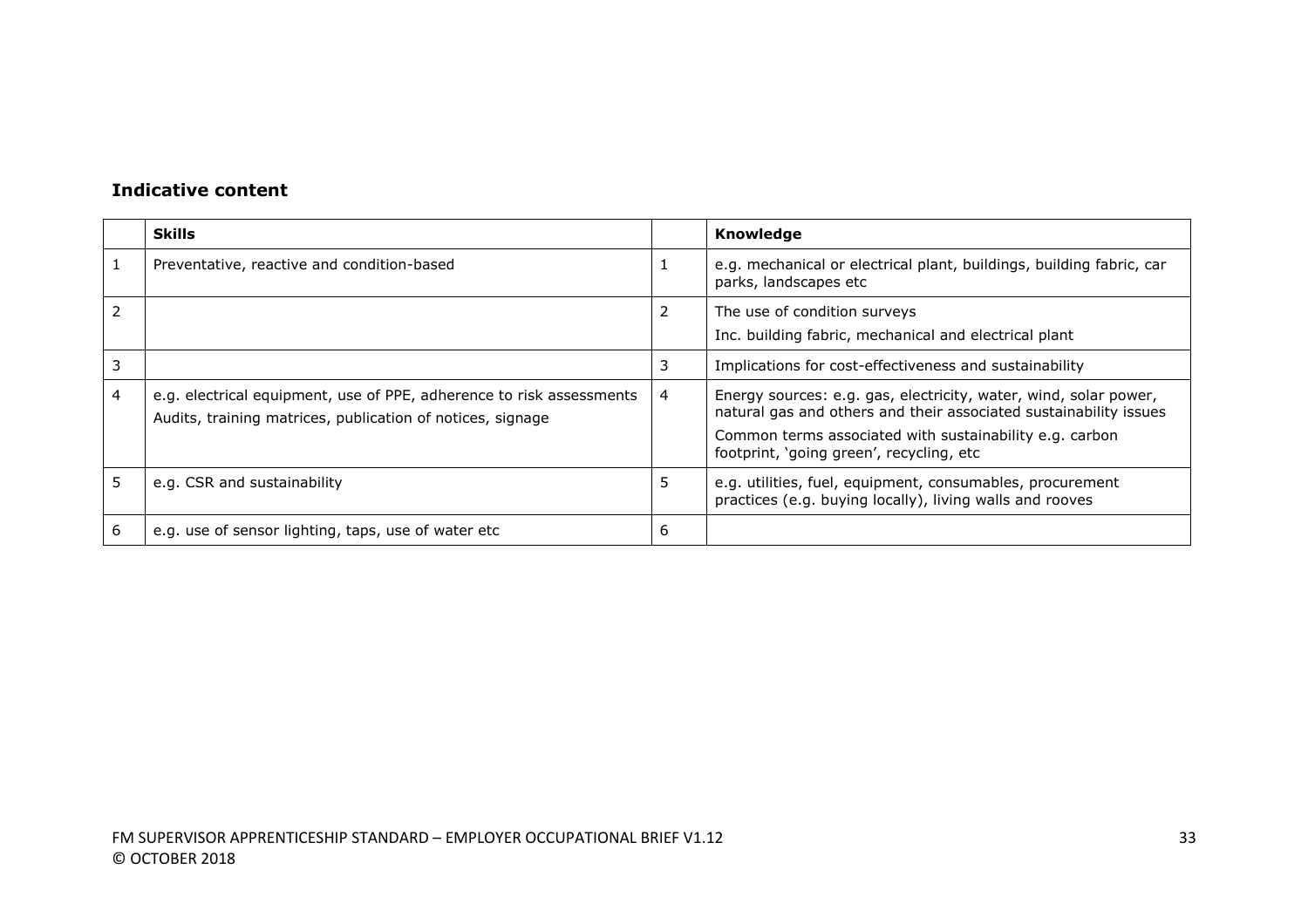|   | <b>Skills</b>                                                                                                                      |   | Knowledge                                                                                                                                                                                                                                    |
|---|------------------------------------------------------------------------------------------------------------------------------------|---|----------------------------------------------------------------------------------------------------------------------------------------------------------------------------------------------------------------------------------------------|
|   | Preventative, reactive and condition-based                                                                                         |   | e.g. mechanical or electrical plant, buildings, building fabric, car<br>parks, landscapes etc                                                                                                                                                |
|   |                                                                                                                                    | 2 | The use of condition surveys<br>Inc. building fabric, mechanical and electrical plant                                                                                                                                                        |
|   |                                                                                                                                    | 3 | Implications for cost-effectiveness and sustainability                                                                                                                                                                                       |
| 4 | e.g. electrical equipment, use of PPE, adherence to risk assessments<br>Audits, training matrices, publication of notices, signage | 4 | Energy sources: e.g. gas, electricity, water, wind, solar power,<br>natural gas and others and their associated sustainability issues<br>Common terms associated with sustainability e.g. carbon<br>footprint, 'going green', recycling, etc |
|   | e.g. CSR and sustainability                                                                                                        | 5 | e.g. utilities, fuel, equipment, consumables, procurement<br>practices (e.g. buying locally), living walls and rooves                                                                                                                        |
| 6 | e.g. use of sensor lighting, taps, use of water etc                                                                                | 6 |                                                                                                                                                                                                                                              |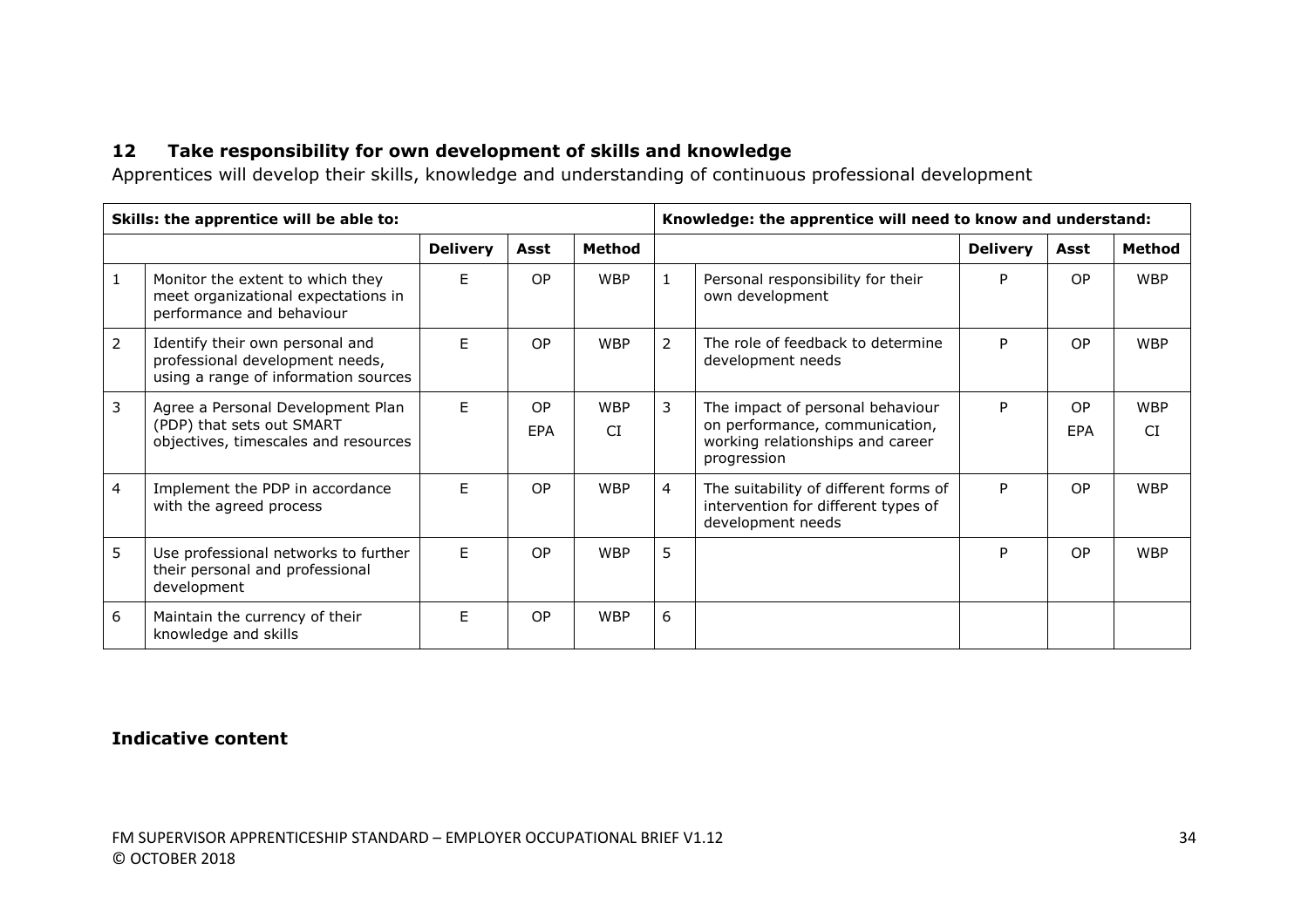# **12 Take responsibility for own development of skills and knowledge**

Apprentices will develop their skills, knowledge and understanding of continuous professional development

|                | Skills: the apprentice will be able to:                                                                    |                 |                  |                         |                | Knowledge: the apprentice will need to know and understand:                                                           |                 |                  |                   |
|----------------|------------------------------------------------------------------------------------------------------------|-----------------|------------------|-------------------------|----------------|-----------------------------------------------------------------------------------------------------------------------|-----------------|------------------|-------------------|
|                |                                                                                                            | <b>Delivery</b> | Asst             | Method                  |                |                                                                                                                       | <b>Delivery</b> | Asst             | Method            |
| $\mathbf{1}$   | Monitor the extent to which they<br>meet organizational expectations in<br>performance and behaviour       | E               | OP               | <b>WBP</b>              | $\mathbf{1}$   | Personal responsibility for their<br>own development                                                                  | P               | <b>OP</b>        | <b>WBP</b>        |
| $\overline{2}$ | Identify their own personal and<br>professional development needs,<br>using a range of information sources | F               | OP               | <b>WBP</b>              | 2              | The role of feedback to determine<br>development needs                                                                | P               | <b>OP</b>        | <b>WBP</b>        |
| $\overline{3}$ | Agree a Personal Development Plan<br>(PDP) that sets out SMART<br>objectives, timescales and resources     | F.              | OP<br><b>EPA</b> | <b>WBP</b><br><b>CI</b> | 3              | The impact of personal behaviour<br>on performance, communication,<br>working relationships and career<br>progression | P               | <b>OP</b><br>EPA | <b>WBP</b><br>CI. |
| 4              | Implement the PDP in accordance<br>with the agreed process                                                 | F               | OP               | <b>WBP</b>              | $\overline{4}$ | The suitability of different forms of<br>intervention for different types of<br>development needs                     | P               | <b>OP</b>        | <b>WBP</b>        |
| 5              | Use professional networks to further<br>their personal and professional<br>development                     | E               | OP               | <b>WBP</b>              | 5.             |                                                                                                                       | P               | <b>OP</b>        | <b>WBP</b>        |
| 6              | Maintain the currency of their<br>knowledge and skills                                                     | E               | OP               | <b>WBP</b>              | 6              |                                                                                                                       |                 |                  |                   |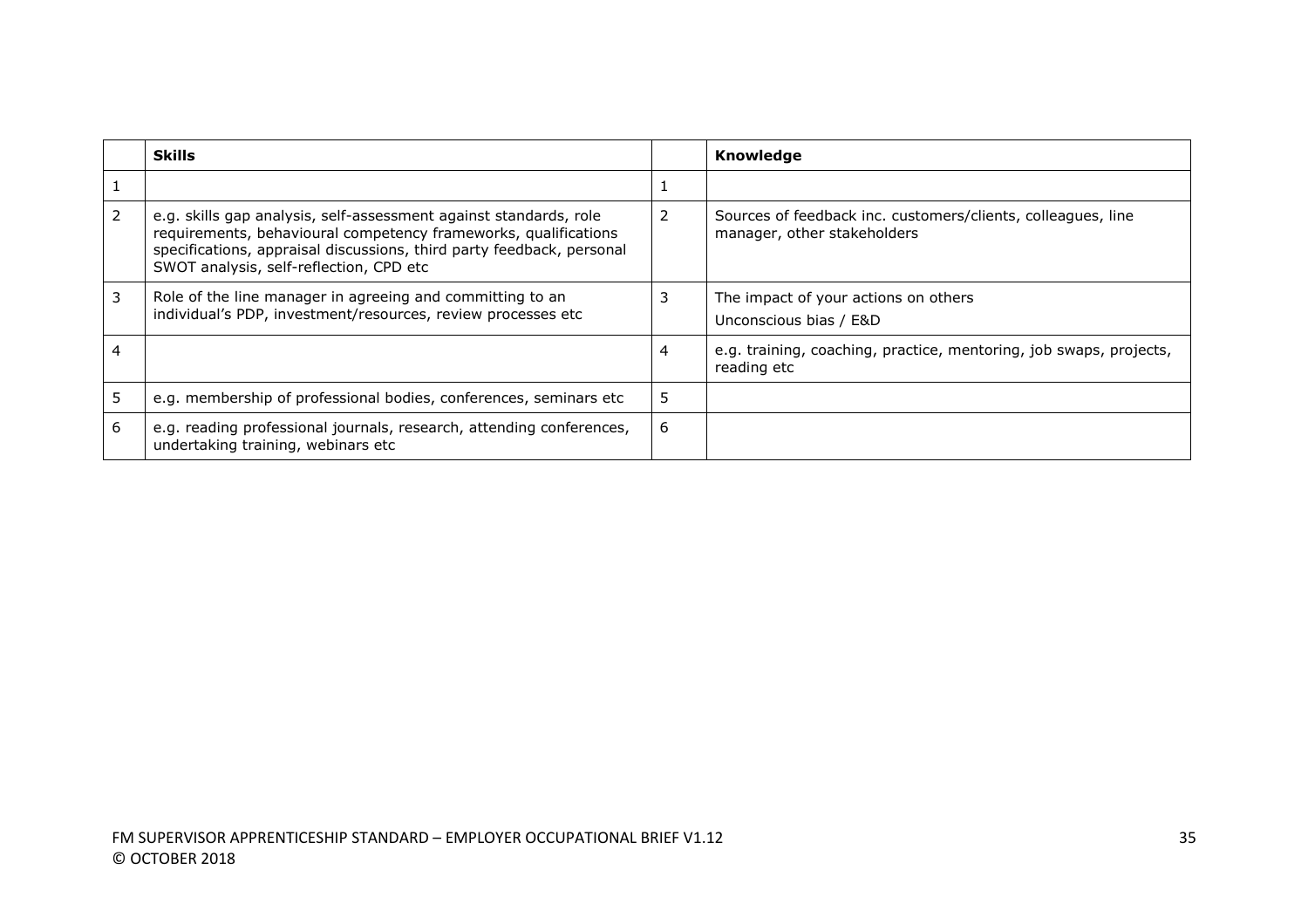|                | <b>Skills</b>                                                                                                                                                                                                                                            |   | Knowledge                                                                                   |
|----------------|----------------------------------------------------------------------------------------------------------------------------------------------------------------------------------------------------------------------------------------------------------|---|---------------------------------------------------------------------------------------------|
|                |                                                                                                                                                                                                                                                          |   |                                                                                             |
| $\overline{2}$ | e.g. skills gap analysis, self-assessment against standards, role<br>requirements, behavioural competency frameworks, qualifications<br>specifications, appraisal discussions, third party feedback, personal<br>SWOT analysis, self-reflection, CPD etc |   | Sources of feedback inc. customers/clients, colleagues, line<br>manager, other stakeholders |
| 3              | Role of the line manager in agreeing and committing to an<br>individual's PDP, investment/resources, review processes etc                                                                                                                                |   | The impact of your actions on others<br>Unconscious bias / E&D                              |
|                |                                                                                                                                                                                                                                                          | 4 | e.g. training, coaching, practice, mentoring, job swaps, projects,<br>reading etc           |
|                | e.g. membership of professional bodies, conferences, seminars etc                                                                                                                                                                                        |   |                                                                                             |
| 6              | e.g. reading professional journals, research, attending conferences,<br>undertaking training, webinars etc                                                                                                                                               | 6 |                                                                                             |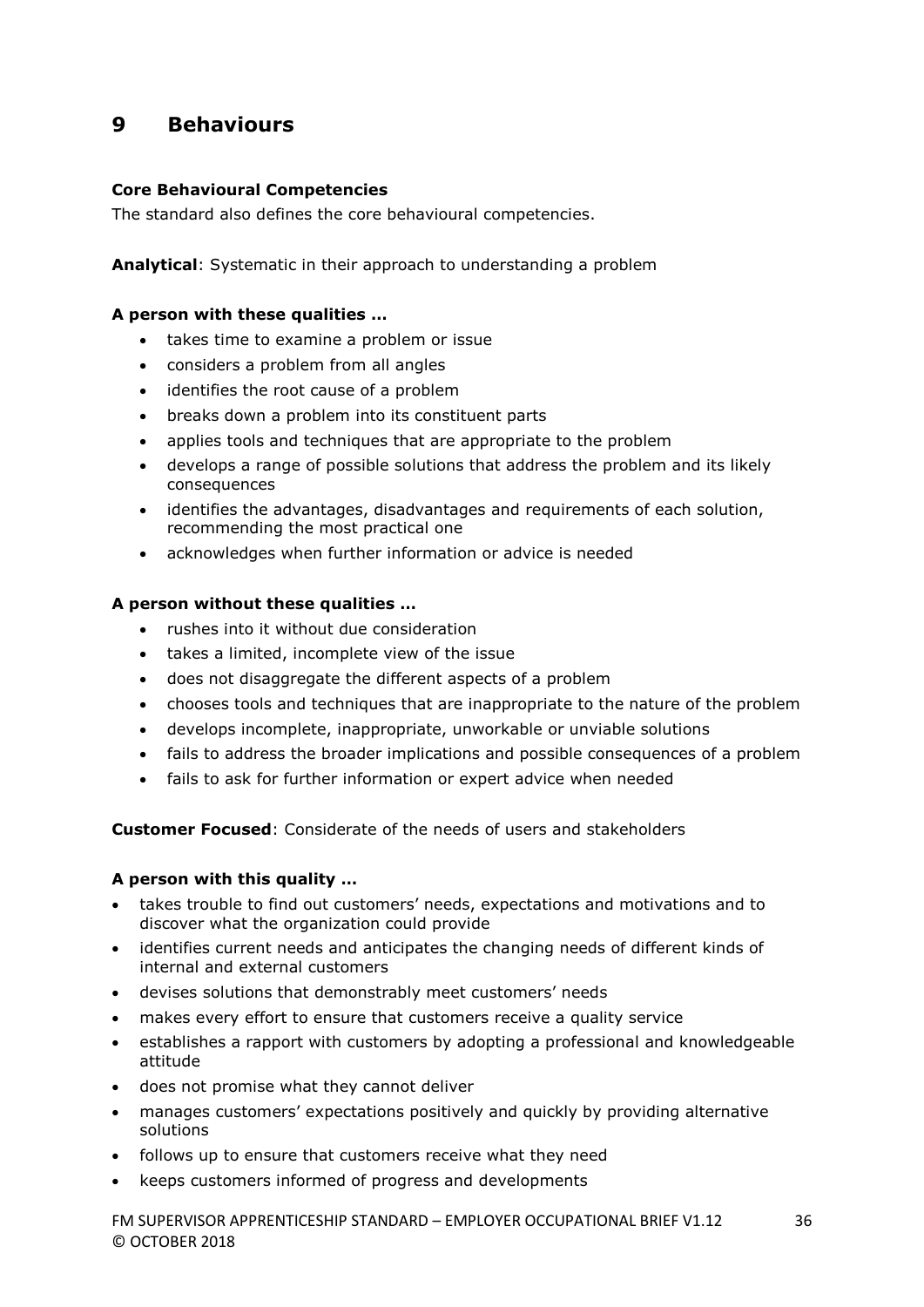# **9 Behaviours**

#### **Core Behavioural Competencies**

The standard also defines the core behavioural competencies.

**Analytical**: Systematic in their approach to understanding a problem

#### **A person with these qualities …**

- takes time to examine a problem or issue
- considers a problem from all angles
- identifies the root cause of a problem
- breaks down a problem into its constituent parts
- applies tools and techniques that are appropriate to the problem
- develops a range of possible solutions that address the problem and its likely consequences
- identifies the advantages, disadvantages and requirements of each solution, recommending the most practical one
- acknowledges when further information or advice is needed

#### **A person without these qualities …**

- rushes into it without due consideration
- takes a limited, incomplete view of the issue
- does not disaggregate the different aspects of a problem
- chooses tools and techniques that are inappropriate to the nature of the problem
- develops incomplete, inappropriate, unworkable or unviable solutions
- fails to address the broader implications and possible consequences of a problem
- fails to ask for further information or expert advice when needed

**Customer Focused**: Considerate of the needs of users and stakeholders

#### **A person with this quality …**

- takes trouble to find out customers' needs, expectations and motivations and to discover what the organization could provide
- identifies current needs and anticipates the changing needs of different kinds of internal and external customers
- devises solutions that demonstrably meet customers' needs
- makes every effort to ensure that customers receive a quality service
- establishes a rapport with customers by adopting a professional and knowledgeable attitude
- does not promise what they cannot deliver
- manages customers' expectations positively and quickly by providing alternative solutions
- follows up to ensure that customers receive what they need
- keeps customers informed of progress and developments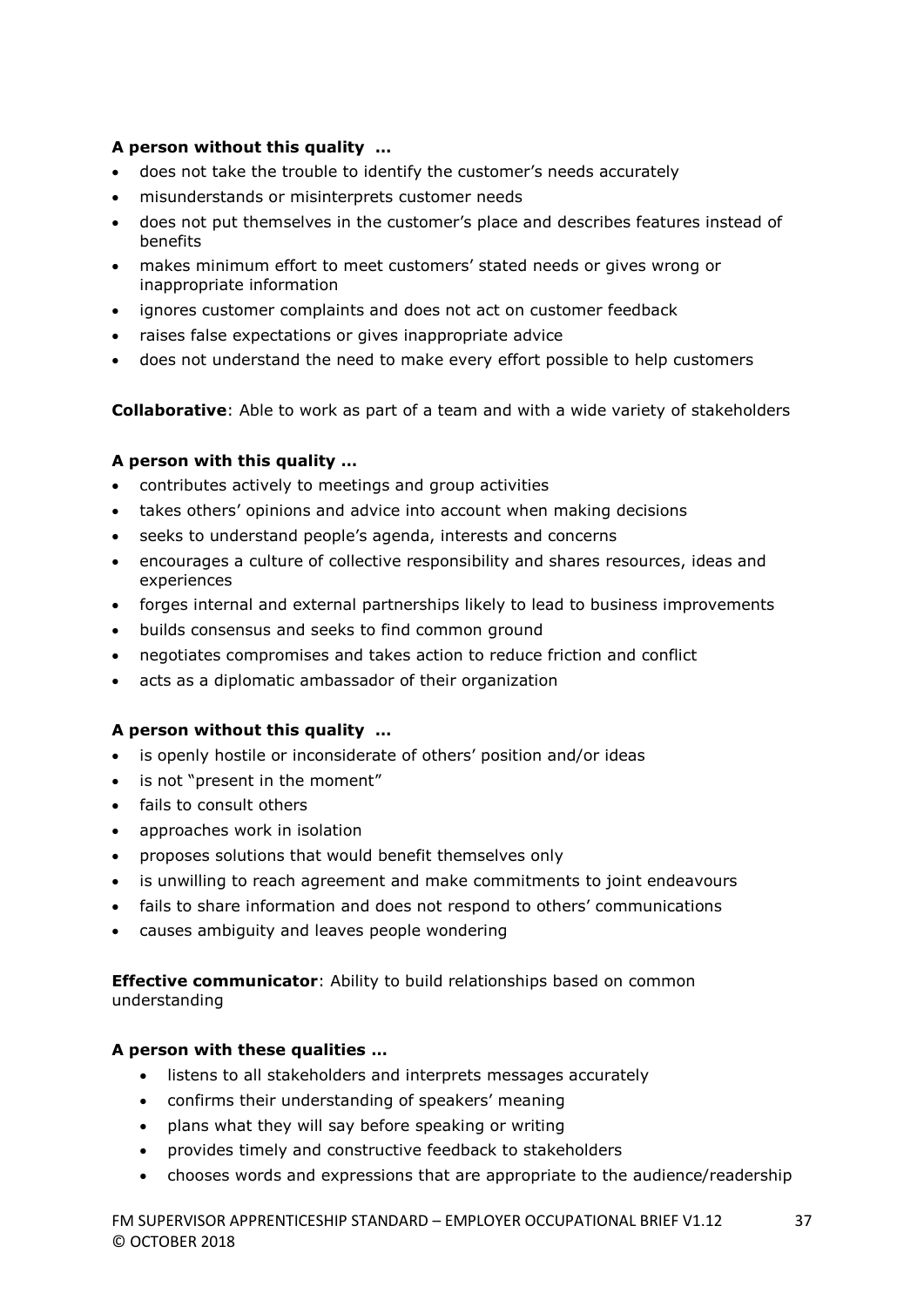### **A person without this quality …**

- does not take the trouble to identify the customer's needs accurately
- misunderstands or misinterprets customer needs
- does not put themselves in the customer's place and describes features instead of benefits
- makes minimum effort to meet customers' stated needs or gives wrong or inappropriate information
- ignores customer complaints and does not act on customer feedback
- raises false expectations or gives inappropriate advice
- does not understand the need to make every effort possible to help customers

**Collaborative**: Able to work as part of a team and with a wide variety of stakeholders

### **A person with this quality …**

- contributes actively to meetings and group activities
- takes others' opinions and advice into account when making decisions
- seeks to understand people's agenda, interests and concerns
- encourages a culture of collective responsibility and shares resources, ideas and experiences
- forges internal and external partnerships likely to lead to business improvements
- builds consensus and seeks to find common ground
- negotiates compromises and takes action to reduce friction and conflict
- acts as a diplomatic ambassador of their organization

#### **A person without this quality …**

- is openly hostile or inconsiderate of others' position and/or ideas
- is not "present in the moment"
- fails to consult others
- approaches work in isolation
- proposes solutions that would benefit themselves only
- is unwilling to reach agreement and make commitments to joint endeavours
- fails to share information and does not respond to others' communications
- causes ambiguity and leaves people wondering

**Effective communicator**: Ability to build relationships based on common understanding

#### **A person with these qualities …**

- listens to all stakeholders and interprets messages accurately
- confirms their understanding of speakers' meaning
- plans what they will say before speaking or writing
- provides timely and constructive feedback to stakeholders
- chooses words and expressions that are appropriate to the audience/readership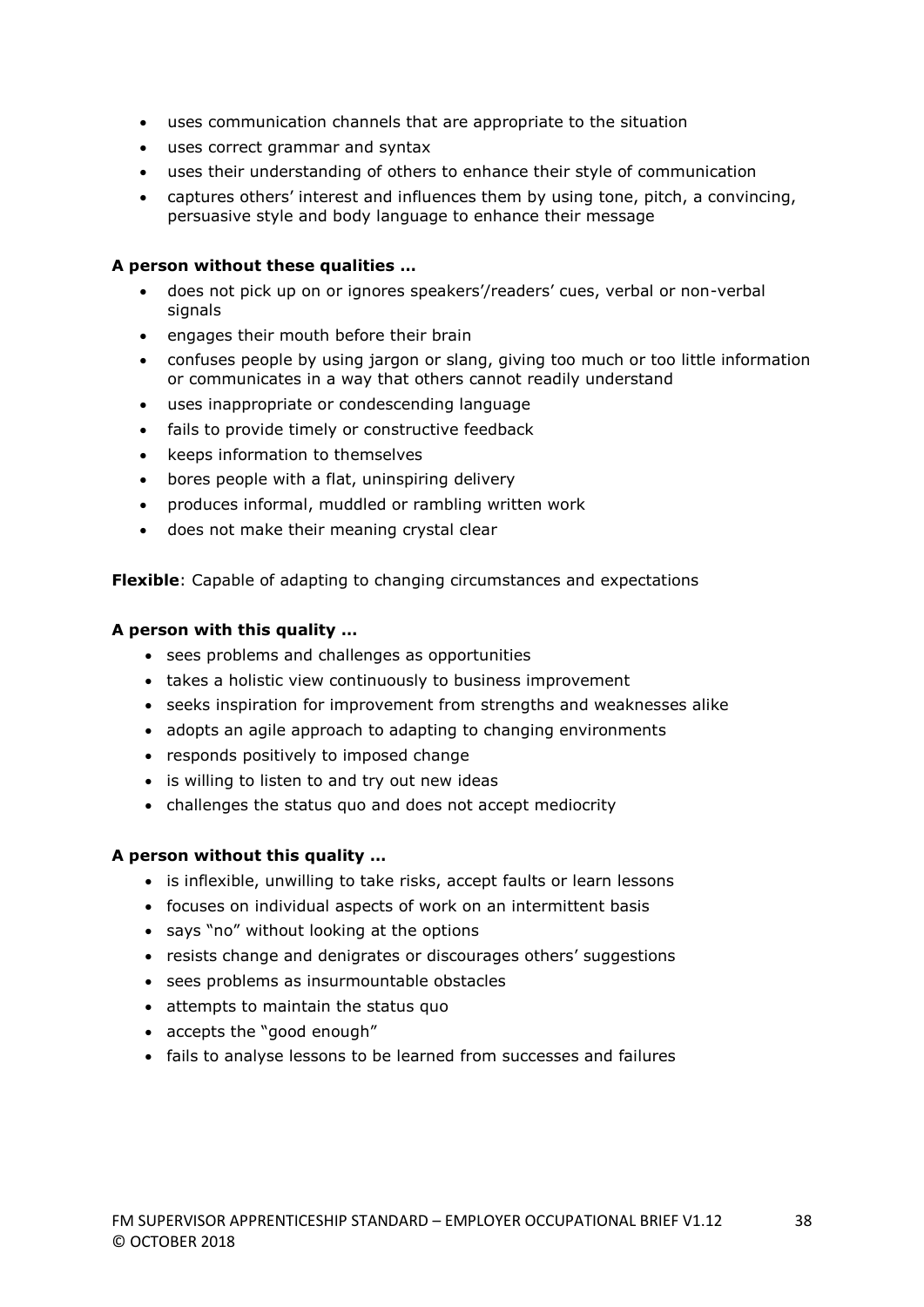- uses communication channels that are appropriate to the situation
- uses correct grammar and syntax
- uses their understanding of others to enhance their style of communication
- captures others' interest and influences them by using tone, pitch, a convincing, persuasive style and body language to enhance their message

#### **A person without these qualities …**

- does not pick up on or ignores speakers'/readers' cues, verbal or non-verbal signals
- engages their mouth before their brain
- confuses people by using jargon or slang, giving too much or too little information or communicates in a way that others cannot readily understand
- uses inappropriate or condescending language
- fails to provide timely or constructive feedback
- keeps information to themselves
- bores people with a flat, uninspiring delivery
- produces informal, muddled or rambling written work
- does not make their meaning crystal clear

**Flexible**: Capable of adapting to changing circumstances and expectations

#### **A person with this quality …**

- sees problems and challenges as opportunities
- takes a holistic view continuously to business improvement
- seeks inspiration for improvement from strengths and weaknesses alike
- adopts an agile approach to adapting to changing environments
- responds positively to imposed change
- is willing to listen to and try out new ideas
- challenges the status quo and does not accept mediocrity

#### **A person without this quality …**

- is inflexible, unwilling to take risks, accept faults or learn lessons
- focuses on individual aspects of work on an intermittent basis
- says "no" without looking at the options
- resists change and denigrates or discourages others' suggestions
- sees problems as insurmountable obstacles
- attempts to maintain the status quo
- accepts the "good enough"
- fails to analyse lessons to be learned from successes and failures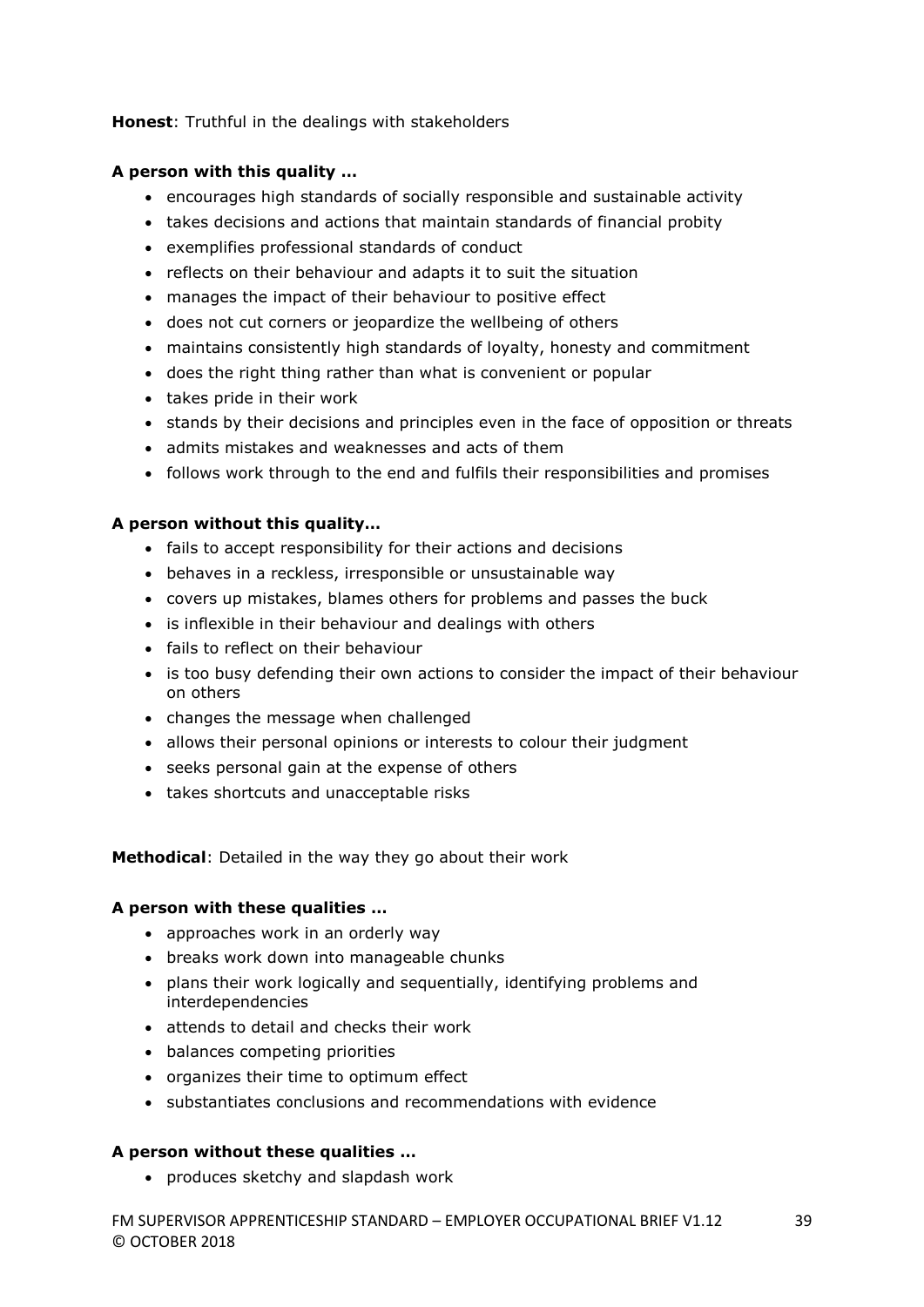**Honest**: Truthful in the dealings with stakeholders

#### **A person with this quality …**

- encourages high standards of socially responsible and sustainable activity
- takes decisions and actions that maintain standards of financial probity
- exemplifies professional standards of conduct
- reflects on their behaviour and adapts it to suit the situation
- manages the impact of their behaviour to positive effect
- does not cut corners or jeopardize the wellbeing of others
- maintains consistently high standards of loyalty, honesty and commitment
- does the right thing rather than what is convenient or popular
- takes pride in their work
- stands by their decisions and principles even in the face of opposition or threats
- admits mistakes and weaknesses and acts of them
- follows work through to the end and fulfils their responsibilities and promises

#### **A person without this quality…**

- fails to accept responsibility for their actions and decisions
- behaves in a reckless, irresponsible or unsustainable way
- covers up mistakes, blames others for problems and passes the buck
- is inflexible in their behaviour and dealings with others
- fails to reflect on their behaviour
- is too busy defending their own actions to consider the impact of their behaviour on others
- changes the message when challenged
- allows their personal opinions or interests to colour their judgment
- seeks personal gain at the expense of others
- takes shortcuts and unacceptable risks

**Methodical**: Detailed in the way they go about their work

#### **A person with these qualities …**

- approaches work in an orderly way
- breaks work down into manageable chunks
- plans their work logically and sequentially, identifying problems and interdependencies
- attends to detail and checks their work
- balances competing priorities
- organizes their time to optimum effect
- substantiates conclusions and recommendations with evidence

#### **A person without these qualities …**

• produces sketchy and slapdash work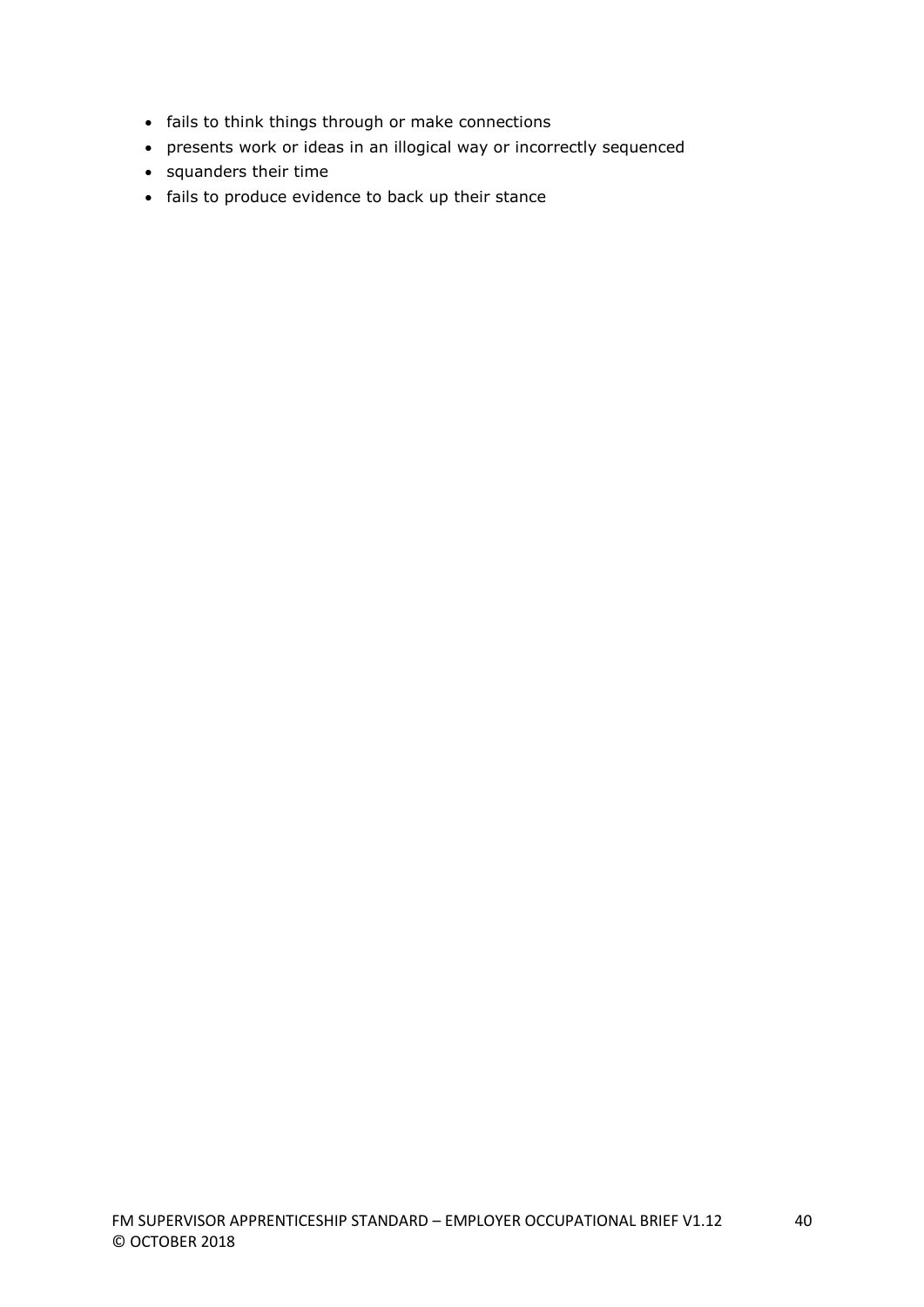- fails to think things through or make connections
- presents work or ideas in an illogical way or incorrectly sequenced
- squanders their time
- fails to produce evidence to back up their stance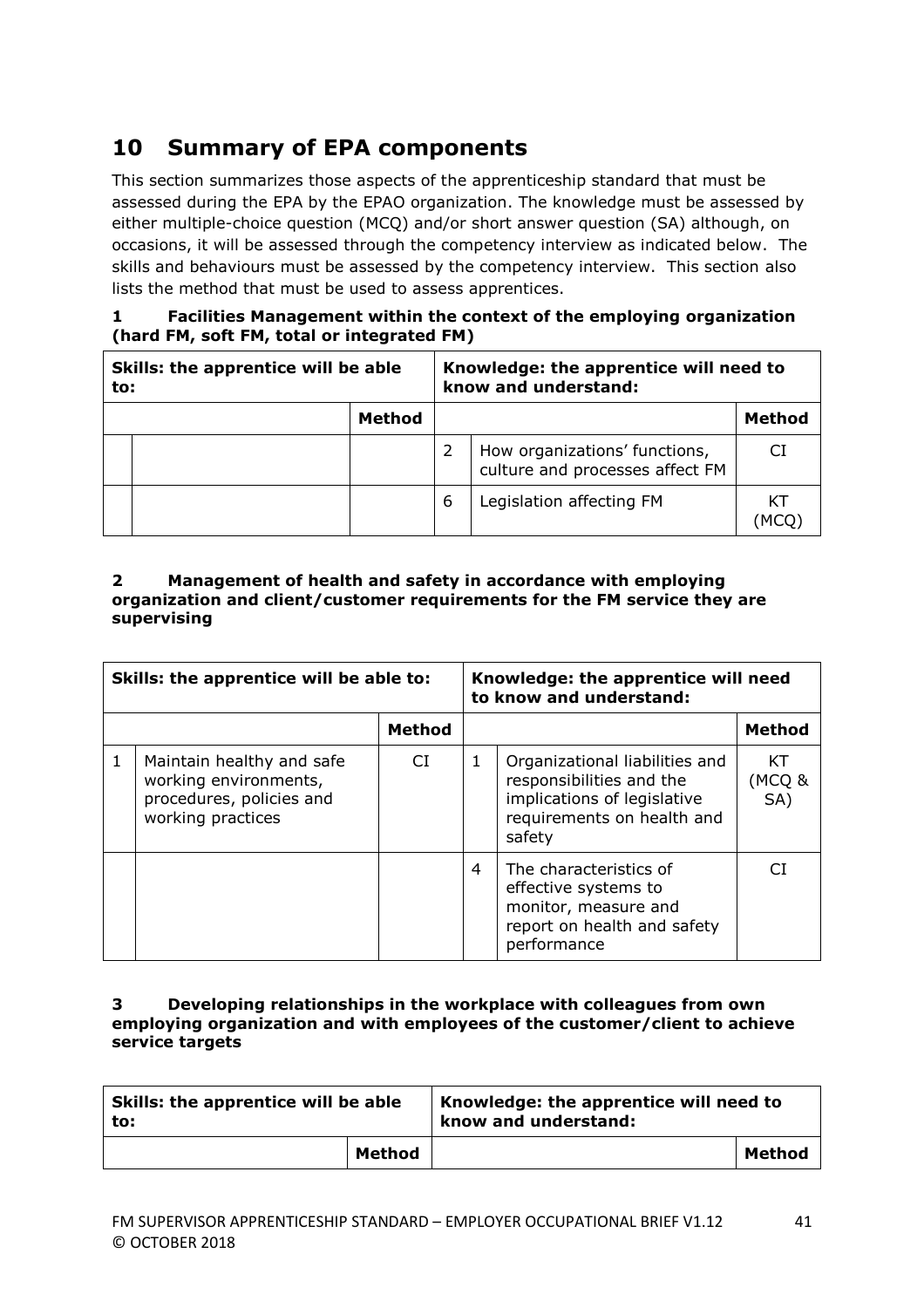# **10 Summary of EPA components**

This section summarizes those aspects of the apprenticeship standard that must be assessed during the EPA by the EPAO organization. The knowledge must be assessed by either multiple-choice question (MCQ) and/or short answer question (SA) although, on occasions, it will be assessed through the competency interview as indicated below. The skills and behaviours must be assessed by the competency interview. This section also lists the method that must be used to assess apprentices.

### **1 Facilities Management within the context of the employing organization (hard FM, soft FM, total or integrated FM)**

| Skills: the apprentice will be able<br>to: |  |  | Knowledge: the apprentice will need to<br>know and understand: |                                                                  |        |  |  |
|--------------------------------------------|--|--|----------------------------------------------------------------|------------------------------------------------------------------|--------|--|--|
| <b>Method</b>                              |  |  |                                                                |                                                                  | Method |  |  |
|                                            |  |  |                                                                | How organizations' functions,<br>culture and processes affect FM | СI     |  |  |
|                                            |  |  | 6                                                              | Legislation affecting FM                                         |        |  |  |

#### **2 Management of health and safety in accordance with employing organization and client/customer requirements for the FM service they are supervising**

| Skills: the apprentice will be able to:                                                             |               | Knowledge: the apprentice will need<br>to know and understand: |                                                                                                                                   |                     |
|-----------------------------------------------------------------------------------------------------|---------------|----------------------------------------------------------------|-----------------------------------------------------------------------------------------------------------------------------------|---------------------|
|                                                                                                     | <b>Method</b> |                                                                |                                                                                                                                   | <b>Method</b>       |
| Maintain healthy and safe<br>working environments,<br>procedures, policies and<br>working practices | CI.           | 1                                                              | Organizational liabilities and<br>responsibilities and the<br>implications of legislative<br>requirements on health and<br>safety | KT<br>(MCQ &<br>SA) |
|                                                                                                     |               | 4                                                              | The characteristics of<br>effective systems to<br>monitor, measure and<br>report on health and safety<br>performance              |                     |

#### **3 Developing relationships in the workplace with colleagues from own employing organization and with employees of the customer/client to achieve service targets**

| Skills: the apprentice will be able<br>to: |        | Knowledge: the apprentice will need to<br>know and understand: |               |  |  |
|--------------------------------------------|--------|----------------------------------------------------------------|---------------|--|--|
|                                            | Method |                                                                | <b>Method</b> |  |  |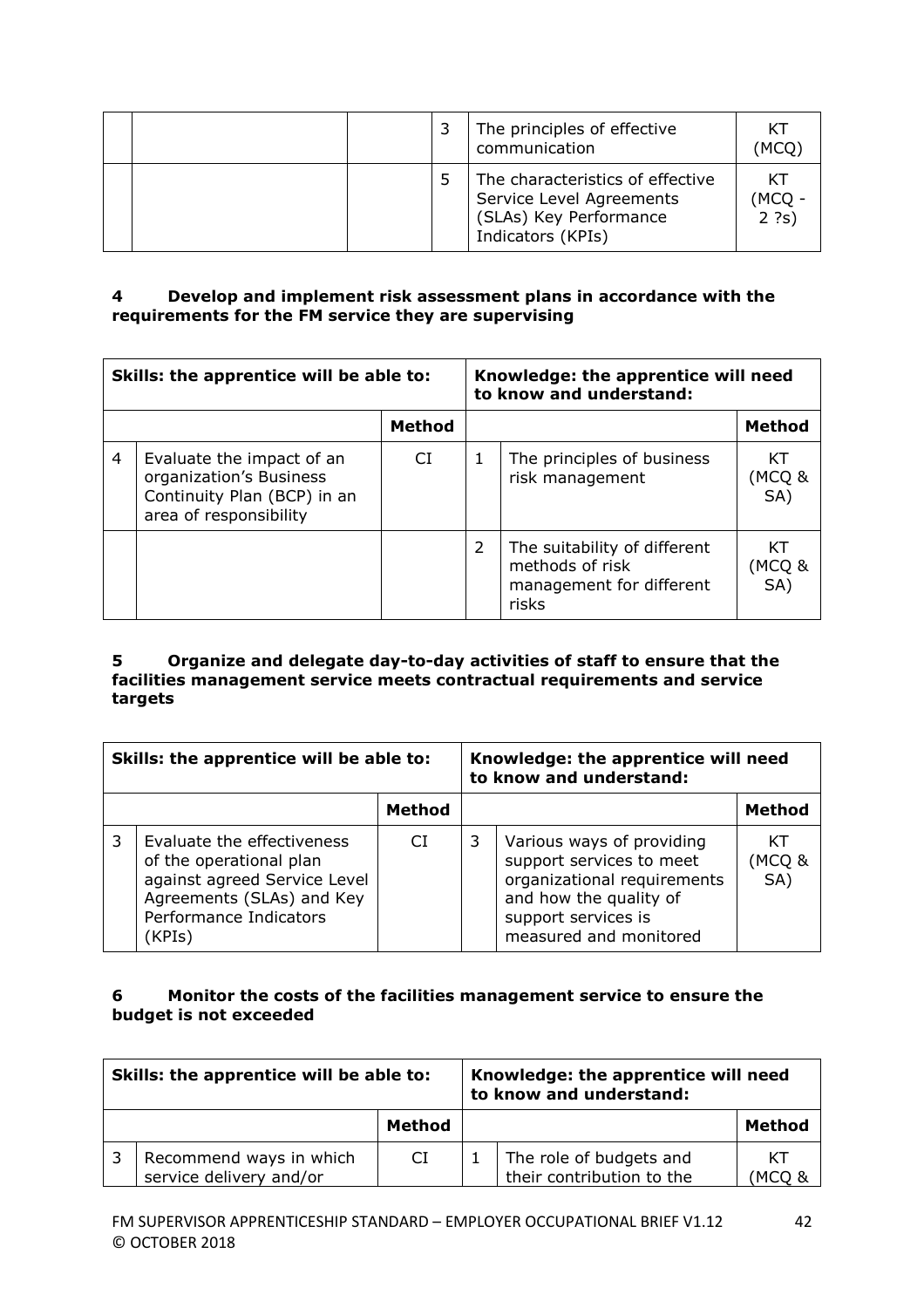|  |  | The principles of effective<br>communication                                                                | ΚT<br><b>MCQ</b>         |
|--|--|-------------------------------------------------------------------------------------------------------------|--------------------------|
|  |  | The characteristics of effective<br>Service Level Agreements<br>(SLAs) Key Performance<br>Indicators (KPIs) | КT<br><b>MCQ</b><br>2 ?s |

### **4 Develop and implement risk assessment plans in accordance with the requirements for the FM service they are supervising**

| Skills: the apprentice will be able to: |                                                                                                               | Knowledge: the apprentice will need<br>to know and understand: |               |                                                                                      |                     |
|-----------------------------------------|---------------------------------------------------------------------------------------------------------------|----------------------------------------------------------------|---------------|--------------------------------------------------------------------------------------|---------------------|
| <b>Method</b>                           |                                                                                                               |                                                                |               | <b>Method</b>                                                                        |                     |
| 4                                       | Evaluate the impact of an<br>organization's Business<br>Continuity Plan (BCP) in an<br>area of responsibility | CI.                                                            | 1             | The principles of business<br>risk management                                        | КT<br>(MCQ &<br>SA) |
|                                         |                                                                                                               |                                                                | $\mathcal{P}$ | The suitability of different<br>methods of risk<br>management for different<br>risks | КT<br>(MCQ &<br>SA) |

#### **5 Organize and delegate day-to-day activities of staff to ensure that the facilities management service meets contractual requirements and service targets**

| Skills: the apprentice will be able to: |                                                                                                                                                        | Knowledge: the apprentice will need<br>to know and understand: |   |                                                                                                                                                                 |                    |
|-----------------------------------------|--------------------------------------------------------------------------------------------------------------------------------------------------------|----------------------------------------------------------------|---|-----------------------------------------------------------------------------------------------------------------------------------------------------------------|--------------------|
|                                         |                                                                                                                                                        | <b>Method</b>                                                  |   |                                                                                                                                                                 | Method             |
|                                         | Evaluate the effectiveness<br>of the operational plan<br>against agreed Service Level<br>Agreements (SLAs) and Key<br>Performance Indicators<br>(KPIs) | СI                                                             | 3 | Various ways of providing<br>support services to meet<br>organizational requirements<br>and how the quality of<br>support services is<br>measured and monitored | КT<br>MCQ &<br>SA) |

### **6 Monitor the costs of the facilities management service to ensure the budget is not exceeded**

| Skills: the apprentice will be able to: |                                                    | Knowledge: the apprentice will need<br>to know and understand: |  |                                                      |              |
|-----------------------------------------|----------------------------------------------------|----------------------------------------------------------------|--|------------------------------------------------------|--------------|
|                                         |                                                    | Method                                                         |  |                                                      | Method       |
|                                         | Recommend ways in which<br>service delivery and/or | CI                                                             |  | The role of budgets and<br>their contribution to the | КT<br>'MCO & |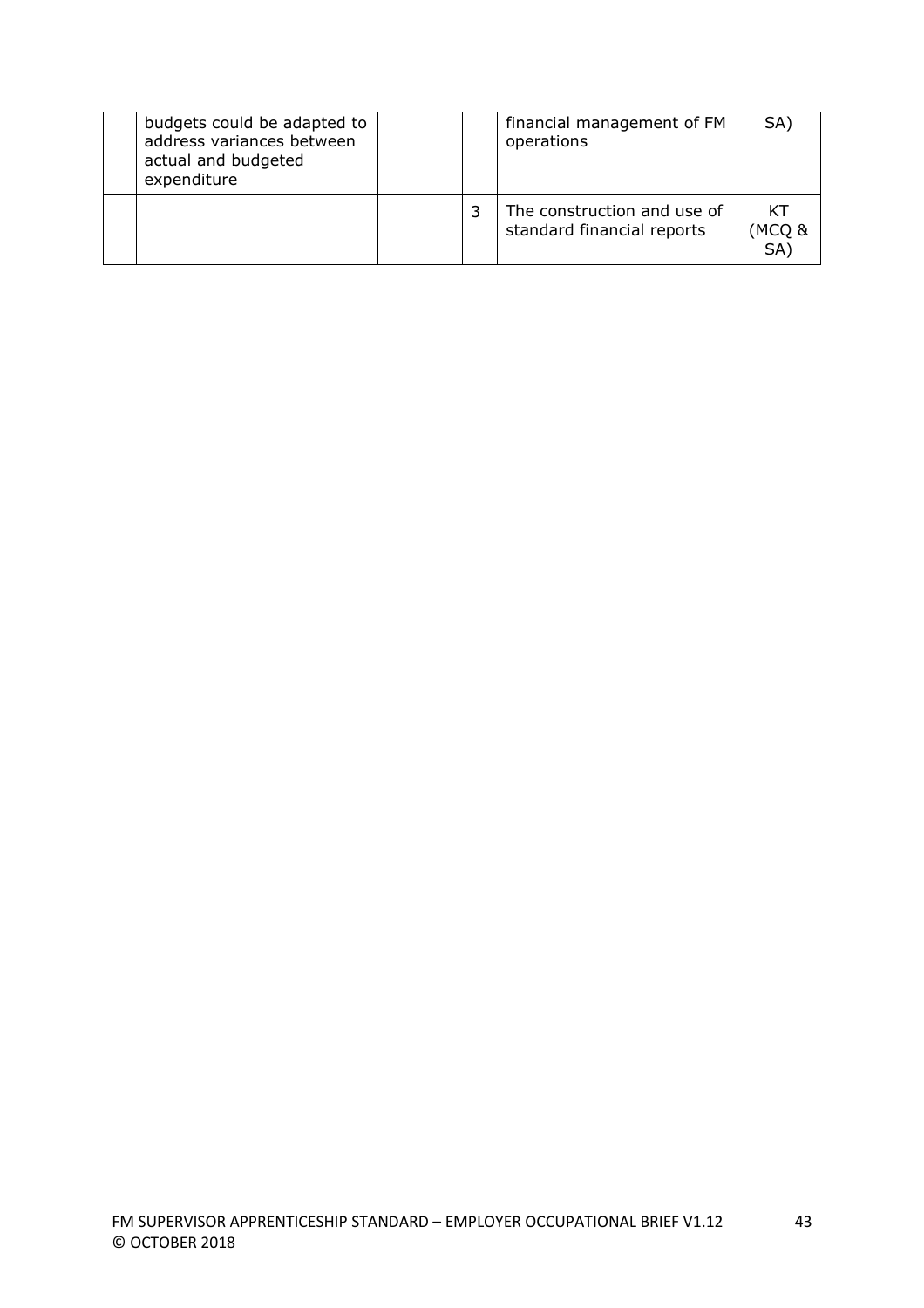| budgets could be adapted to<br>address variances between<br>actual and budgeted<br>expenditure |  | financial management of FM<br>operations                  | SA)                |
|------------------------------------------------------------------------------------------------|--|-----------------------------------------------------------|--------------------|
|                                                                                                |  | The construction and use of<br>standard financial reports | КT<br>MCQ &<br>SA) |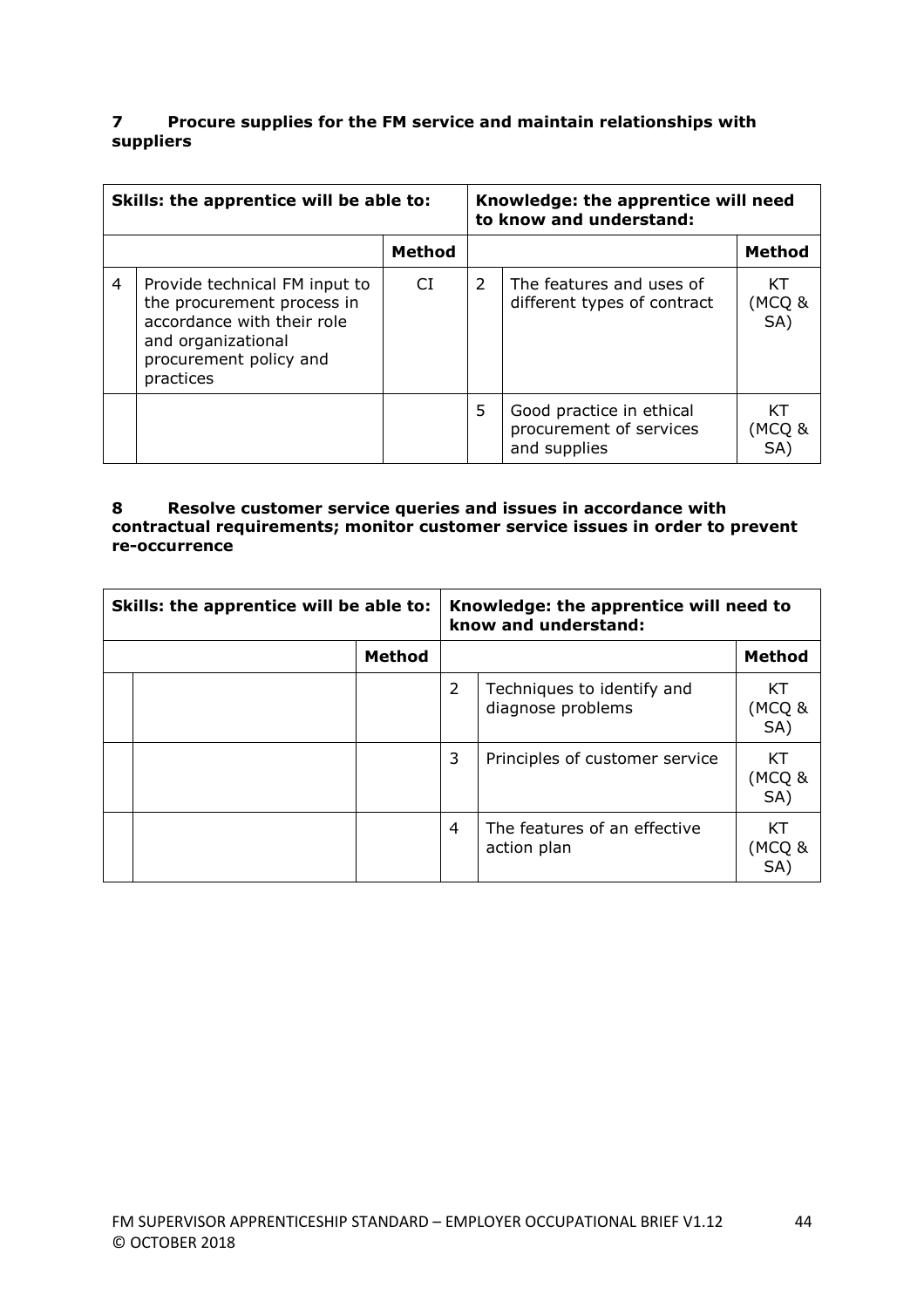#### **7 Procure supplies for the FM service and maintain relationships with suppliers**

| Skills: the apprentice will be able to: |                                                                                                                                                        |               | Knowledge: the apprentice will need<br>to know and understand: |                                                                     |                     |
|-----------------------------------------|--------------------------------------------------------------------------------------------------------------------------------------------------------|---------------|----------------------------------------------------------------|---------------------------------------------------------------------|---------------------|
|                                         |                                                                                                                                                        | <b>Method</b> |                                                                |                                                                     | <b>Method</b>       |
| $\overline{4}$                          | Provide technical FM input to<br>the procurement process in<br>accordance with their role<br>and organizational<br>procurement policy and<br>practices | CI.           | $\mathcal{P}$                                                  | The features and uses of<br>different types of contract             | КT<br>(MCQ &<br>SA) |
|                                         |                                                                                                                                                        |               | 5                                                              | Good practice in ethical<br>procurement of services<br>and supplies | KТ<br>(MCQ &<br>SA) |

#### **8 Resolve customer service queries and issues in accordance with contractual requirements; monitor customer service issues in order to prevent re-occurrence**

| Skills: the apprentice will be able to: |  | Knowledge: the apprentice will need to<br>know and understand: |   |                                                 |                     |
|-----------------------------------------|--|----------------------------------------------------------------|---|-------------------------------------------------|---------------------|
| <b>Method</b>                           |  |                                                                |   | <b>Method</b>                                   |                     |
|                                         |  |                                                                | 2 | Techniques to identify and<br>diagnose problems | КT<br>(MCQ &<br>SA) |
|                                         |  |                                                                | 3 | Principles of customer service                  | КT<br>(MCQ &<br>SA) |
|                                         |  |                                                                | 4 | The features of an effective<br>action plan     | КT<br>(MCO &<br>SA  |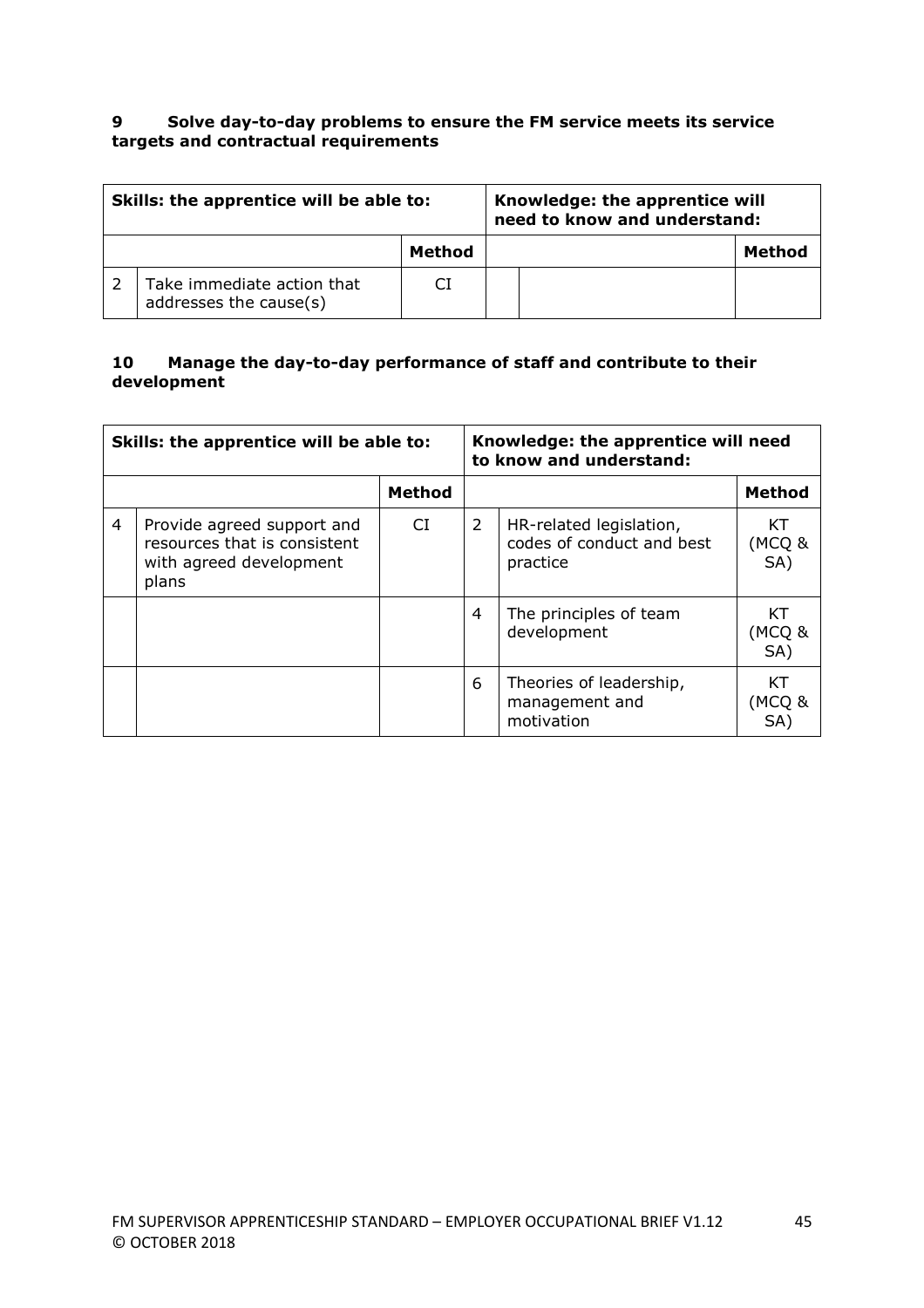#### **9 Solve day-to-day problems to ensure the FM service meets its service targets and contractual requirements**

| Skills: the apprentice will be able to: |                                                      |        | Knowledge: the apprentice will<br>need to know and understand: |        |
|-----------------------------------------|------------------------------------------------------|--------|----------------------------------------------------------------|--------|
|                                         |                                                      | Method |                                                                | Method |
|                                         | Take immediate action that<br>addresses the cause(s) |        |                                                                |        |

#### **10 Manage the day-to-day performance of staff and contribute to their development**

| Skills: the apprentice will be able to: |                                                                                                | Knowledge: the apprentice will need<br>to know and understand: |   |                                                                  |                     |
|-----------------------------------------|------------------------------------------------------------------------------------------------|----------------------------------------------------------------|---|------------------------------------------------------------------|---------------------|
|                                         |                                                                                                | <b>Method</b>                                                  |   |                                                                  | <b>Method</b>       |
| 4                                       | Provide agreed support and<br>resources that is consistent<br>with agreed development<br>plans | CI                                                             | 2 | HR-related legislation,<br>codes of conduct and best<br>practice | КT<br>(MCQ &<br>SA) |
|                                         |                                                                                                |                                                                | 4 | The principles of team<br>development                            | КT<br>(MCQ &<br>SA) |
|                                         |                                                                                                |                                                                | 6 | Theories of leadership,<br>management and<br>motivation          | KT<br>(MCQ &<br>SA  |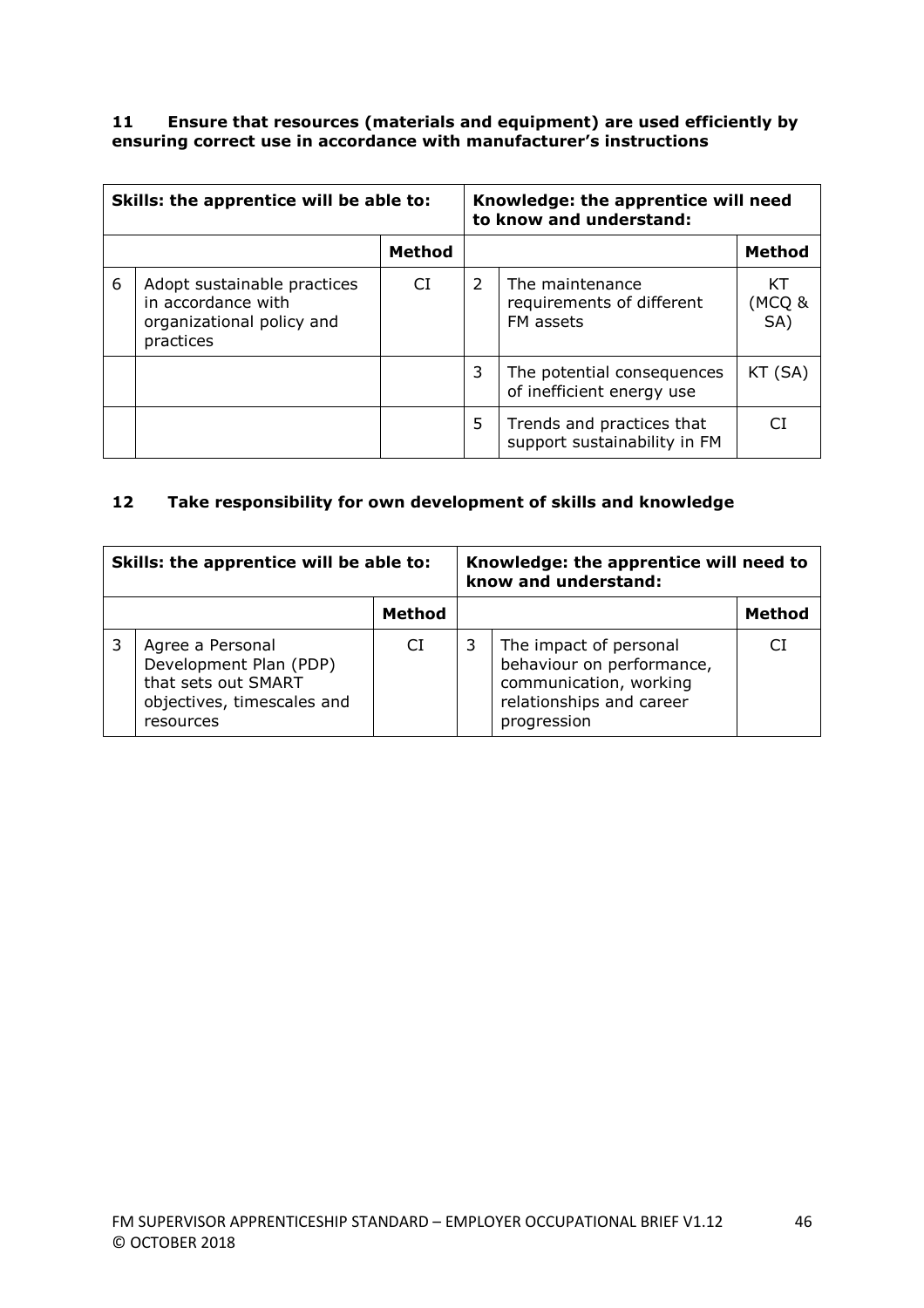#### **11 Ensure that resources (materials and equipment) are used efficiently by ensuring correct use in accordance with manufacturer's instructions**

| Skills: the apprentice will be able to: |                                                                                             | Knowledge: the apprentice will need<br>to know and understand: |               |                                                           |                     |
|-----------------------------------------|---------------------------------------------------------------------------------------------|----------------------------------------------------------------|---------------|-----------------------------------------------------------|---------------------|
| Method                                  |                                                                                             |                                                                |               | <b>Method</b>                                             |                     |
| 6                                       | Adopt sustainable practices<br>in accordance with<br>organizational policy and<br>practices | CI.                                                            | $\mathcal{L}$ | The maintenance<br>requirements of different<br>FM assets | КT<br>(MCQ &<br>SA) |
|                                         |                                                                                             |                                                                | 3             | The potential consequences<br>of inefficient energy use   | KT (SA)             |
|                                         |                                                                                             |                                                                | 5             | Trends and practices that<br>support sustainability in FM |                     |

### **12 Take responsibility for own development of skills and knowledge**

| Skills: the apprentice will be able to: |                                                                                                              |        | Knowledge: the apprentice will need to<br>know and understand: |                                                                                                                          |        |
|-----------------------------------------|--------------------------------------------------------------------------------------------------------------|--------|----------------------------------------------------------------|--------------------------------------------------------------------------------------------------------------------------|--------|
|                                         |                                                                                                              | Method |                                                                |                                                                                                                          | Method |
|                                         | Agree a Personal<br>Development Plan (PDP)<br>that sets out SMART<br>objectives, timescales and<br>resources | CI     | 3                                                              | The impact of personal<br>behaviour on performance,<br>communication, working<br>relationships and career<br>progression | СI     |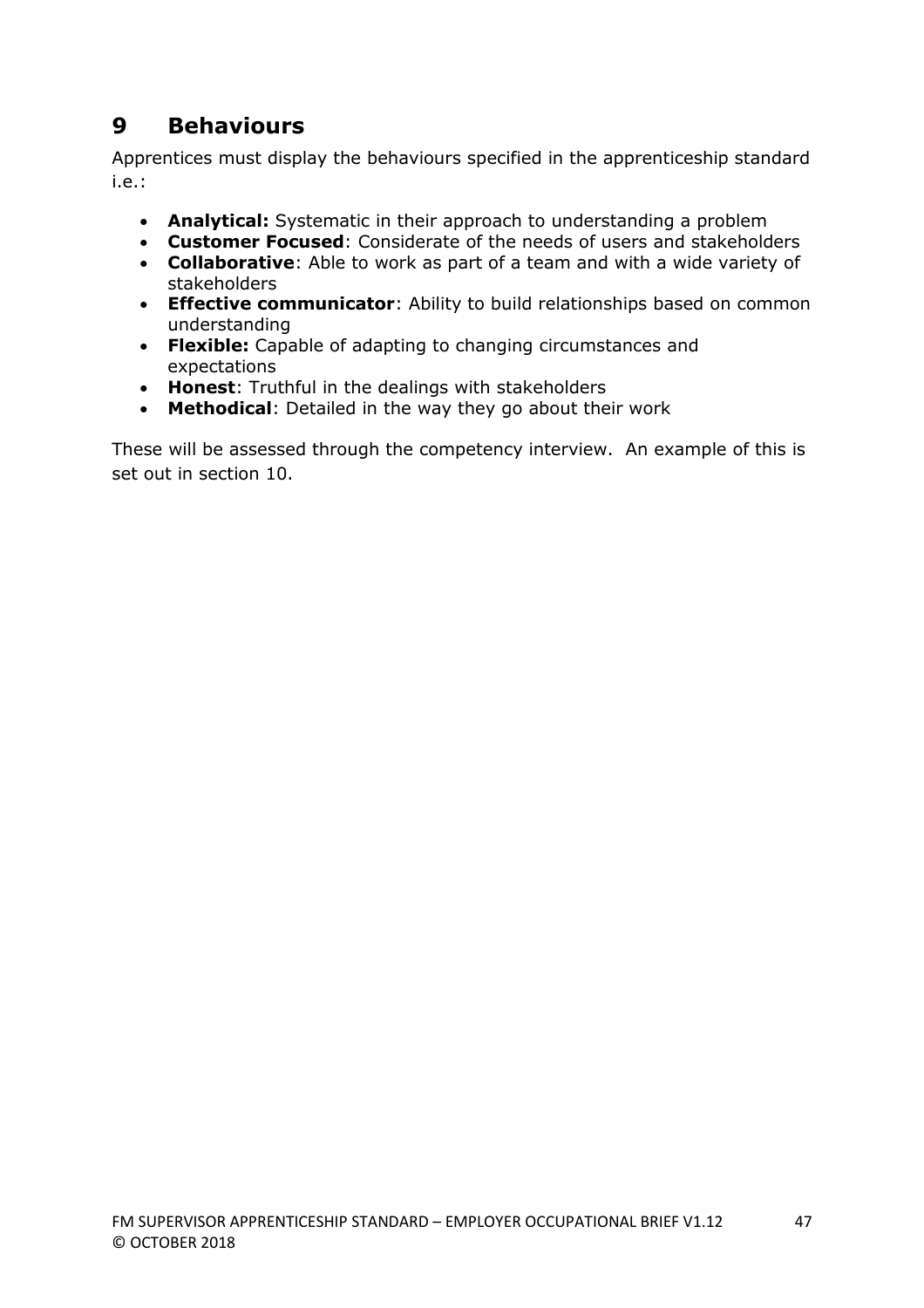# **9 Behaviours**

Apprentices must display the behaviours specified in the apprenticeship standard i.e.:

- **Analytical:** Systematic in their approach to understanding a problem
- **Customer Focused**: Considerate of the needs of users and stakeholders
- **Collaborative**: Able to work as part of a team and with a wide variety of stakeholders
- **Effective communicator**: Ability to build relationships based on common understanding
- **Flexible:** Capable of adapting to changing circumstances and expectations
- **Honest**: Truthful in the dealings with stakeholders
- **Methodical**: Detailed in the way they go about their work

These will be assessed through the competency interview. An example of this is set out in section 10.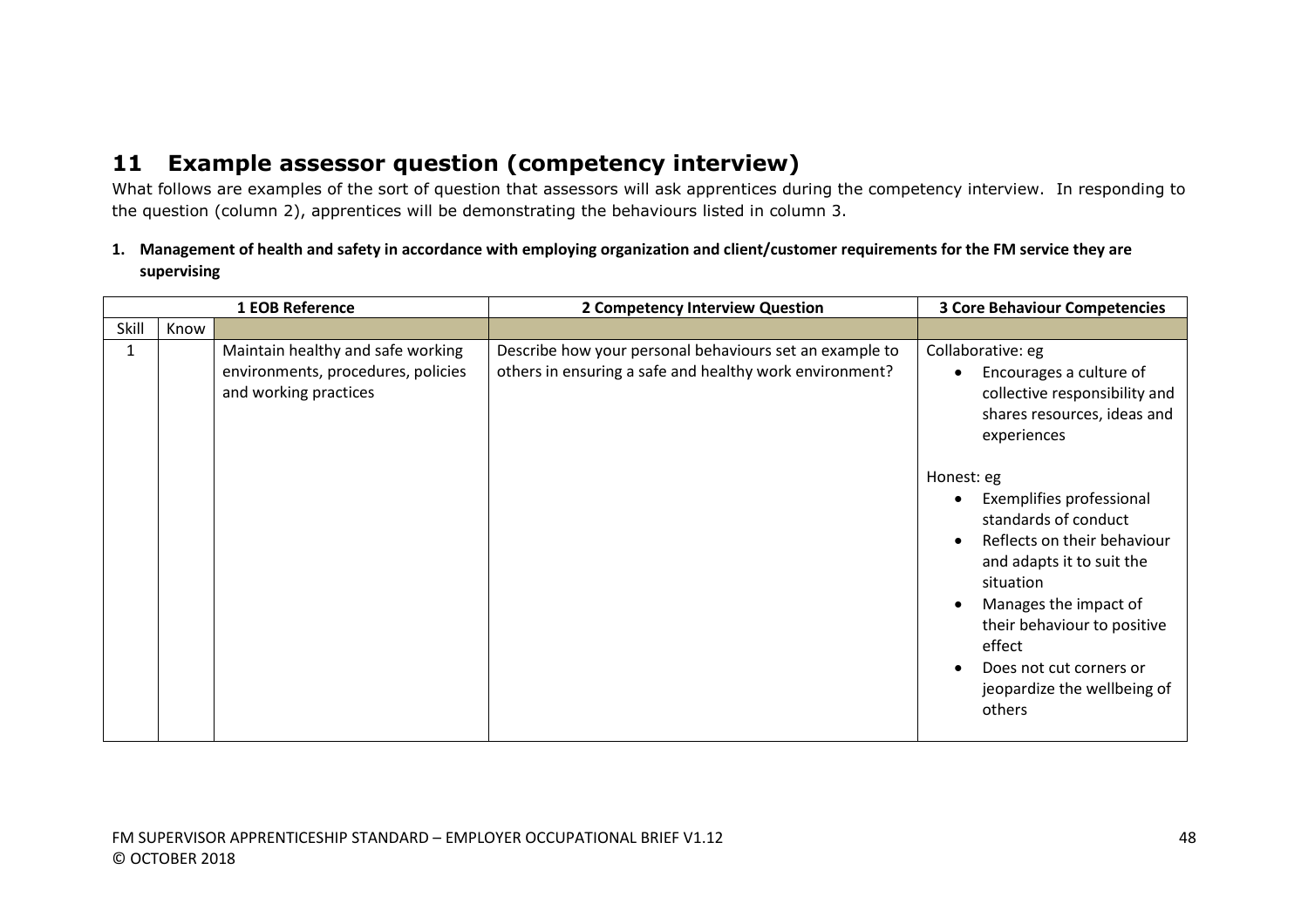# **11 Example assessor question (competency interview)**

What follows are examples of the sort of question that assessors will ask apprentices during the competency interview. In responding to the question (column 2), apprentices will be demonstrating the behaviours listed in column 3.

**1. Management of health and safety in accordance with employing organization and client/customer requirements for the FM service they are supervising**

| 1 EOB Reference |      |                                                                                                  | 2 Competency Interview Question                                                                                    | <b>3 Core Behaviour Competencies</b>                                                                                                                                                                                                                                          |
|-----------------|------|--------------------------------------------------------------------------------------------------|--------------------------------------------------------------------------------------------------------------------|-------------------------------------------------------------------------------------------------------------------------------------------------------------------------------------------------------------------------------------------------------------------------------|
| Skill           | Know |                                                                                                  |                                                                                                                    |                                                                                                                                                                                                                                                                               |
|                 |      | Maintain healthy and safe working<br>environments, procedures, policies<br>and working practices | Describe how your personal behaviours set an example to<br>others in ensuring a safe and healthy work environment? | Collaborative: eg<br>Encourages a culture of<br>collective responsibility and<br>shares resources, ideas and<br>experiences                                                                                                                                                   |
|                 |      |                                                                                                  |                                                                                                                    | Honest: eg<br>Exemplifies professional<br>standards of conduct<br>Reflects on their behaviour<br>and adapts it to suit the<br>situation<br>Manages the impact of<br>their behaviour to positive<br>effect<br>Does not cut corners or<br>jeopardize the wellbeing of<br>others |